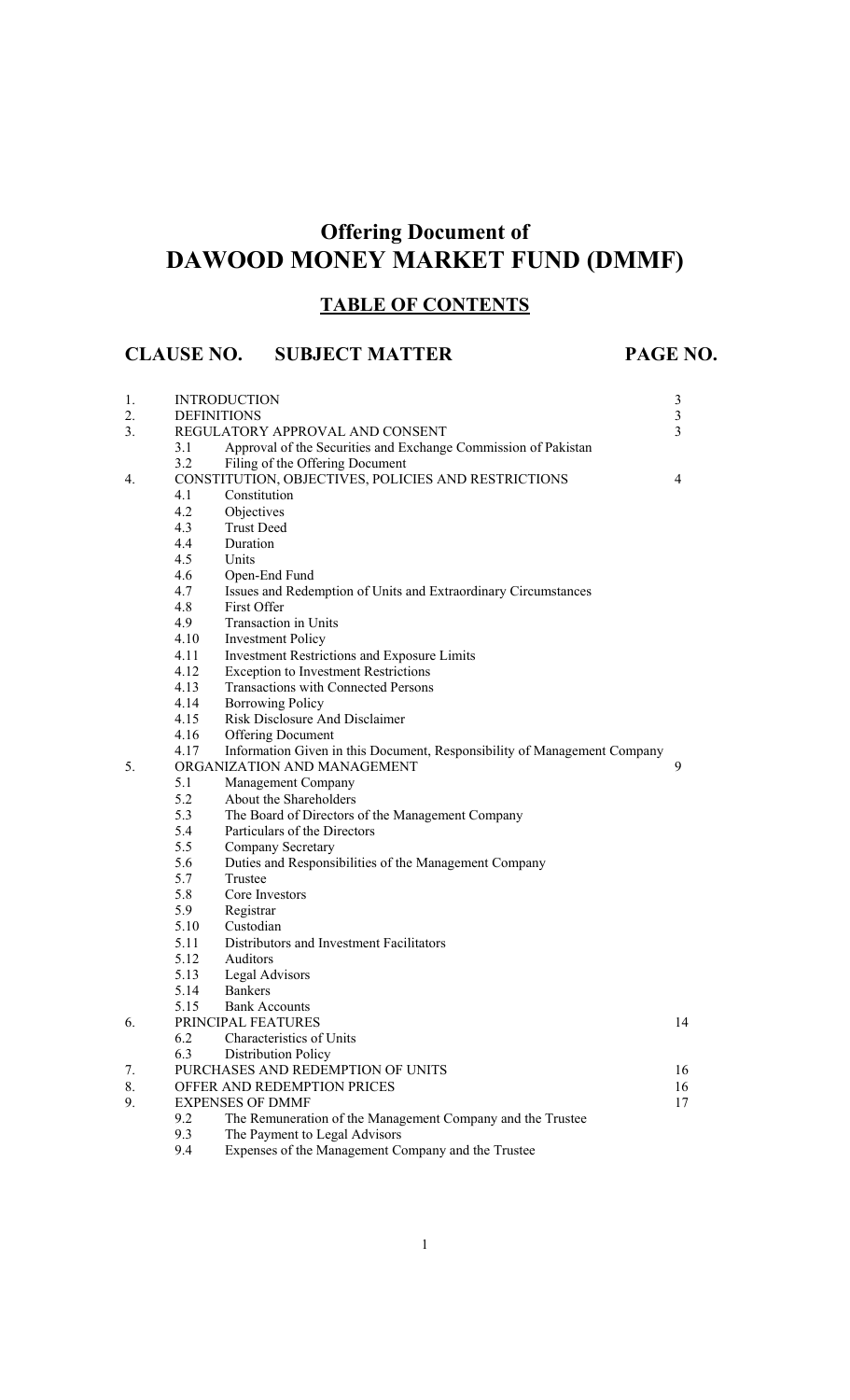# **Offering Document of DAWOOD MONEY MARKET FUND (DMMF)**

# **TABLE OF CONTENTS**

# **CLAUSE NO. SUBJECT MATTER PAGE NO.**

| 1. |      | <b>INTRODUCTION</b>                                                      | $\mathfrak{Z}$ |
|----|------|--------------------------------------------------------------------------|----------------|
| 2. |      | <b>DEFINITIONS</b>                                                       | $\mathfrak{Z}$ |
| 3. |      | REGULATORY APPROVAL AND CONSENT                                          | 3              |
|    | 3.1  | Approval of the Securities and Exchange Commission of Pakistan           |                |
|    | 3.2  | Filing of the Offering Document                                          |                |
| 4. |      | CONSTITUTION, OBJECTIVES, POLICIES AND RESTRICTIONS                      | 4              |
|    | 4.1  | Constitution                                                             |                |
|    | 4.2  | Objectives                                                               |                |
|    | 4.3  | <b>Trust Deed</b>                                                        |                |
|    | 4.4  | Duration                                                                 |                |
|    | 4.5  | Units                                                                    |                |
|    | 4.6  | Open-End Fund                                                            |                |
|    | 4.7  | Issues and Redemption of Units and Extraordinary Circumstances           |                |
|    | 4.8  | First Offer                                                              |                |
|    | 4.9  | Transaction in Units                                                     |                |
|    | 4.10 | <b>Investment Policy</b>                                                 |                |
|    | 4.11 | Investment Restrictions and Exposure Limits                              |                |
|    | 4.12 | <b>Exception to Investment Restrictions</b>                              |                |
|    | 4.13 | <b>Transactions with Connected Persons</b>                               |                |
|    | 4.14 | <b>Borrowing Policy</b>                                                  |                |
|    | 4.15 | <b>Risk Disclosure And Disclaimer</b>                                    |                |
|    | 4.16 | <b>Offering Document</b>                                                 |                |
|    | 4.17 | Information Given in this Document, Responsibility of Management Company |                |
| 5. |      | ORGANIZATION AND MANAGEMENT                                              | 9              |
|    | 5.1  | Management Company                                                       |                |
|    | 5.2  | About the Shareholders                                                   |                |
|    | 5.3  | The Board of Directors of the Management Company                         |                |
|    | 5.4  | Particulars of the Directors                                             |                |
|    | 5.5  | Company Secretary                                                        |                |
|    | 5.6  | Duties and Responsibilities of the Management Company                    |                |
|    | 5.7  | Trustee                                                                  |                |
|    | 5.8  | Core Investors                                                           |                |
|    | 5.9  | Registrar                                                                |                |
|    | 5.10 | Custodian                                                                |                |
|    | 5.11 | Distributors and Investment Facilitators                                 |                |
|    | 5.12 | Auditors                                                                 |                |
|    | 5.13 | Legal Advisors                                                           |                |
|    | 5.14 | <b>Bankers</b>                                                           |                |
|    | 5.15 | <b>Bank Accounts</b>                                                     |                |
| 6. |      | PRINCIPAL FEATURES                                                       | 14             |
|    | 6.2  | Characteristics of Units                                                 |                |
|    | 6.3  | <b>Distribution Policy</b>                                               |                |
| 7. |      | PURCHASES AND REDEMPTION OF UNITS                                        | 16             |
| 8. |      | OFFER AND REDEMPTION PRICES                                              | 16             |
| 9. |      | <b>EXPENSES OF DMMF</b>                                                  | 17             |
|    | 9.2  | The Remuneration of the Management Company and the Trustee               |                |
|    | 9.3  | The Payment to Legal Advisors                                            |                |
|    |      |                                                                          |                |

9.4 Expenses of the Management Company and the Trustee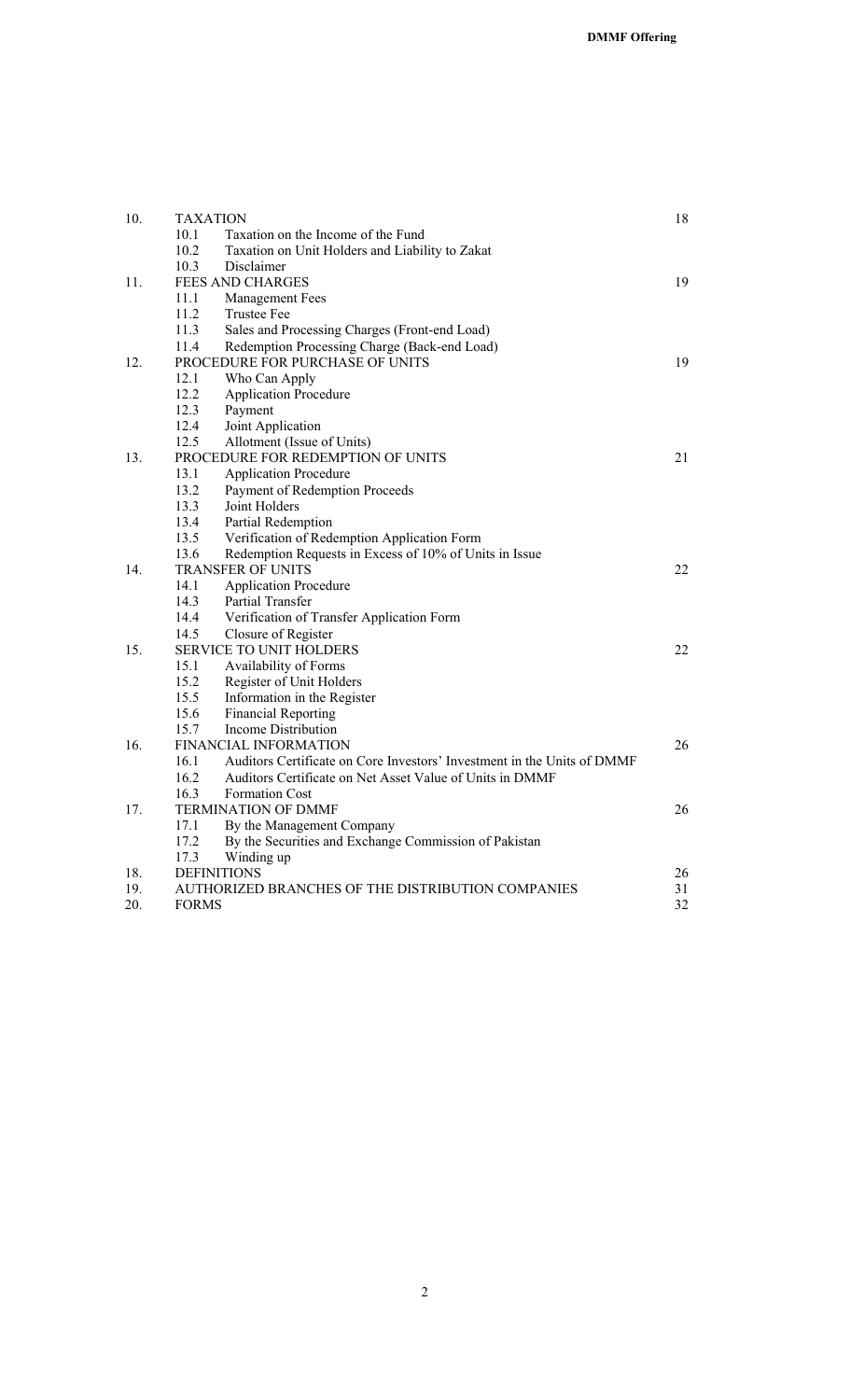| 10. | <b>TAXATION</b>                                                                 | 18 |
|-----|---------------------------------------------------------------------------------|----|
|     | 10.1<br>Taxation on the Income of the Fund                                      |    |
|     | 10.2<br>Taxation on Unit Holders and Liability to Zakat                         |    |
|     | 10.3<br>Disclaimer                                                              |    |
| 11. | <b>FEES AND CHARGES</b>                                                         | 19 |
|     | 11.1<br><b>Management Fees</b>                                                  |    |
|     | <b>Trustee Fee</b><br>11.2                                                      |    |
|     | 11.3<br>Sales and Processing Charges (Front-end Load)                           |    |
|     | 11.4<br>Redemption Processing Charge (Back-end Load)                            |    |
| 12. | PROCEDURE FOR PURCHASE OF UNITS                                                 | 19 |
|     | 12.1<br>Who Can Apply                                                           |    |
|     | 12.2<br><b>Application Procedure</b>                                            |    |
|     | 12.3<br>Payment                                                                 |    |
|     | 12.4<br>Joint Application                                                       |    |
|     | 12.5<br>Allotment (Issue of Units)                                              |    |
| 13. | PROCEDURE FOR REDEMPTION OF UNITS                                               | 21 |
|     | 13.1<br><b>Application Procedure</b>                                            |    |
|     | 13.2<br>Payment of Redemption Proceeds                                          |    |
|     | 13.3<br>Joint Holders                                                           |    |
|     | 13.4<br>Partial Redemption                                                      |    |
|     | 13.5<br>Verification of Redemption Application Form                             |    |
|     | 13.6<br>Redemption Requests in Excess of 10% of Units in Issue                  |    |
| 14. | <b>TRANSFER OF UNITS</b>                                                        | 22 |
|     | 14.1<br><b>Application Procedure</b>                                            |    |
|     | 14.3<br><b>Partial Transfer</b>                                                 |    |
|     | 14.4<br>Verification of Transfer Application Form                               |    |
|     | 14.5<br>Closure of Register                                                     |    |
| 15. | SERVICE TO UNIT HOLDERS                                                         | 22 |
|     | 15.1<br>Availability of Forms                                                   |    |
|     | 15.2<br>Register of Unit Holders                                                |    |
|     | 15.5<br>Information in the Register                                             |    |
|     | 15.6<br><b>Financial Reporting</b>                                              |    |
|     | 15.7<br>Income Distribution                                                     |    |
| 16. | <b>FINANCIAL INFORMATION</b>                                                    | 26 |
|     | 16.1<br>Auditors Certificate on Core Investors' Investment in the Units of DMMF |    |
|     | 16.2<br>Auditors Certificate on Net Asset Value of Units in DMMF                |    |
|     | 16.3<br><b>Formation Cost</b>                                                   |    |
| 17. | <b>TERMINATION OF DMMF</b>                                                      | 26 |
|     | 17.1<br>By the Management Company                                               |    |
|     | 17.2<br>By the Securities and Exchange Commission of Pakistan                   |    |
|     | 17.3<br>Winding up                                                              |    |
| 18. | <b>DEFINITIONS</b>                                                              | 26 |
| 19. | AUTHORIZED BRANCHES OF THE DISTRIBUTION COMPANIES                               | 31 |
| 20. | <b>FORMS</b>                                                                    | 32 |
|     |                                                                                 |    |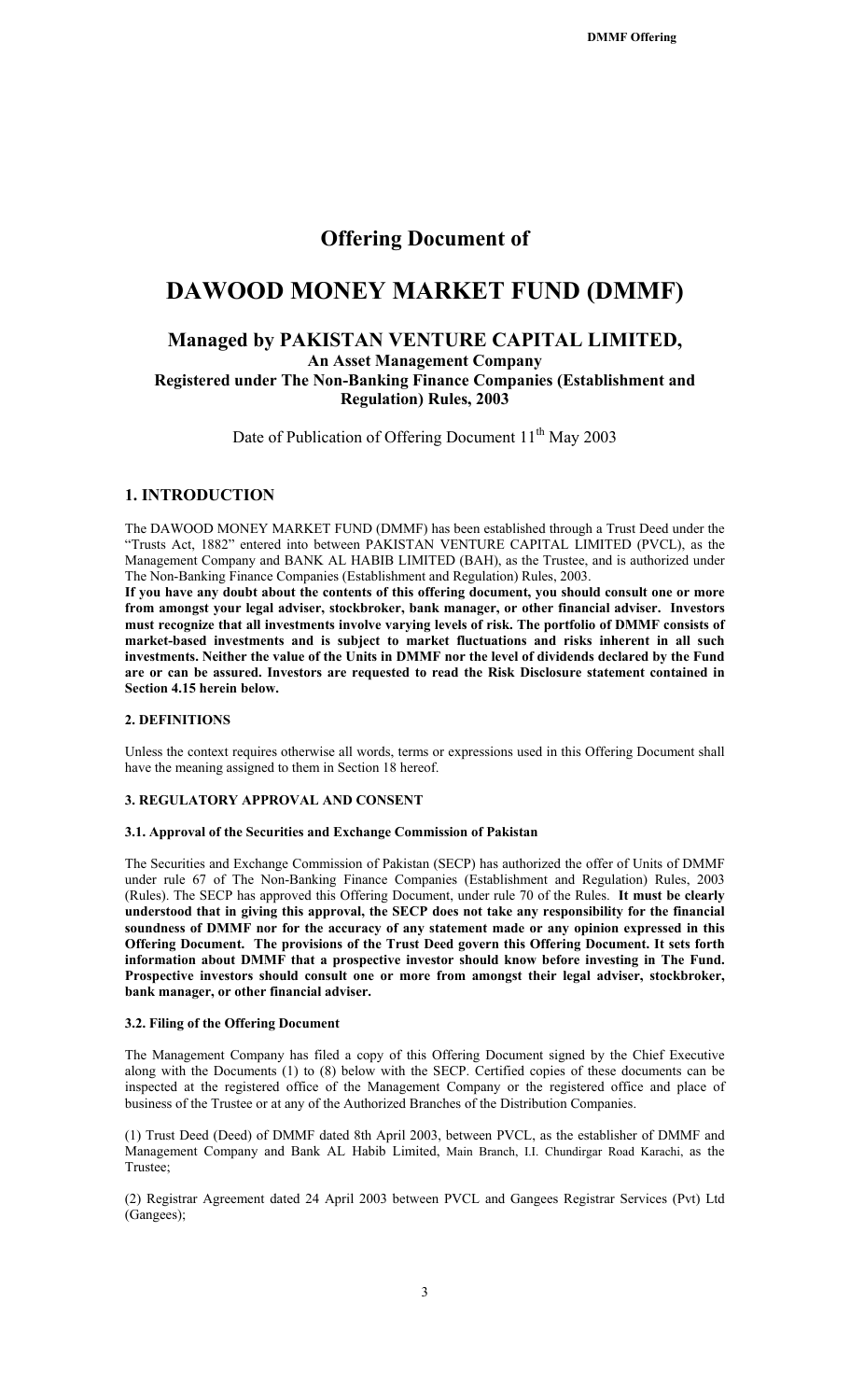# **Offering Document of**

# **DAWOOD MONEY MARKET FUND (DMMF)**

# **Managed by PAKISTAN VENTURE CAPITAL LIMITED, An Asset Management Company Registered under The Non-Banking Finance Companies (Establishment and Regulation) Rules, 2003**

Date of Publication of Offering Document 11<sup>th</sup> May 2003

### **1. INTRODUCTION**

The DAWOOD MONEY MARKET FUND (DMMF) has been established through a Trust Deed under the "Trusts Act, 1882" entered into between PAKISTAN VENTURE CAPITAL LIMITED (PVCL), as the Management Company and BANK AL HABIB LIMITED (BAH), as the Trustee, and is authorized under The Non-Banking Finance Companies (Establishment and Regulation) Rules, 2003.

**If you have any doubt about the contents of this offering document, you should consult one or more from amongst your legal adviser, stockbroker, bank manager, or other financial adviser. Investors must recognize that all investments involve varying levels of risk. The portfolio of DMMF consists of market-based investments and is subject to market fluctuations and risks inherent in all such investments. Neither the value of the Units in DMMF nor the level of dividends declared by the Fund are or can be assured. Investors are requested to read the Risk Disclosure statement contained in Section 4.15 herein below.** 

### **2. DEFINITIONS**

Unless the context requires otherwise all words, terms or expressions used in this Offering Document shall have the meaning assigned to them in Section 18 hereof.

#### **3. REGULATORY APPROVAL AND CONSENT**

#### **3.1. Approval of the Securities and Exchange Commission of Pakistan**

The Securities and Exchange Commission of Pakistan (SECP) has authorized the offer of Units of DMMF under rule 67 of The Non-Banking Finance Companies (Establishment and Regulation) Rules, 2003 (Rules). The SECP has approved this Offering Document, under rule 70 of the Rules. **It must be clearly understood that in giving this approval, the SECP does not take any responsibility for the financial soundness of DMMF nor for the accuracy of any statement made or any opinion expressed in this Offering Document. The provisions of the Trust Deed govern this Offering Document. It sets forth information about DMMF that a prospective investor should know before investing in The Fund. Prospective investors should consult one or more from amongst their legal adviser, stockbroker, bank manager, or other financial adviser.** 

#### **3.2. Filing of the Offering Document**

The Management Company has filed a copy of this Offering Document signed by the Chief Executive along with the Documents (1) to (8) below with the SECP. Certified copies of these documents can be inspected at the registered office of the Management Company or the registered office and place of business of the Trustee or at any of the Authorized Branches of the Distribution Companies.

(1) Trust Deed (Deed) of DMMF dated 8th April 2003, between PVCL, as the establisher of DMMF and Management Company and Bank AL Habib Limited, Main Branch, I.I. Chundirgar Road Karachi, as the Trustee;

(2) Registrar Agreement dated 24 April 2003 between PVCL and Gangees Registrar Services (Pvt) Ltd (Gangees);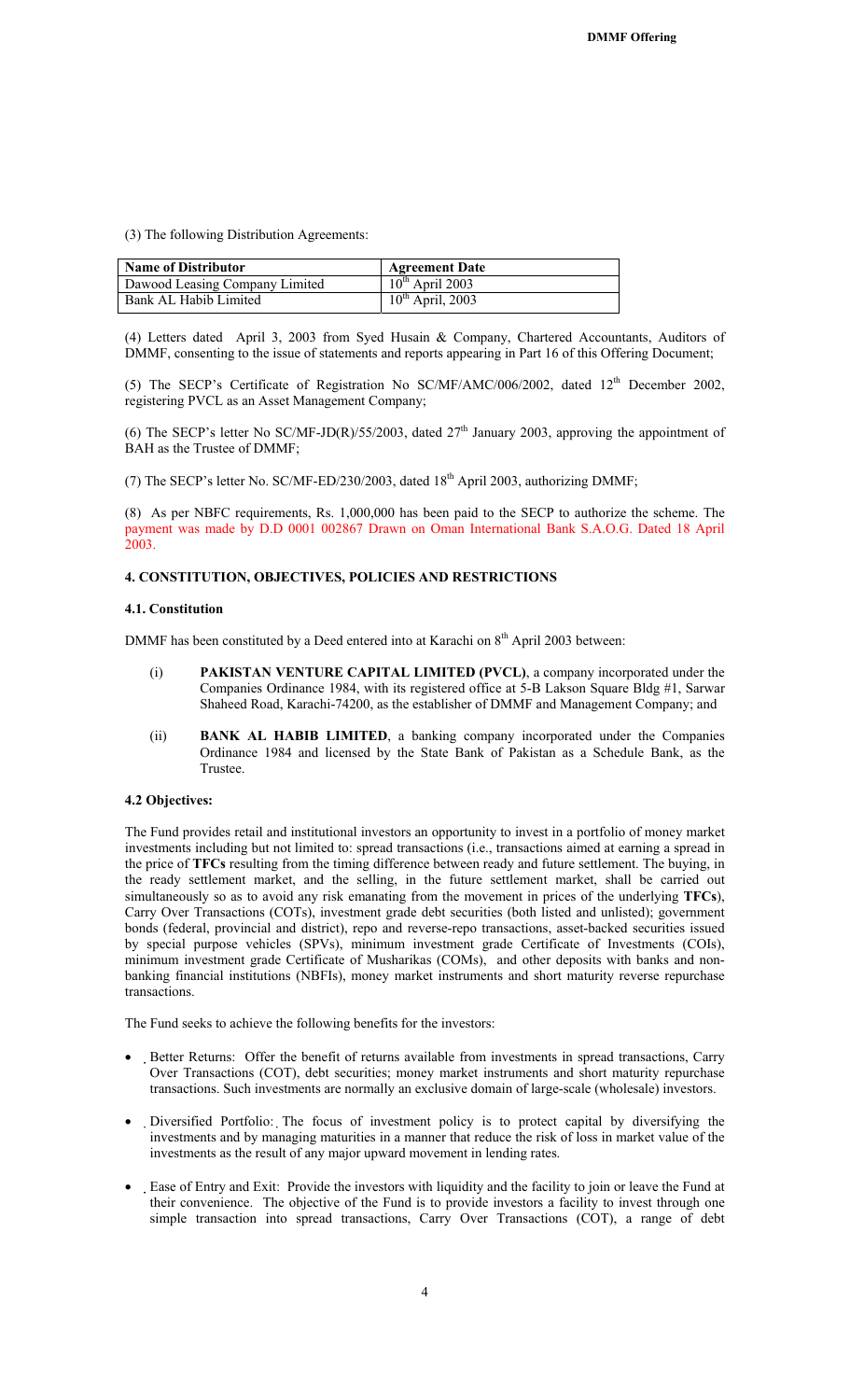(3) The following Distribution Agreements:

| <b>Name of Distributor</b>     | <b>Agreement Date</b> |
|--------------------------------|-----------------------|
| Dawood Leasing Company Limited | $10^{th}$ April 2003  |
| Bank AL Habib Limited          | $10^{th}$ April, 2003 |

(4) Letters dated April 3, 2003 from Syed Husain & Company, Chartered Accountants, Auditors of DMMF, consenting to the issue of statements and reports appearing in Part 16 of this Offering Document;

(5) The SECP's Certificate of Registration No SC/MF/AMC/006/2002, dated 12<sup>th</sup> December 2002, registering PVCL as an Asset Management Company;

(6) The SECP's letter No SC/MF-JD(R)/55/2003, dated  $27<sup>th</sup>$  January 2003, approving the appointment of BAH as the Trustee of DMMF;

(7) The SECP's letter No. SC/MF-ED/230/2003, dated  $18<sup>th</sup>$  April 2003, authorizing DMMF;

(8) As per NBFC requirements, Rs. 1,000,000 has been paid to the SECP to authorize the scheme. The payment was made by D.D 0001 002867 Drawn on Oman International Bank S.A.O.G. Dated 18 April 2003.

#### **4. CONSTITUTION, OBJECTIVES, POLICIES AND RESTRICTIONS**

#### **4.1. Constitution**

DMMF has been constituted by a Deed entered into at Karachi on  $8<sup>th</sup>$  April 2003 between:

- (i) **PAKISTAN VENTURE CAPITAL LIMITED (PVCL)**, a company incorporated under the Companies Ordinance 1984, with its registered office at 5-B Lakson Square Bldg #1, Sarwar Shaheed Road, Karachi-74200, as the establisher of DMMF and Management Company; and
- (ii) **BANK AL HABIB LIMITED**, a banking company incorporated under the Companies Ordinance 1984 and licensed by the State Bank of Pakistan as a Schedule Bank, as the Trustee.

#### **4.2 Objectives:**

The Fund provides retail and institutional investors an opportunity to invest in a portfolio of money market investments including but not limited to: spread transactions (i.e., transactions aimed at earning a spread in the price of **TFCs** resulting from the timing difference between ready and future settlement. The buying, in the ready settlement market, and the selling, in the future settlement market, shall be carried out simultaneously so as to avoid any risk emanating from the movement in prices of the underlying **TFCs**), Carry Over Transactions (COTs), investment grade debt securities (both listed and unlisted); government bonds (federal, provincial and district), repo and reverse-repo transactions, asset-backed securities issued by special purpose vehicles (SPVs), minimum investment grade Certificate of Investments (COIs), minimum investment grade Certificate of Musharikas (COMs), and other deposits with banks and nonbanking financial institutions (NBFIs), money market instruments and short maturity reverse repurchase transactions.

The Fund seeks to achieve the following benefits for the investors:

- Better Returns: Offer the benefit of returns available from investments in spread transactions, Carry Over Transactions (COT), debt securities; money market instruments and short maturity repurchase transactions. Such investments are normally an exclusive domain of large-scale (wholesale) investors.
- Diversified Portfolio: The focus of investment policy is to protect capital by diversifying the investments and by managing maturities in a manner that reduce the risk of loss in market value of the investments as the result of any major upward movement in lending rates.
- Ease of Entry and Exit: Provide the investors with liquidity and the facility to join or leave the Fund at their convenience. The objective of the Fund is to provide investors a facility to invest through one simple transaction into spread transactions, Carry Over Transactions (COT), a range of debt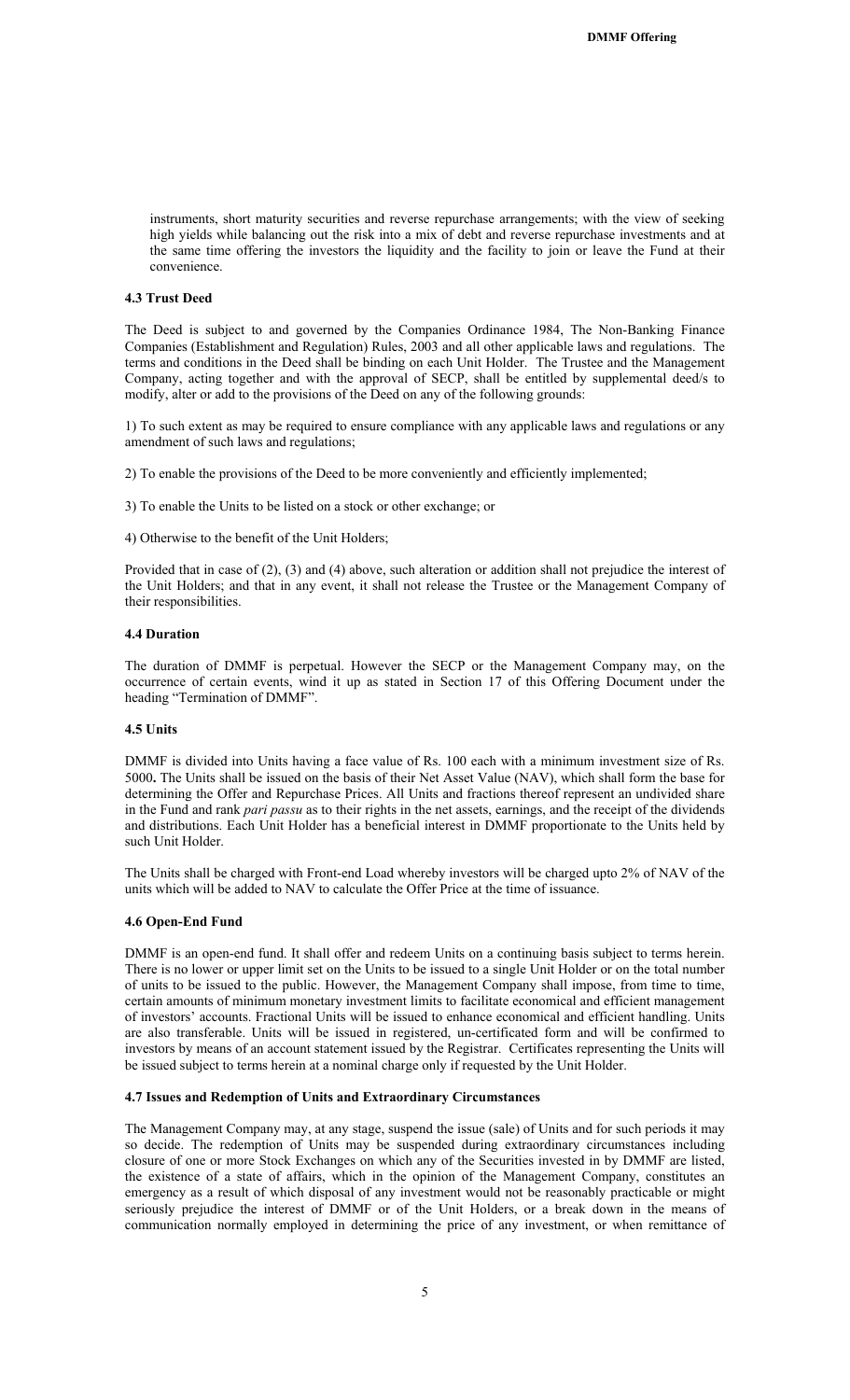instruments, short maturity securities and reverse repurchase arrangements; with the view of seeking high yields while balancing out the risk into a mix of debt and reverse repurchase investments and at the same time offering the investors the liquidity and the facility to join or leave the Fund at their convenience.

#### **4.3 Trust Deed**

The Deed is subject to and governed by the Companies Ordinance 1984, The Non-Banking Finance Companies (Establishment and Regulation) Rules, 2003 and all other applicable laws and regulations. The terms and conditions in the Deed shall be binding on each Unit Holder. The Trustee and the Management Company, acting together and with the approval of SECP, shall be entitled by supplemental deed/s to modify, alter or add to the provisions of the Deed on any of the following grounds:

1) To such extent as may be required to ensure compliance with any applicable laws and regulations or any amendment of such laws and regulations;

2) To enable the provisions of the Deed to be more conveniently and efficiently implemented;

3) To enable the Units to be listed on a stock or other exchange; or

4) Otherwise to the benefit of the Unit Holders;

Provided that in case of (2), (3) and (4) above, such alteration or addition shall not prejudice the interest of the Unit Holders; and that in any event, it shall not release the Trustee or the Management Company of their responsibilities.

#### **4.4 Duration**

The duration of DMMF is perpetual. However the SECP or the Management Company may, on the occurrence of certain events, wind it up as stated in Section 17 of this Offering Document under the heading "Termination of DMMF".

#### **4.5 Units**

DMMF is divided into Units having a face value of Rs. 100 each with a minimum investment size of Rs. 5000**.** The Units shall be issued on the basis of their Net Asset Value (NAV), which shall form the base for determining the Offer and Repurchase Prices. All Units and fractions thereof represent an undivided share in the Fund and rank *pari passu* as to their rights in the net assets, earnings, and the receipt of the dividends and distributions. Each Unit Holder has a beneficial interest in DMMF proportionate to the Units held by such Unit Holder.

The Units shall be charged with Front-end Load whereby investors will be charged upto 2% of NAV of the units which will be added to NAV to calculate the Offer Price at the time of issuance.

#### **4.6 Open-End Fund**

DMMF is an open-end fund. It shall offer and redeem Units on a continuing basis subject to terms herein. There is no lower or upper limit set on the Units to be issued to a single Unit Holder or on the total number of units to be issued to the public. However, the Management Company shall impose, from time to time, certain amounts of minimum monetary investment limits to facilitate economical and efficient management of investors' accounts. Fractional Units will be issued to enhance economical and efficient handling. Units are also transferable. Units will be issued in registered, un-certificated form and will be confirmed to investors by means of an account statement issued by the Registrar. Certificates representing the Units will be issued subject to terms herein at a nominal charge only if requested by the Unit Holder.

#### **4.7 Issues and Redemption of Units and Extraordinary Circumstances**

The Management Company may, at any stage, suspend the issue (sale) of Units and for such periods it may so decide. The redemption of Units may be suspended during extraordinary circumstances including closure of one or more Stock Exchanges on which any of the Securities invested in by DMMF are listed, the existence of a state of affairs, which in the opinion of the Management Company, constitutes an emergency as a result of which disposal of any investment would not be reasonably practicable or might seriously prejudice the interest of DMMF or of the Unit Holders, or a break down in the means of communication normally employed in determining the price of any investment, or when remittance of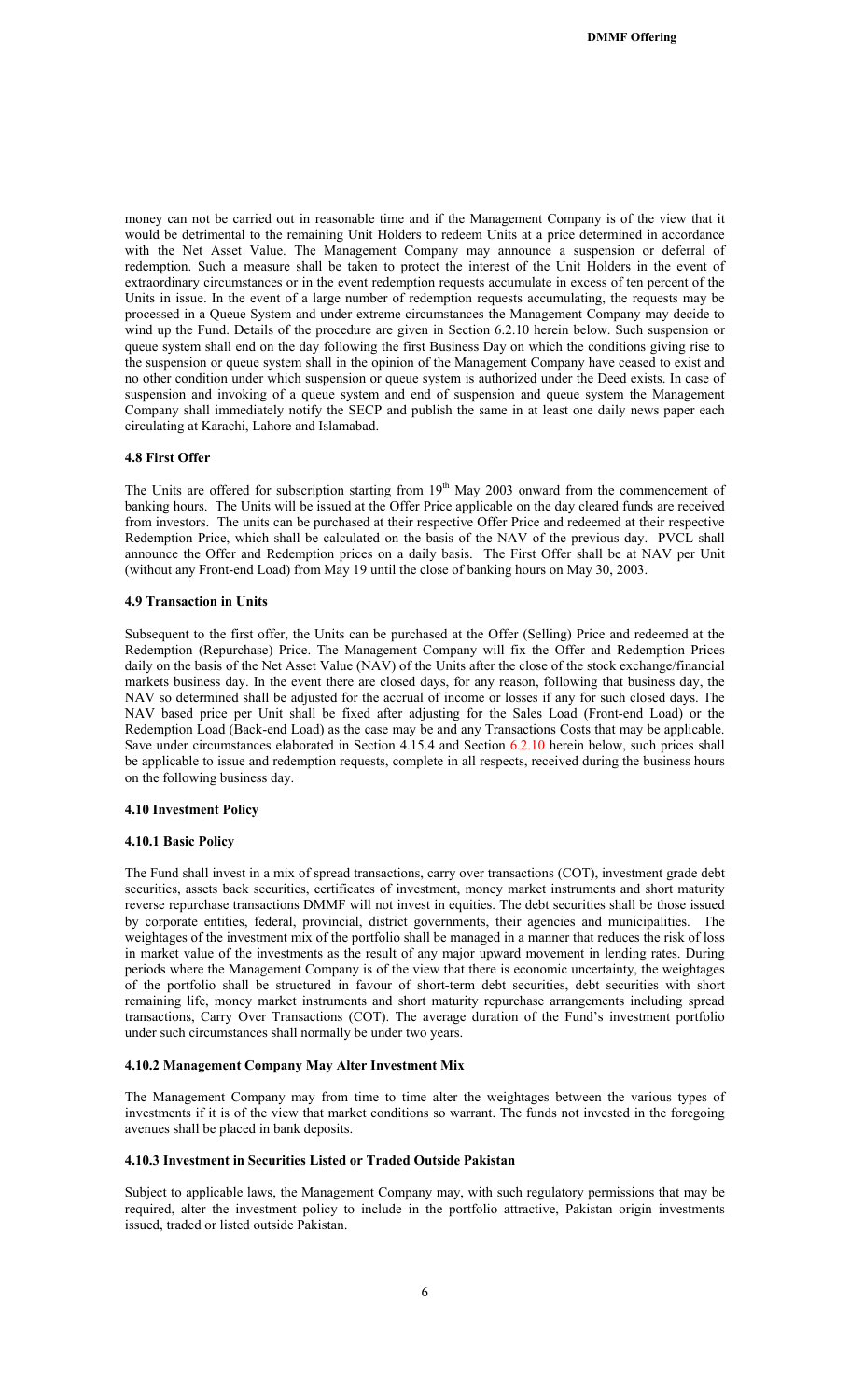money can not be carried out in reasonable time and if the Management Company is of the view that it would be detrimental to the remaining Unit Holders to redeem Units at a price determined in accordance with the Net Asset Value. The Management Company may announce a suspension or deferral of redemption. Such a measure shall be taken to protect the interest of the Unit Holders in the event of extraordinary circumstances or in the event redemption requests accumulate in excess of ten percent of the Units in issue. In the event of a large number of redemption requests accumulating, the requests may be processed in a Queue System and under extreme circumstances the Management Company may decide to wind up the Fund. Details of the procedure are given in Section 6.2.10 herein below. Such suspension or queue system shall end on the day following the first Business Day on which the conditions giving rise to the suspension or queue system shall in the opinion of the Management Company have ceased to exist and no other condition under which suspension or queue system is authorized under the Deed exists. In case of suspension and invoking of a queue system and end of suspension and queue system the Management Company shall immediately notify the SECP and publish the same in at least one daily news paper each circulating at Karachi, Lahore and Islamabad.

#### **4.8 First Offer**

The Units are offered for subscription starting from 19<sup>th</sup> May 2003 onward from the commencement of banking hours. The Units will be issued at the Offer Price applicable on the day cleared funds are received from investors. The units can be purchased at their respective Offer Price and redeemed at their respective Redemption Price, which shall be calculated on the basis of the NAV of the previous day. PVCL shall announce the Offer and Redemption prices on a daily basis. The First Offer shall be at NAV per Unit (without any Front-end Load) from May 19 until the close of banking hours on May 30, 2003.

#### **4.9 Transaction in Units**

Subsequent to the first offer, the Units can be purchased at the Offer (Selling) Price and redeemed at the Redemption (Repurchase) Price. The Management Company will fix the Offer and Redemption Prices daily on the basis of the Net Asset Value (NAV) of the Units after the close of the stock exchange/financial markets business day. In the event there are closed days, for any reason, following that business day, the NAV so determined shall be adjusted for the accrual of income or losses if any for such closed days. The NAV based price per Unit shall be fixed after adjusting for the Sales Load (Front-end Load) or the Redemption Load (Back-end Load) as the case may be and any Transactions Costs that may be applicable. Save under circumstances elaborated in Section 4.15.4 and Section 6.2.10 herein below, such prices shall be applicable to issue and redemption requests, complete in all respects, received during the business hours on the following business day.

#### **4.10 Investment Policy**

#### **4.10.1 Basic Policy**

The Fund shall invest in a mix of spread transactions, carry over transactions (COT), investment grade debt securities, assets back securities, certificates of investment, money market instruments and short maturity reverse repurchase transactions DMMF will not invest in equities. The debt securities shall be those issued by corporate entities, federal, provincial, district governments, their agencies and municipalities. The weightages of the investment mix of the portfolio shall be managed in a manner that reduces the risk of loss in market value of the investments as the result of any major upward movement in lending rates. During periods where the Management Company is of the view that there is economic uncertainty, the weightages of the portfolio shall be structured in favour of short-term debt securities, debt securities with short remaining life, money market instruments and short maturity repurchase arrangements including spread transactions, Carry Over Transactions (COT). The average duration of the Fund's investment portfolio under such circumstances shall normally be under two years.

#### **4.10.2 Management Company May Alter Investment Mix**

The Management Company may from time to time alter the weightages between the various types of investments if it is of the view that market conditions so warrant. The funds not invested in the foregoing avenues shall be placed in bank deposits.

#### **4.10.3 Investment in Securities Listed or Traded Outside Pakistan**

Subject to applicable laws, the Management Company may, with such regulatory permissions that may be required, alter the investment policy to include in the portfolio attractive, Pakistan origin investments issued, traded or listed outside Pakistan.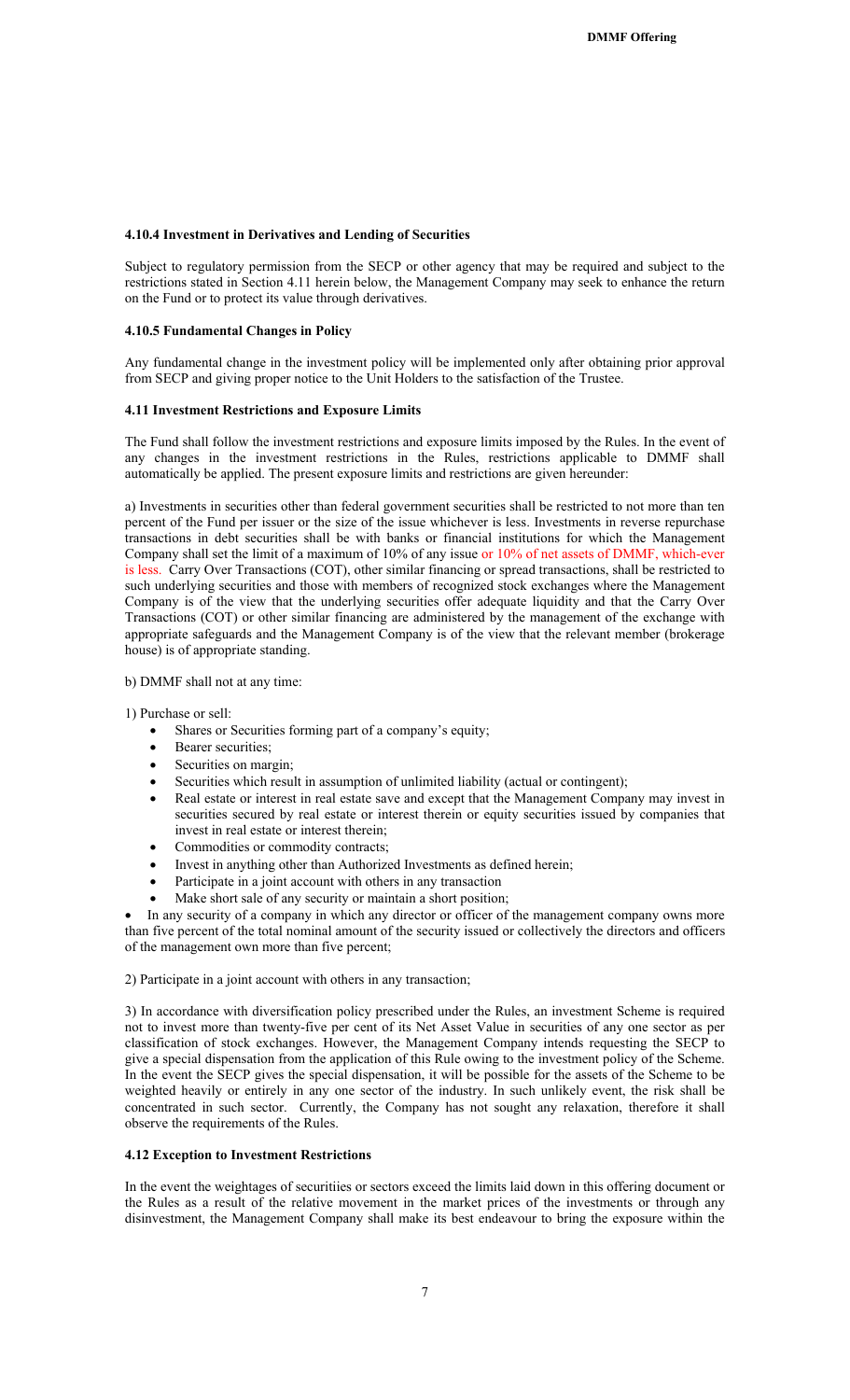#### **4.10.4 Investment in Derivatives and Lending of Securities**

Subject to regulatory permission from the SECP or other agency that may be required and subject to the restrictions stated in Section 4.11 herein below, the Management Company may seek to enhance the return on the Fund or to protect its value through derivatives.

#### **4.10.5 Fundamental Changes in Policy**

Any fundamental change in the investment policy will be implemented only after obtaining prior approval from SECP and giving proper notice to the Unit Holders to the satisfaction of the Trustee.

#### **4.11 Investment Restrictions and Exposure Limits**

The Fund shall follow the investment restrictions and exposure limits imposed by the Rules. In the event of any changes in the investment restrictions in the Rules, restrictions applicable to DMMF shall automatically be applied. The present exposure limits and restrictions are given hereunder:

a) Investments in securities other than federal government securities shall be restricted to not more than ten percent of the Fund per issuer or the size of the issue whichever is less. Investments in reverse repurchase transactions in debt securities shall be with banks or financial institutions for which the Management Company shall set the limit of a maximum of 10% of any issue or 10% of net assets of DMMF, which-ever is less. Carry Over Transactions (COT), other similar financing or spread transactions, shall be restricted to such underlying securities and those with members of recognized stock exchanges where the Management Company is of the view that the underlying securities offer adequate liquidity and that the Carry Over Transactions (COT) or other similar financing are administered by the management of the exchange with appropriate safeguards and the Management Company is of the view that the relevant member (brokerage house) is of appropriate standing.

#### b) DMMF shall not at any time:

1) Purchase or sell:

- Shares or Securities forming part of a company's equity;
- Bearer securities;
- Securities on margin;
- Securities which result in assumption of unlimited liability (actual or contingent);
- Real estate or interest in real estate save and except that the Management Company may invest in securities secured by real estate or interest therein or equity securities issued by companies that invest in real estate or interest therein;
- Commodities or commodity contracts;
- Invest in anything other than Authorized Investments as defined herein;
- Participate in a joint account with others in any transaction
- Make short sale of any security or maintain a short position;

In any security of a company in which any director or officer of the management company owns more than five percent of the total nominal amount of the security issued or collectively the directors and officers of the management own more than five percent;

2) Participate in a joint account with others in any transaction;

3) In accordance with diversification policy prescribed under the Rules, an investment Scheme is required not to invest more than twenty-five per cent of its Net Asset Value in securities of any one sector as per classification of stock exchanges. However, the Management Company intends requesting the SECP to give a special dispensation from the application of this Rule owing to the investment policy of the Scheme. In the event the SECP gives the special dispensation, it will be possible for the assets of the Scheme to be weighted heavily or entirely in any one sector of the industry. In such unlikely event, the risk shall be concentrated in such sector. Currently, the Company has not sought any relaxation, therefore it shall observe the requirements of the Rules.

#### **4.12 Exception to Investment Restrictions**

In the event the weightages of securitiies or sectors exceed the limits laid down in this offering document or the Rules as a result of the relative movement in the market prices of the investments or through any disinvestment, the Management Company shall make its best endeavour to bring the exposure within the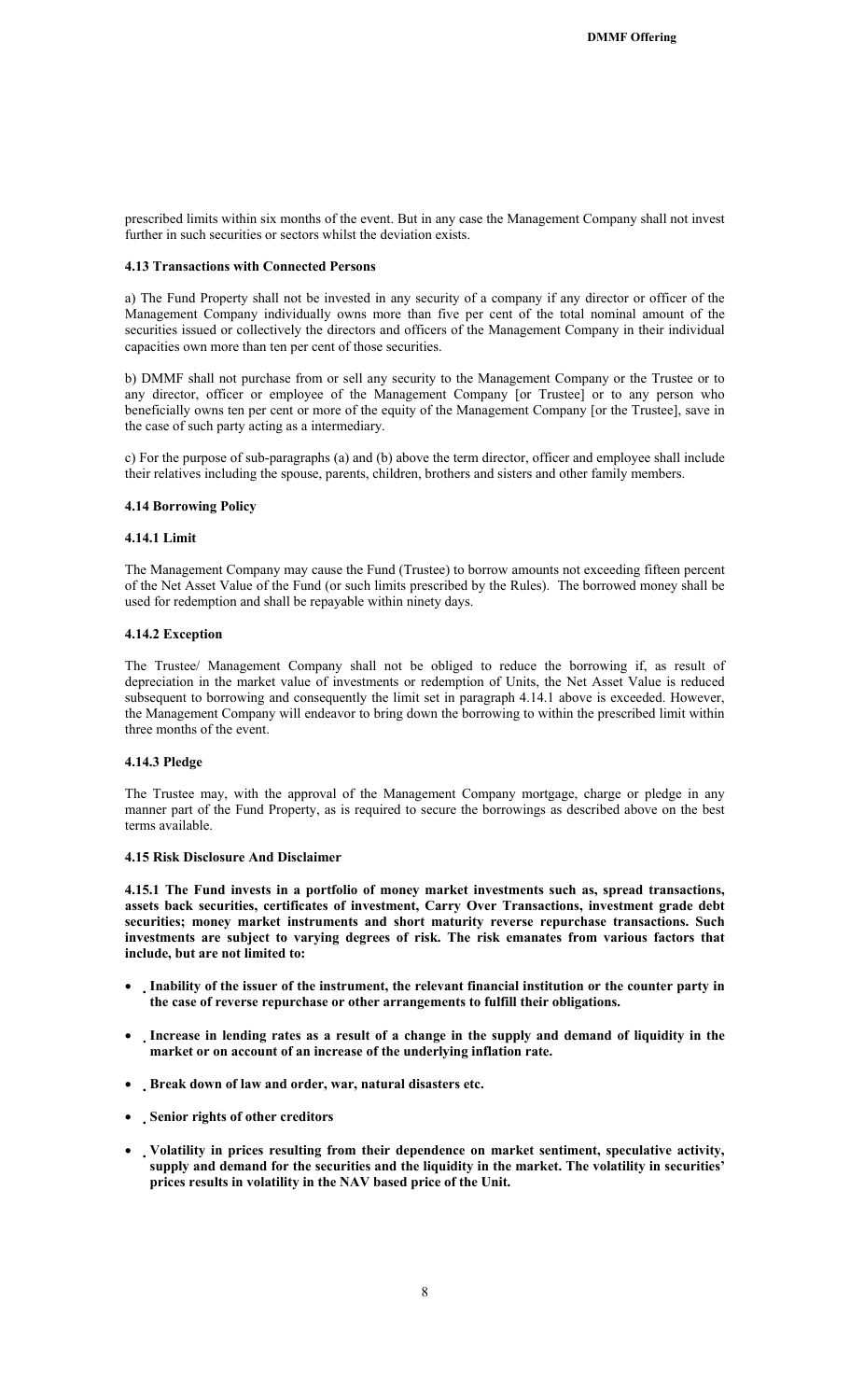prescribed limits within six months of the event. But in any case the Management Company shall not invest further in such securities or sectors whilst the deviation exists.

#### **4.13 Transactions with Connected Persons**

a) The Fund Property shall not be invested in any security of a company if any director or officer of the Management Company individually owns more than five per cent of the total nominal amount of the securities issued or collectively the directors and officers of the Management Company in their individual capacities own more than ten per cent of those securities.

b) DMMF shall not purchase from or sell any security to the Management Company or the Trustee or to any director, officer or employee of the Management Company [or Trustee] or to any person who beneficially owns ten per cent or more of the equity of the Management Company [or the Trustee], save in the case of such party acting as a intermediary.

c) For the purpose of sub-paragraphs (a) and (b) above the term director, officer and employee shall include their relatives including the spouse, parents, children, brothers and sisters and other family members.

### **4.14 Borrowing Policy**

#### **4.14.1 Limit**

The Management Company may cause the Fund (Trustee) to borrow amounts not exceeding fifteen percent of the Net Asset Value of the Fund (or such limits prescribed by the Rules). The borrowed money shall be used for redemption and shall be repayable within ninety days.

#### **4.14.2 Exception**

The Trustee/ Management Company shall not be obliged to reduce the borrowing if, as result of depreciation in the market value of investments or redemption of Units, the Net Asset Value is reduced subsequent to borrowing and consequently the limit set in paragraph 4.14.1 above is exceeded. However, the Management Company will endeavor to bring down the borrowing to within the prescribed limit within three months of the event.

# **4.14.3 Pledge**

The Trustee may, with the approval of the Management Company mortgage, charge or pledge in any manner part of the Fund Property, as is required to secure the borrowings as described above on the best terms available.

#### **4.15 Risk Disclosure And Disclaimer**

**4.15.1 The Fund invests in a portfolio of money market investments such as, spread transactions, assets back securities, certificates of investment, Carry Over Transactions, investment grade debt securities; money market instruments and short maturity reverse repurchase transactions. Such investments are subject to varying degrees of risk. The risk emanates from various factors that include, but are not limited to:** 

- **Inability of the issuer of the instrument, the relevant financial institution or the counter party in the case of reverse repurchase or other arrangements to fulfill their obligations.**
- **Increase in lending rates as a result of a change in the supply and demand of liquidity in the market or on account of an increase of the underlying inflation rate.**
- **Break down of law and order, war, natural disasters etc.**
- **Senior rights of other creditors**
- **Volatility in prices resulting from their dependence on market sentiment, speculative activity, supply and demand for the securities and the liquidity in the market. The volatility in securities' prices results in volatility in the NAV based price of the Unit.**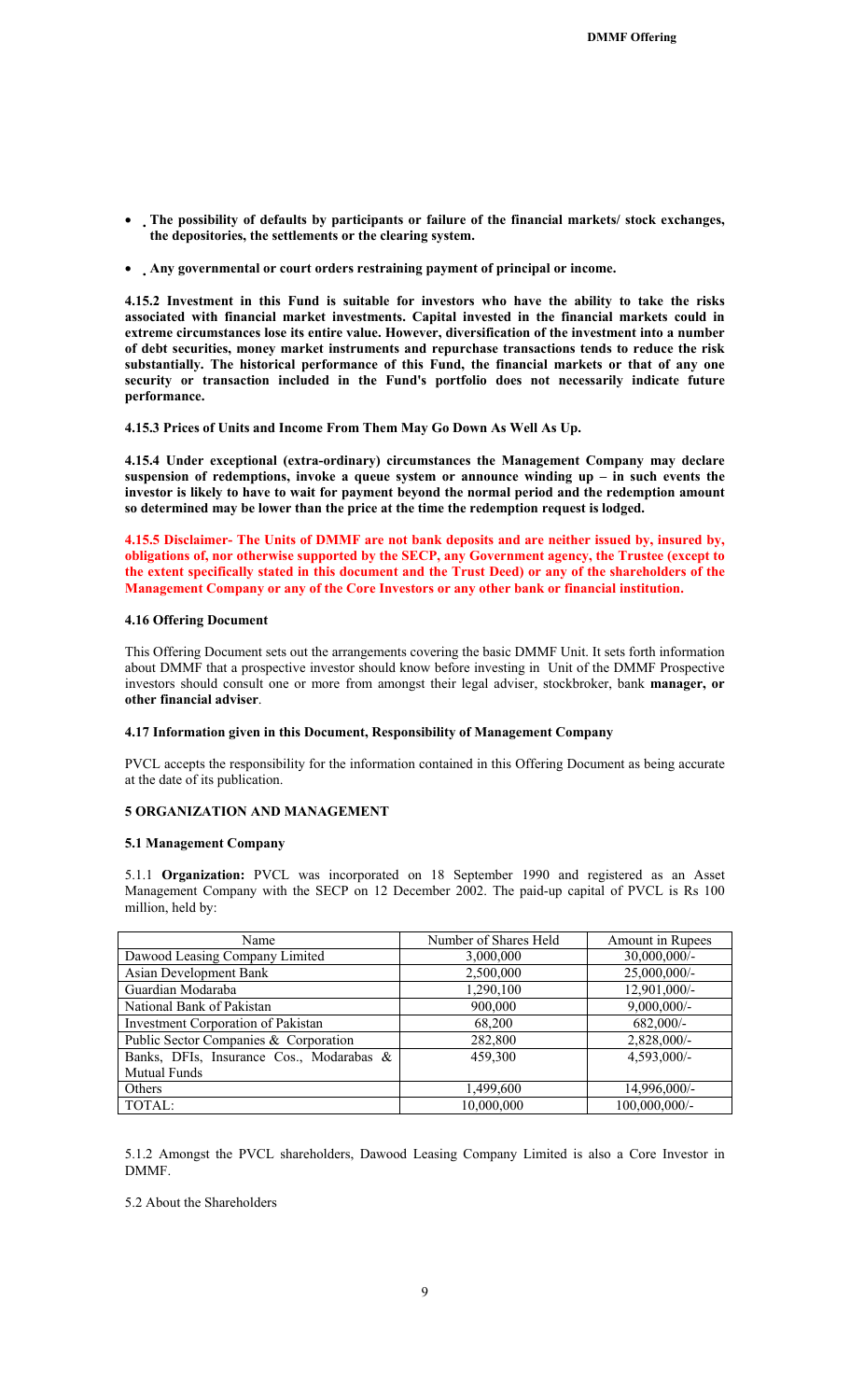- **The possibility of defaults by participants or failure of the financial markets/ stock exchanges, the depositories, the settlements or the clearing system.**
- **Any governmental or court orders restraining payment of principal or income.**

**4.15.2 Investment in this Fund is suitable for investors who have the ability to take the risks associated with financial market investments. Capital invested in the financial markets could in extreme circumstances lose its entire value. However, diversification of the investment into a number of debt securities, money market instruments and repurchase transactions tends to reduce the risk substantially. The historical performance of this Fund, the financial markets or that of any one security or transaction included in the Fund's portfolio does not necessarily indicate future performance.** 

**4.15.3 Prices of Units and Income From Them May Go Down As Well As Up.** 

**4.15.4 Under exceptional (extra-ordinary) circumstances the Management Company may declare suspension of redemptions, invoke a queue system or announce winding up – in such events the investor is likely to have to wait for payment beyond the normal period and the redemption amount so determined may be lower than the price at the time the redemption request is lodged.** 

**4.15.5 Disclaimer- The Units of DMMF are not bank deposits and are neither issued by, insured by, obligations of, nor otherwise supported by the SECP, any Government agency, the Trustee (except to the extent specifically stated in this document and the Trust Deed) or any of the shareholders of the Management Company or any of the Core Investors or any other bank or financial institution.** 

#### **4.16 Offering Document**

This Offering Document sets out the arrangements covering the basic DMMF Unit. It sets forth information about DMMF that a prospective investor should know before investing in Unit of the DMMF Prospective investors should consult one or more from amongst their legal adviser, stockbroker, bank **manager, or other financial adviser**.

#### **4.17 Information given in this Document, Responsibility of Management Company**

PVCL accepts the responsibility for the information contained in this Offering Document as being accurate at the date of its publication.

### **5 ORGANIZATION AND MANAGEMENT**

#### **5.1 Management Company**

5.1.1 **Organization:** PVCL was incorporated on 18 September 1990 and registered as an Asset Management Company with the SECP on 12 December 2002. The paid-up capital of PVCL is Rs 100 million, held by:

| Name                                     | Number of Shares Held | Amount in Rupees |
|------------------------------------------|-----------------------|------------------|
| Dawood Leasing Company Limited           | 3,000,000             | $30,000,000/$ -  |
| <b>Asian Development Bank</b>            | 2,500,000             | 25,000,000/-     |
| Guardian Modaraba                        | 1,290,100             | 12,901,000/-     |
| National Bank of Pakistan                | 900,000               | $9,000,000/$ -   |
| Investment Corporation of Pakistan       | 68,200                | $682,000/-$      |
| Public Sector Companies & Corporation    | 282,800               | 2,828,000/-      |
| Banks, DFIs, Insurance Cos., Modarabas & | 459,300               | 4,593,000/-      |
| Mutual Funds                             |                       |                  |
| Others                                   | 1,499,600             | 14,996,000/-     |
| TOTAL:                                   | 10,000,000            | 100,000,000/-    |

5.1.2 Amongst the PVCL shareholders, Dawood Leasing Company Limited is also a Core Investor in DMMF.

5.2 About the Shareholders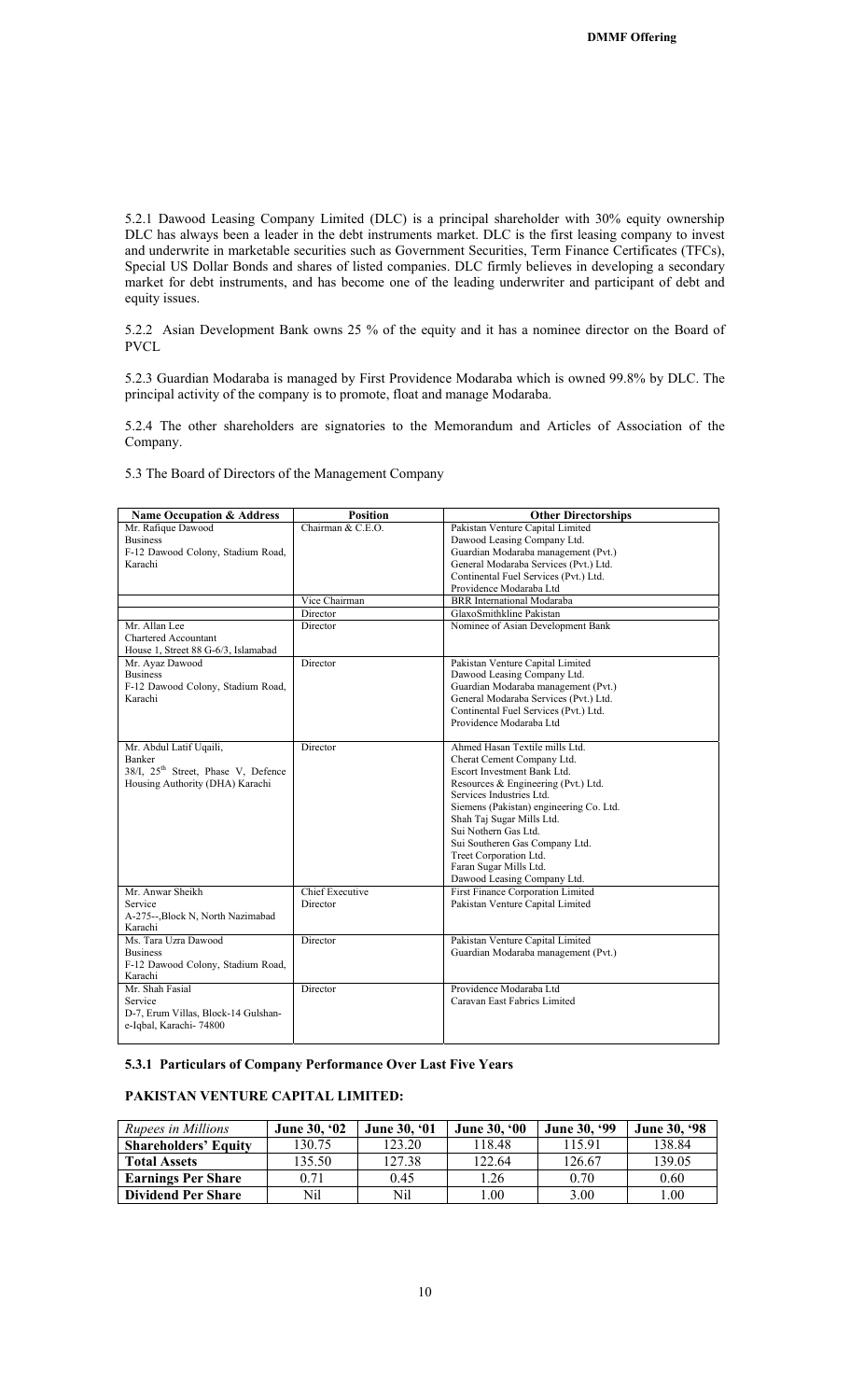5.2.1 Dawood Leasing Company Limited (DLC) is a principal shareholder with 30% equity ownership DLC has always been a leader in the debt instruments market. DLC is the first leasing company to invest and underwrite in marketable securities such as Government Securities, Term Finance Certificates (TFCs), Special US Dollar Bonds and shares of listed companies. DLC firmly believes in developing a secondary market for debt instruments, and has become one of the leading underwriter and participant of debt and equity issues.

5.2.2 Asian Development Bank owns 25 % of the equity and it has a nominee director on the Board of PVCL

5.2.3 Guardian Modaraba is managed by First Providence Modaraba which is owned 99.8% by DLC. The principal activity of the company is to promote, float and manage Modaraba.

5.2.4 The other shareholders are signatories to the Memorandum and Articles of Association of the Company.

5.3 The Board of Directors of the Management Company

| <b>Name Occupation &amp; Address</b>                                                                                    | <b>Position</b>                    | <b>Other Directorships</b>                                                                                                                                                                                                                                                                                                                                                          |
|-------------------------------------------------------------------------------------------------------------------------|------------------------------------|-------------------------------------------------------------------------------------------------------------------------------------------------------------------------------------------------------------------------------------------------------------------------------------------------------------------------------------------------------------------------------------|
| Mr. Rafique Dawood<br><b>Business</b><br>F-12 Dawood Colony, Stadium Road,                                              | Chairman & C.E.O.                  | Pakistan Venture Capital Limited<br>Dawood Leasing Company Ltd.<br>Guardian Modaraba management (Pvt.)                                                                                                                                                                                                                                                                              |
| Karachi                                                                                                                 |                                    | General Modaraba Services (Pvt.) Ltd.                                                                                                                                                                                                                                                                                                                                               |
|                                                                                                                         |                                    | Continental Fuel Services (Pvt.) Ltd.                                                                                                                                                                                                                                                                                                                                               |
|                                                                                                                         |                                    | Providence Modaraba Ltd                                                                                                                                                                                                                                                                                                                                                             |
|                                                                                                                         | Vice Chairman                      | <b>BRR</b> International Modaraba                                                                                                                                                                                                                                                                                                                                                   |
|                                                                                                                         | Director                           | GlaxoSmithkline Pakistan                                                                                                                                                                                                                                                                                                                                                            |
| Mr. Allan Lee<br><b>Chartered Accountant</b><br>House 1, Street 88 G-6/3, Islamabad                                     | Director                           | Nominee of Asian Development Bank                                                                                                                                                                                                                                                                                                                                                   |
| Mr. Ayaz Dawood<br><b>Business</b><br>F-12 Dawood Colony, Stadium Road,<br>Karachi                                      | Director                           | Pakistan Venture Capital Limited<br>Dawood Leasing Company Ltd.<br>Guardian Modaraba management (Pvt.)<br>General Modaraba Services (Pvt.) Ltd.<br>Continental Fuel Services (Pvt.) Ltd.<br>Providence Modaraba Ltd                                                                                                                                                                 |
| Mr. Abdul Latif Uqaili,<br>Banker<br>38/I, 25 <sup>th</sup> Street, Phase V, Defence<br>Housing Authority (DHA) Karachi | Director                           | Ahmed Hasan Textile mills Ltd.<br>Cherat Cement Company Ltd.<br>Escort Investment Bank Ltd.<br>Resources & Engineering (Pvt.) Ltd.<br>Services Industries Ltd.<br>Siemens (Pakistan) engineering Co. Ltd.<br>Shah Taj Sugar Mills Ltd.<br>Sui Nothern Gas Ltd.<br>Sui Southeren Gas Company Ltd.<br>Treet Corporation Ltd.<br>Faran Sugar Mills Ltd.<br>Dawood Leasing Company Ltd. |
| Mr. Anwar Sheikh<br>Service<br>A-275--, Block N, North Nazimabad<br>Karachi                                             | <b>Chief Executive</b><br>Director | First Finance Corporation Limited<br>Pakistan Venture Capital Limited                                                                                                                                                                                                                                                                                                               |
| Ms. Tara Uzra Dawood<br><b>Business</b><br>F-12 Dawood Colony, Stadium Road,<br>Karachi                                 | Director                           | Pakistan Venture Capital Limited<br>Guardian Modaraba management (Pvt.)                                                                                                                                                                                                                                                                                                             |
| Mr. Shah Fasial<br>Service<br>D-7, Erum Villas, Block-14 Gulshan-<br>e-Iqbal, Karachi- 74800                            | Director                           | Providence Modaraba Ltd<br>Caravan East Fabrics Limited                                                                                                                                                                                                                                                                                                                             |

### **5.3.1 Particulars of Company Performance Over Last Five Years**

#### **PAKISTAN VENTURE CAPITAL LIMITED:**

| Rupees in Millions          | June 30, '02 | June 30, '01 | June 30, '00 | June 30, '99 | June 30, '98 |
|-----------------------------|--------------|--------------|--------------|--------------|--------------|
| <b>Shareholders' Equity</b> | 30.75        | 123.20       | 118.48       | 115.91       | 138.84       |
| <b>Total Assets</b>         | 135.50       | 127.38       | 122.64       | 126.67       | 139.05       |
| <b>Earnings Per Share</b>   | 0.71         | 0.45         | 1.26         | 0.70         | 0.60         |
| <b>Dividend Per Share</b>   | Nil          | Nil          | .00          | 3.00         | .00          |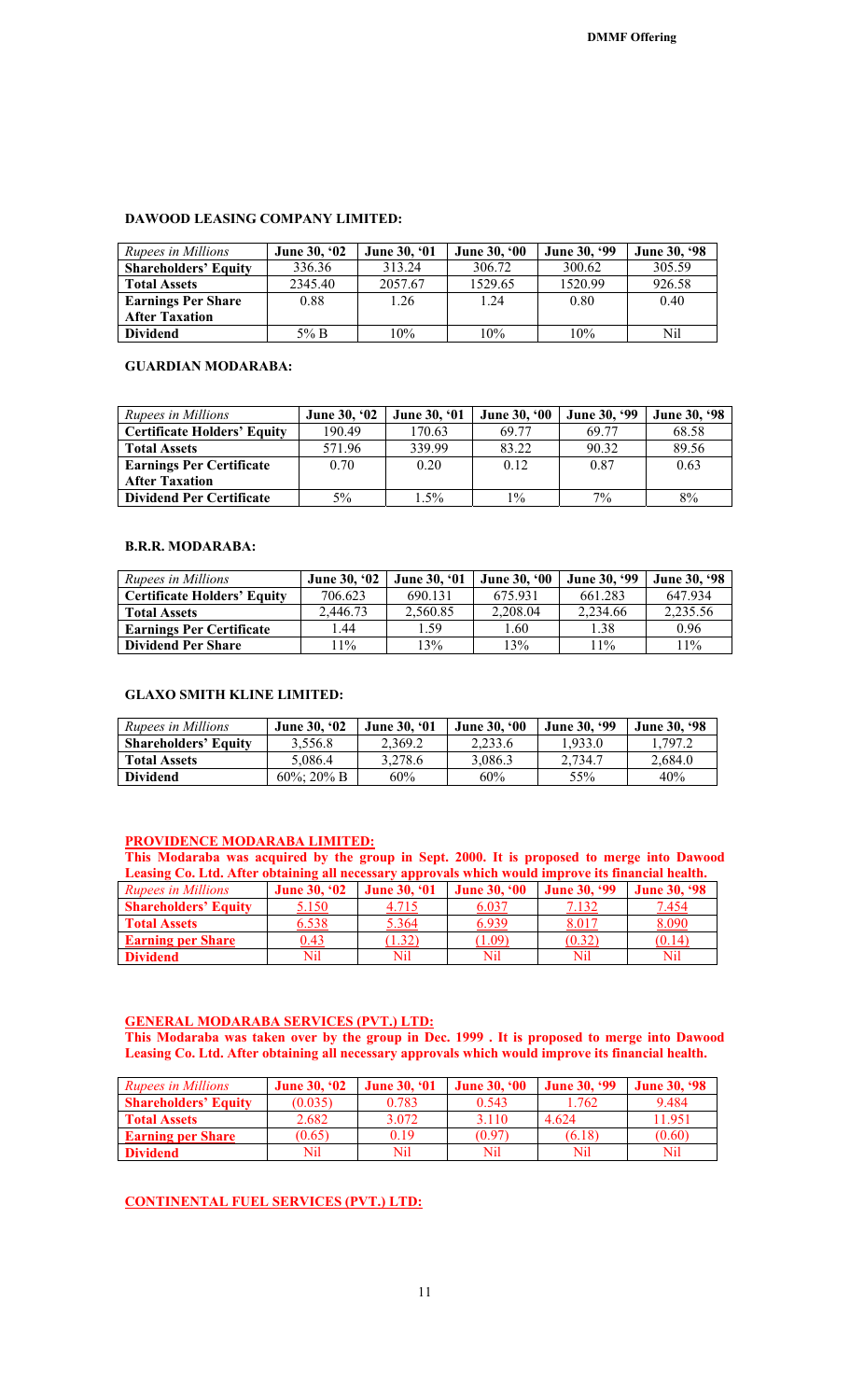#### **DAWOOD LEASING COMPANY LIMITED:**

| Rupees in Millions          | June 30, '02 | June 30, '01 | June 30, '00 | June 30, '99 | June 30, '98 |
|-----------------------------|--------------|--------------|--------------|--------------|--------------|
| <b>Shareholders' Equity</b> | 336.36       | 313.24       | 306.72       | 300.62       | 305.59       |
| <b>Total Assets</b>         | 2345.40      | 2057.67      | 1529.65      | 1520.99      | 926.58       |
| <b>Earnings Per Share</b>   | 0.88         | 1.26         | 1.24         | 0.80         | 0.40         |
| <b>After Taxation</b>       |              |              |              |              |              |
| <b>Dividend</b>             | 5% B         | 10%          | 10%          | 10%          | Nil          |

#### **GUARDIAN MODARABA:**

| Rupees in Millions                 | June 30, '02 | June 30, '01 | <b>June 30, '00</b> | June 30, '99 | June 30, '98 |
|------------------------------------|--------------|--------------|---------------------|--------------|--------------|
| <b>Certificate Holders' Equity</b> | 190.49       | 170.63       | 69.77               | 69.77        | 68.58        |
| <b>Total Assets</b>                | 571.96       | 339.99       | 83.22               | 90.32        | 89.56        |
| <b>Earnings Per Certificate</b>    | 0.70         | 0.20         | 0.12                | 0.87         | 0.63         |
| <b>After Taxation</b>              |              |              |                     |              |              |
| <b>Dividend Per Certificate</b>    | 5%           | $.5\%$       | $1\%$               | $7\%$        | 8%           |

#### **B.R.R. MODARABA:**

| Rupees in Millions                 | June 30, '02 | June 30, '01 | <b>June 30, '00</b> | June 30, '99 | June 30, '98 |
|------------------------------------|--------------|--------------|---------------------|--------------|--------------|
| <b>Certificate Holders' Equity</b> | 706.623      | 690.131      | 675931              | 661.283      | 647 934      |
| <b>Total Assets</b>                | 2.446.73     | 2.560.85     | 2.208.04            | 2.234.66     | 2.235.56     |
| <b>Earnings Per Certificate</b>    | .44          | .59          | 1.60                | 1.38         | 0.96         |
| Dividend Per Share                 | $1\%$        | 13%          | 13%                 | $1\%$        | $1\%$        |

#### **GLAXO SMITH KLINE LIMITED:**

| Rupees in Millions          | June 30, '02 | June 30, '01 | June 30, '00 | -99<br><b>June 30.</b> | June 30, '98 |
|-----------------------------|--------------|--------------|--------------|------------------------|--------------|
| <b>Shareholders' Equity</b> | 3.556.8      | 2.369.2      | 2.233.6      | .933.0                 | .797.2       |
| <b>Total Assets</b>         | 5.086.4      | 3.278.6      | 3.086.3      | 2.734.7                | 2.684.0      |
| <b>Dividend</b>             | 60\%; 20\% B | 60%          | 60%          | 55%                    | 40%          |

# **PROVIDENCE MODARABA LIMITED:**

**This Modaraba was acquired by the group in Sept. 2000. It is proposed to merge into Dawood Leasing Co. Ltd. After obtaining all necessary approvals which would improve its financial health.** 

| <b>Rupees in Millions</b>   | <b>June 30, '02</b> | <b>June 30, '01</b> | <b>June 30, '00</b> | <b>June 30, '99</b> | <b>June 30, '98</b> |
|-----------------------------|---------------------|---------------------|---------------------|---------------------|---------------------|
| <b>Shareholders' Equity</b> | .150                |                     | $5.03^{-}$          | 7.132               | .454                |
| <b>Total Assets</b>         | .538                | 5.364               | 6.939               | 8.017               | 8.090               |
| <b>Earning per Share</b>    | 0.43                |                     | $1.09^{\circ}$      | (0.32)              | (0.14)              |
| <b>Dividend</b>             | Nil                 | Nil                 | Nil                 | Nil                 | Nil                 |

#### **GENERAL MODARABA SERVICES (PVT.) LTD:**

**This Modaraba was taken over by the group in Dec. 1999 . It is proposed to merge into Dawood Leasing Co. Ltd. After obtaining all necessary approvals which would improve its financial health.** 

| <b>Rupees in Millions</b>   | <b>June 30, '02</b> | <b>June 30, '01</b> | <b>June 30, '00</b> | <b>June 30, '99</b> | <b>June 30, '98</b> |
|-----------------------------|---------------------|---------------------|---------------------|---------------------|---------------------|
| <b>Shareholders' Equity</b> | (0.035)             | 0.783               | 0.543               | .762                | 9.484               |
| <b>Total Assets</b>         | 2.682               | 3.072               | 3.110               | 4 6 24              | 11.951              |
| <b>Earning per Share</b>    | (0.65)              | 0.19                | 0.97                | (6.18)              | (0.60)              |
| <b>Dividend</b>             | Nil                 | Nil                 | Nil                 | Nil                 | Nil                 |

# **CONTINENTAL FUEL SERVICES (PVT.) LTD:**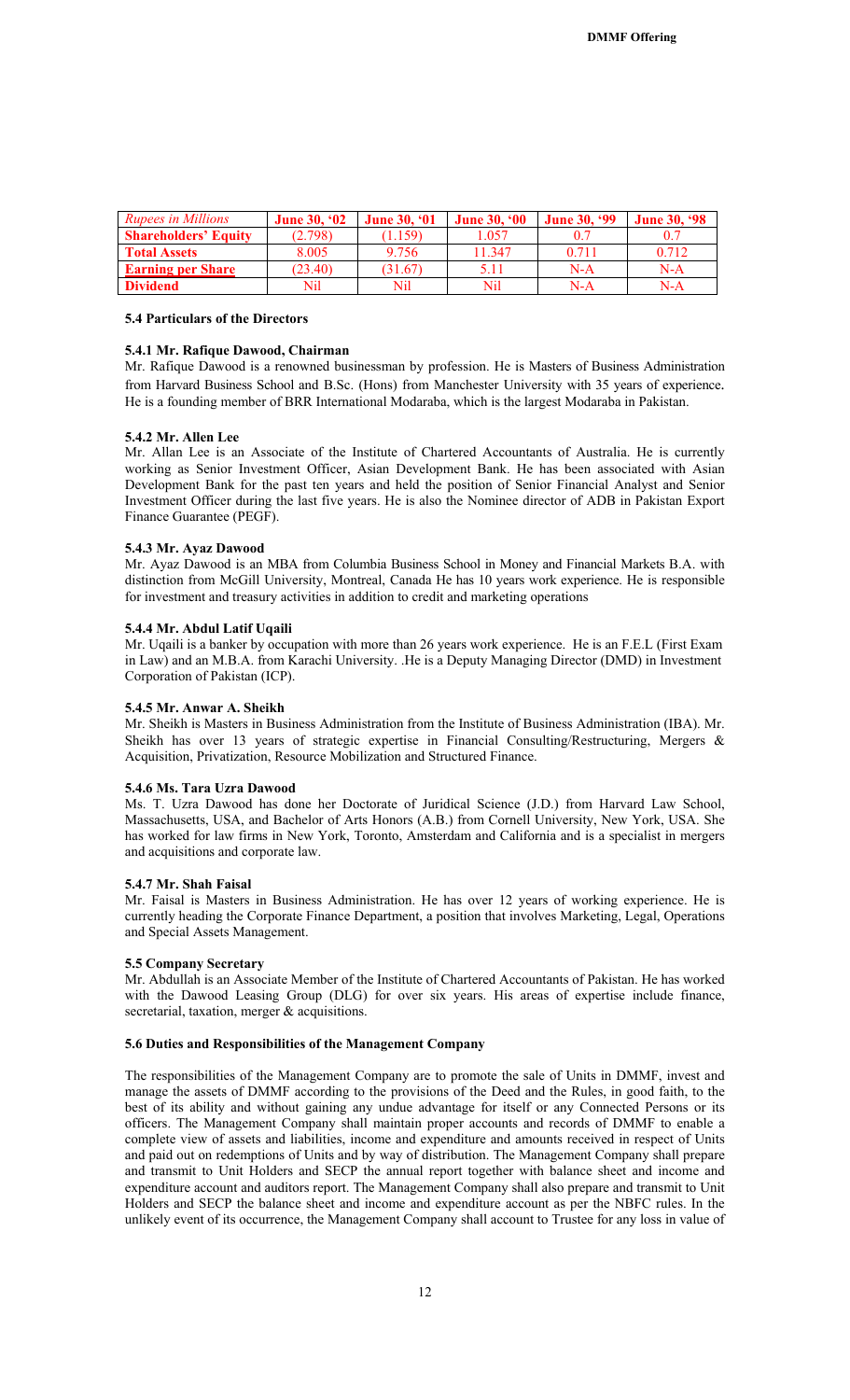| <b>Rupees in Millions</b>   | <b>June 30, '02</b> | <b>June 30, '01</b> | <b>June 30, '00</b> | <b>June 30, '99</b> | <b>June 30, '98</b> |
|-----------------------------|---------------------|---------------------|---------------------|---------------------|---------------------|
| <b>Shareholders' Equity</b> | (2.798)             | (1.159)             | .057                |                     |                     |
| <b>Total Assets</b>         | 8.005               | 9.756               | 11 347              | 0.71                | 0.712               |
| <b>Earning per Share</b>    | (23.40)             | 31.67               | 5.11                | N-A                 | $N-A$               |
| <b>Dividend</b>             | Nil                 | Nil                 | Nil                 | N-A                 | N-A                 |

#### **5.4 Particulars of the Directors**

#### **5.4.1 Mr. Rafique Dawood, Chairman**

Mr. Rafique Dawood is a renowned businessman by profession. He is Masters of Business Administration from Harvard Business School and B.Sc. (Hons) from Manchester University with 35 years of experience. He is a founding member of BRR International Modaraba, which is the largest Modaraba in Pakistan.

#### **5.4.2 Mr. Allen Lee**

Mr. Allan Lee is an Associate of the Institute of Chartered Accountants of Australia. He is currently working as Senior Investment Officer, Asian Development Bank. He has been associated with Asian Development Bank for the past ten years and held the position of Senior Financial Analyst and Senior Investment Officer during the last five years. He is also the Nominee director of ADB in Pakistan Export Finance Guarantee (PEGF).

#### **5.4.3 Mr. Ayaz Dawood**

Mr. Ayaz Dawood is an MBA from Columbia Business School in Money and Financial Markets B.A. with distinction from McGill University, Montreal, Canada He has 10 years work experience. He is responsible for investment and treasury activities in addition to credit and marketing operations

#### **5.4.4 Mr. Abdul Latif Uqaili**

Mr. Uqaili is a banker by occupation with more than 26 years work experience. He is an F.E.L (First Exam in Law) and an M.B.A. from Karachi University. .He is a Deputy Managing Director (DMD) in Investment Corporation of Pakistan (ICP).

#### **5.4.5 Mr. Anwar A. Sheikh**

Mr. Sheikh is Masters in Business Administration from the Institute of Business Administration (IBA). Mr. Sheikh has over 13 years of strategic expertise in Financial Consulting/Restructuring, Mergers & Acquisition, Privatization, Resource Mobilization and Structured Finance.

#### **5.4.6 Ms. Tara Uzra Dawood**

Ms. T. Uzra Dawood has done her Doctorate of Juridical Science (J.D.) from Harvard Law School, Massachusetts, USA, and Bachelor of Arts Honors (A.B.) from Cornell University, New York, USA. She has worked for law firms in New York, Toronto, Amsterdam and California and is a specialist in mergers and acquisitions and corporate law.

#### **5.4.7 Mr. Shah Faisal**

Mr. Faisal is Masters in Business Administration. He has over 12 years of working experience. He is currently heading the Corporate Finance Department, a position that involves Marketing, Legal, Operations and Special Assets Management.

#### **5.5 Company Secretary**

Mr. Abdullah is an Associate Member of the Institute of Chartered Accountants of Pakistan. He has worked with the Dawood Leasing Group (DLG) for over six years. His areas of expertise include finance, secretarial, taxation, merger & acquisitions.

#### **5.6 Duties and Responsibilities of the Management Company**

The responsibilities of the Management Company are to promote the sale of Units in DMMF, invest and manage the assets of DMMF according to the provisions of the Deed and the Rules, in good faith, to the best of its ability and without gaining any undue advantage for itself or any Connected Persons or its officers. The Management Company shall maintain proper accounts and records of DMMF to enable a complete view of assets and liabilities, income and expenditure and amounts received in respect of Units and paid out on redemptions of Units and by way of distribution. The Management Company shall prepare and transmit to Unit Holders and SECP the annual report together with balance sheet and income and expenditure account and auditors report. The Management Company shall also prepare and transmit to Unit Holders and SECP the balance sheet and income and expenditure account as per the NBFC rules. In the unlikely event of its occurrence, the Management Company shall account to Trustee for any loss in value of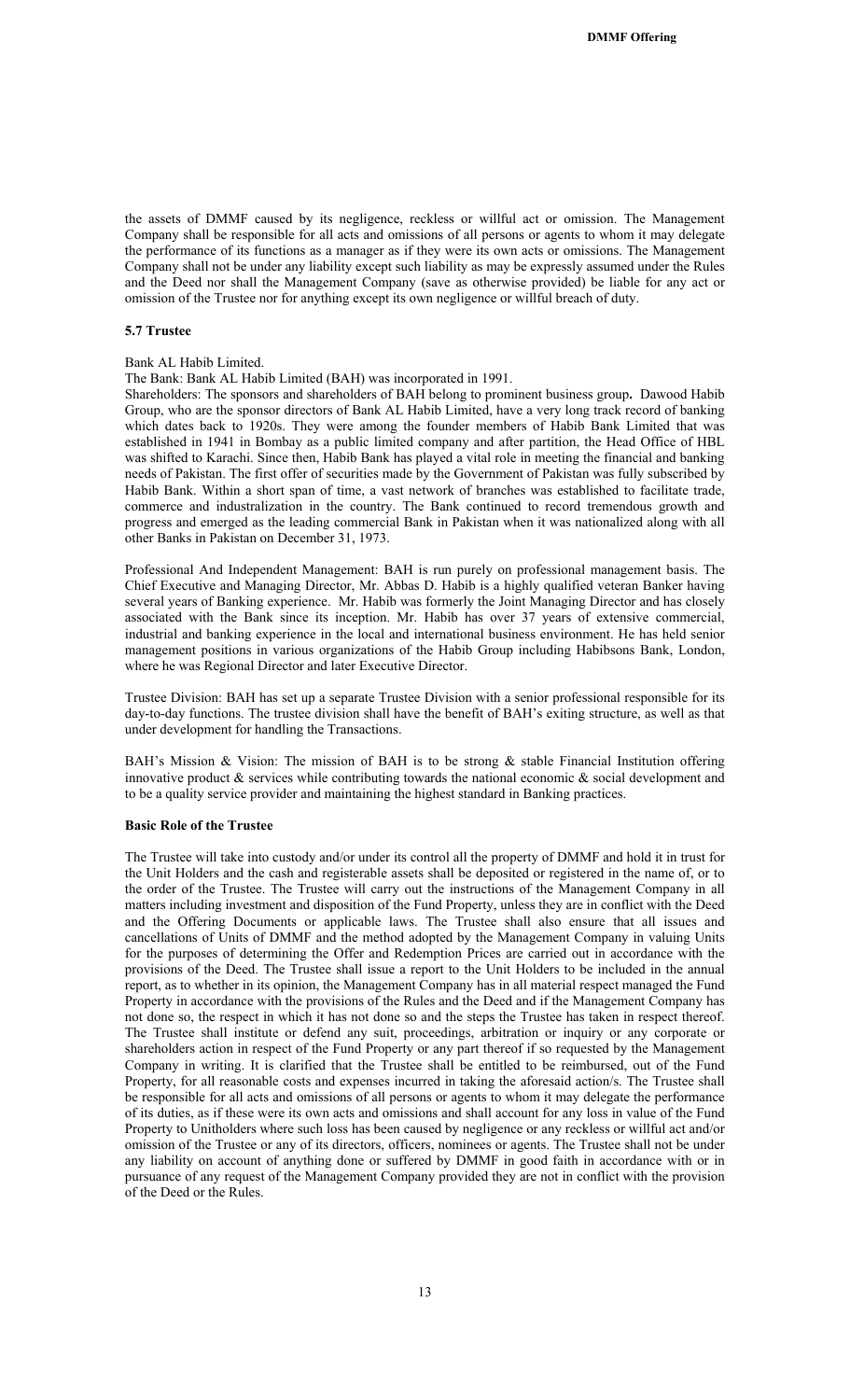the assets of DMMF caused by its negligence, reckless or willful act or omission. The Management Company shall be responsible for all acts and omissions of all persons or agents to whom it may delegate the performance of its functions as a manager as if they were its own acts or omissions. The Management Company shall not be under any liability except such liability as may be expressly assumed under the Rules and the Deed nor shall the Management Company (save as otherwise provided) be liable for any act or omission of the Trustee nor for anything except its own negligence or willful breach of duty.

#### **5.7 Trustee**

#### Bank AL Habib Limited.

The Bank: Bank AL Habib Limited (BAH) was incorporated in 1991.

Shareholders: The sponsors and shareholders of BAH belong to prominent business group**.** Dawood Habib Group, who are the sponsor directors of Bank AL Habib Limited, have a very long track record of banking which dates back to 1920s. They were among the founder members of Habib Bank Limited that was established in 1941 in Bombay as a public limited company and after partition, the Head Office of HBL was shifted to Karachi. Since then, Habib Bank has played a vital role in meeting the financial and banking needs of Pakistan. The first offer of securities made by the Government of Pakistan was fully subscribed by Habib Bank. Within a short span of time, a vast network of branches was established to facilitate trade, commerce and industralization in the country. The Bank continued to record tremendous growth and progress and emerged as the leading commercial Bank in Pakistan when it was nationalized along with all other Banks in Pakistan on December 31, 1973.

Professional And Independent Management: BAH is run purely on professional management basis. The Chief Executive and Managing Director, Mr. Abbas D. Habib is a highly qualified veteran Banker having several years of Banking experience. Mr. Habib was formerly the Joint Managing Director and has closely associated with the Bank since its inception. Mr. Habib has over 37 years of extensive commercial, industrial and banking experience in the local and international business environment. He has held senior management positions in various organizations of the Habib Group including Habibsons Bank, London, where he was Regional Director and later Executive Director.

Trustee Division: BAH has set up a separate Trustee Division with a senior professional responsible for its day-to-day functions. The trustee division shall have the benefit of BAH's exiting structure, as well as that under development for handling the Transactions.

BAH's Mission & Vision: The mission of BAH is to be strong & stable Financial Institution offering innovative product & services while contributing towards the national economic & social development and to be a quality service provider and maintaining the highest standard in Banking practices.

#### **Basic Role of the Trustee**

The Trustee will take into custody and/or under its control all the property of DMMF and hold it in trust for the Unit Holders and the cash and registerable assets shall be deposited or registered in the name of, or to the order of the Trustee. The Trustee will carry out the instructions of the Management Company in all matters including investment and disposition of the Fund Property, unless they are in conflict with the Deed and the Offering Documents or applicable laws. The Trustee shall also ensure that all issues and cancellations of Units of DMMF and the method adopted by the Management Company in valuing Units for the purposes of determining the Offer and Redemption Prices are carried out in accordance with the provisions of the Deed. The Trustee shall issue a report to the Unit Holders to be included in the annual report, as to whether in its opinion, the Management Company has in all material respect managed the Fund Property in accordance with the provisions of the Rules and the Deed and if the Management Company has not done so, the respect in which it has not done so and the steps the Trustee has taken in respect thereof. The Trustee shall institute or defend any suit, proceedings, arbitration or inquiry or any corporate or shareholders action in respect of the Fund Property or any part thereof if so requested by the Management Company in writing. It is clarified that the Trustee shall be entitled to be reimbursed, out of the Fund Property, for all reasonable costs and expenses incurred in taking the aforesaid action/s. The Trustee shall be responsible for all acts and omissions of all persons or agents to whom it may delegate the performance of its duties, as if these were its own acts and omissions and shall account for any loss in value of the Fund Property to Unitholders where such loss has been caused by negligence or any reckless or willful act and/or omission of the Trustee or any of its directors, officers, nominees or agents. The Trustee shall not be under any liability on account of anything done or suffered by DMMF in good faith in accordance with or in pursuance of any request of the Management Company provided they are not in conflict with the provision of the Deed or the Rules.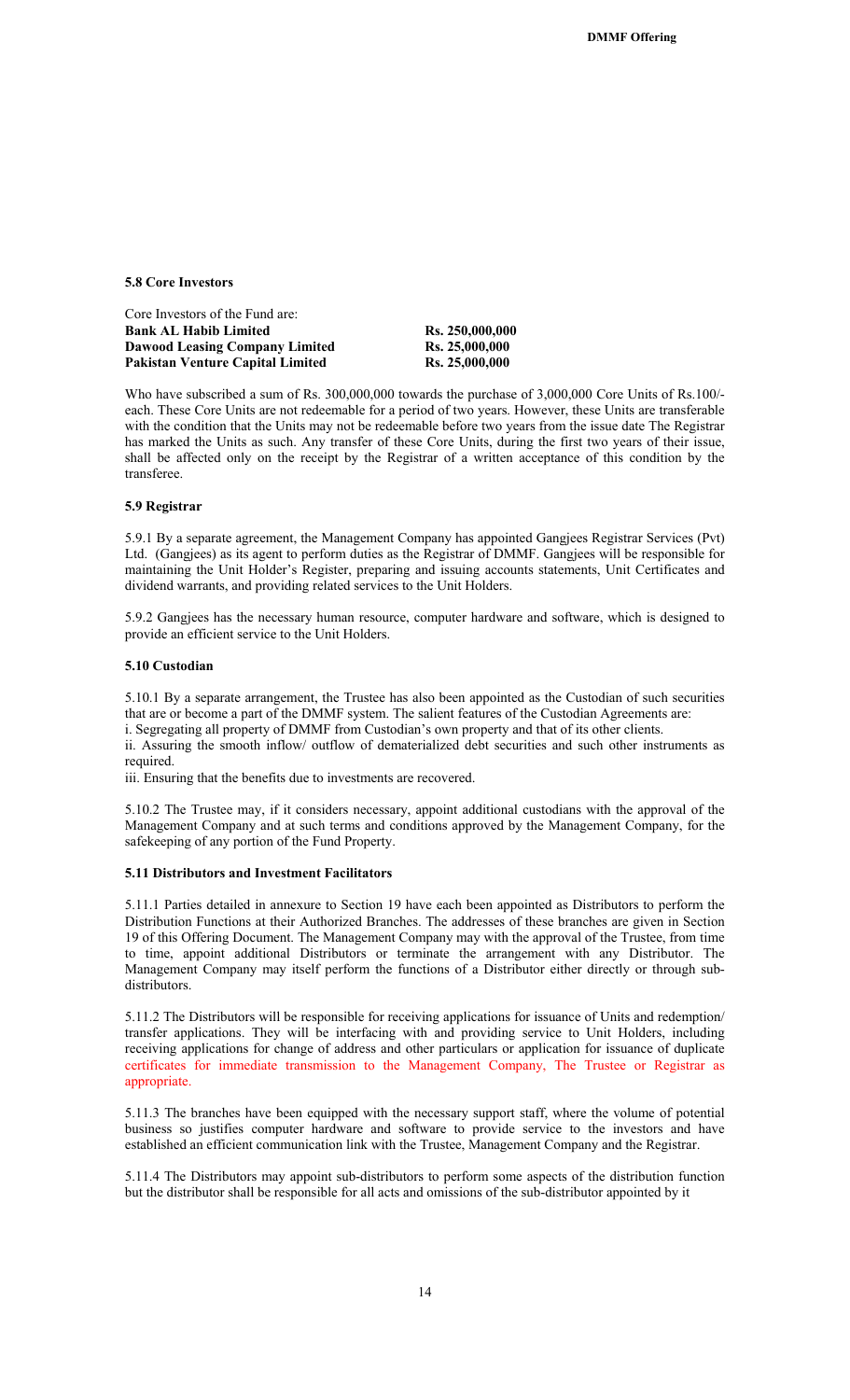#### **5.8 Core Investors**

Core Investors of the Fund are: **Bank AL Habib Limited 8. 250,000,000<br>
Dawood Leasing Company Limited Rs. 25,000,000 Dawood Leasing Company Limited** Pakistan Venture Capital Limited **Rs. 25,000,000** 

Who have subscribed a sum of Rs. 300,000,000 towards the purchase of 3,000,000 Core Units of Rs.100/ each. These Core Units are not redeemable for a period of two years. However, these Units are transferable with the condition that the Units may not be redeemable before two years from the issue date The Registrar has marked the Units as such. Any transfer of these Core Units, during the first two years of their issue, shall be affected only on the receipt by the Registrar of a written acceptance of this condition by the transferee.

#### **5.9 Registrar**

5.9.1 By a separate agreement, the Management Company has appointed Gangjees Registrar Services (Pvt) Ltd. (Gangjees) as its agent to perform duties as the Registrar of DMMF. Gangjees will be responsible for maintaining the Unit Holder's Register, preparing and issuing accounts statements, Unit Certificates and dividend warrants, and providing related services to the Unit Holders.

5.9.2 Gangjees has the necessary human resource, computer hardware and software, which is designed to provide an efficient service to the Unit Holders.

#### **5.10 Custodian**

5.10.1 By a separate arrangement, the Trustee has also been appointed as the Custodian of such securities that are or become a part of the DMMF system. The salient features of the Custodian Agreements are:

i. Segregating all property of DMMF from Custodian's own property and that of its other clients.

ii. Assuring the smooth inflow/ outflow of dematerialized debt securities and such other instruments as required.

iii. Ensuring that the benefits due to investments are recovered.

5.10.2 The Trustee may, if it considers necessary, appoint additional custodians with the approval of the Management Company and at such terms and conditions approved by the Management Company, for the safekeeping of any portion of the Fund Property.

#### **5.11 Distributors and Investment Facilitators**

5.11.1 Parties detailed in annexure to Section 19 have each been appointed as Distributors to perform the Distribution Functions at their Authorized Branches. The addresses of these branches are given in Section 19 of this Offering Document. The Management Company may with the approval of the Trustee, from time to time, appoint additional Distributors or terminate the arrangement with any Distributor. The Management Company may itself perform the functions of a Distributor either directly or through subdistributors.

5.11.2 The Distributors will be responsible for receiving applications for issuance of Units and redemption/ transfer applications. They will be interfacing with and providing service to Unit Holders, including receiving applications for change of address and other particulars or application for issuance of duplicate certificates for immediate transmission to the Management Company, The Trustee or Registrar as appropriate.

5.11.3 The branches have been equipped with the necessary support staff, where the volume of potential business so justifies computer hardware and software to provide service to the investors and have established an efficient communication link with the Trustee, Management Company and the Registrar.

5.11.4 The Distributors may appoint sub-distributors to perform some aspects of the distribution function but the distributor shall be responsible for all acts and omissions of the sub-distributor appointed by it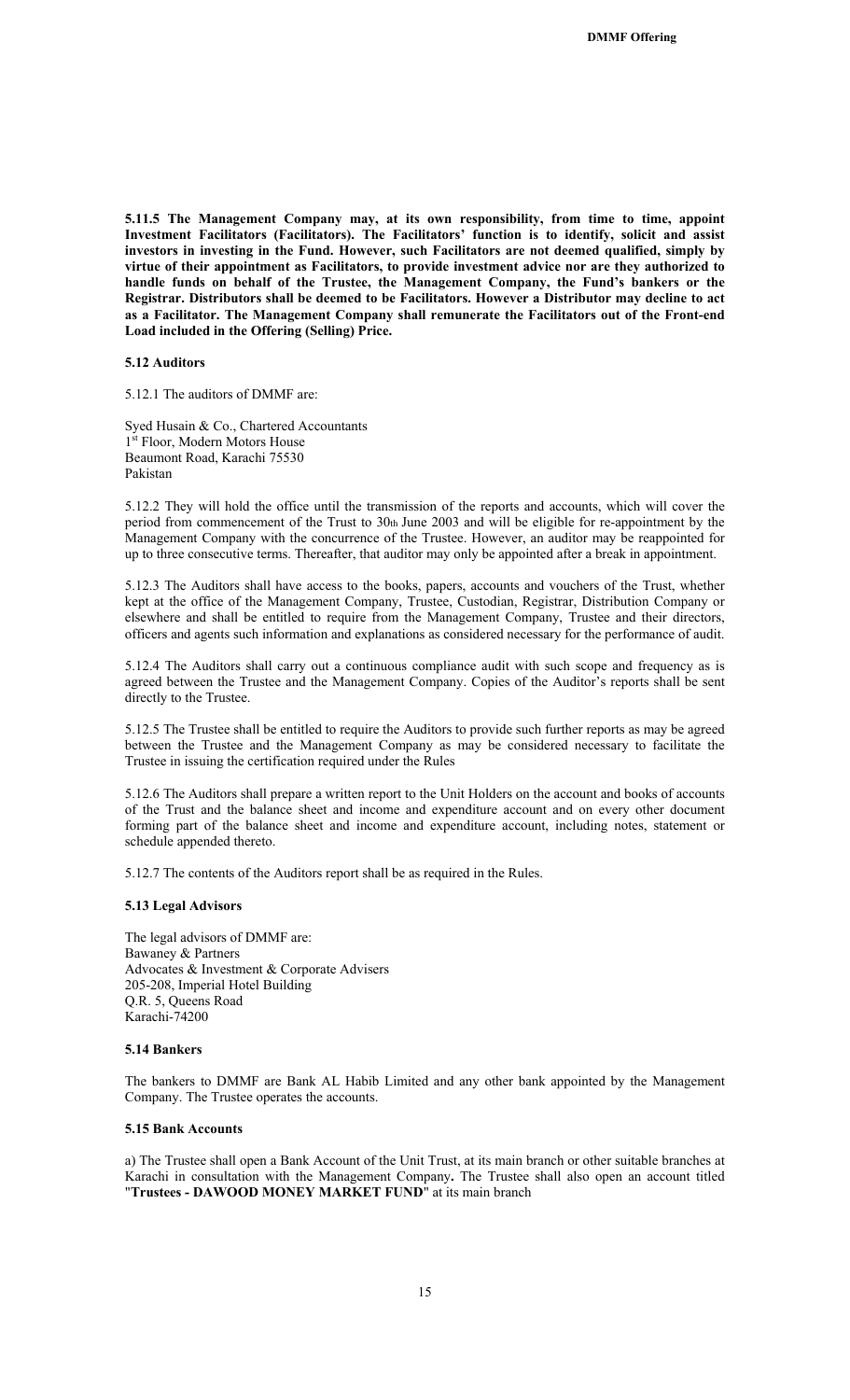**5.11.5 The Management Company may, at its own responsibility, from time to time, appoint Investment Facilitators (Facilitators). The Facilitators' function is to identify, solicit and assist investors in investing in the Fund. However, such Facilitators are not deemed qualified, simply by virtue of their appointment as Facilitators, to provide investment advice nor are they authorized to handle funds on behalf of the Trustee, the Management Company, the Fund's bankers or the Registrar. Distributors shall be deemed to be Facilitators. However a Distributor may decline to act as a Facilitator. The Management Company shall remunerate the Facilitators out of the Front-end Load included in the Offering (Selling) Price.** 

#### **5.12 Auditors**

5.12.1 The auditors of DMMF are:

Syed Husain & Co., Chartered Accountants 1<sup>st</sup> Floor, Modern Motors House Beaumont Road, Karachi 75530 Pakistan

5.12.2 They will hold the office until the transmission of the reports and accounts, which will cover the period from commencement of the Trust to 30th June 2003 and will be eligible for re-appointment by the Management Company with the concurrence of the Trustee. However, an auditor may be reappointed for up to three consecutive terms. Thereafter, that auditor may only be appointed after a break in appointment.

5.12.3 The Auditors shall have access to the books, papers, accounts and vouchers of the Trust, whether kept at the office of the Management Company, Trustee, Custodian, Registrar, Distribution Company or elsewhere and shall be entitled to require from the Management Company, Trustee and their directors, officers and agents such information and explanations as considered necessary for the performance of audit.

5.12.4 The Auditors shall carry out a continuous compliance audit with such scope and frequency as is agreed between the Trustee and the Management Company. Copies of the Auditor's reports shall be sent directly to the Trustee.

5.12.5 The Trustee shall be entitled to require the Auditors to provide such further reports as may be agreed between the Trustee and the Management Company as may be considered necessary to facilitate the Trustee in issuing the certification required under the Rules

5.12.6 The Auditors shall prepare a written report to the Unit Holders on the account and books of accounts of the Trust and the balance sheet and income and expenditure account and on every other document forming part of the balance sheet and income and expenditure account, including notes, statement or schedule appended thereto.

5.12.7 The contents of the Auditors report shall be as required in the Rules.

#### **5.13 Legal Advisors**

The legal advisors of DMMF are: Bawaney & Partners Advocates & Investment & Corporate Advisers 205-208, Imperial Hotel Building Q.R. 5, Queens Road Karachi-74200

#### **5.14 Bankers**

The bankers to DMMF are Bank AL Habib Limited and any other bank appointed by the Management Company. The Trustee operates the accounts.

#### **5.15 Bank Accounts**

a) The Trustee shall open a Bank Account of the Unit Trust, at its main branch or other suitable branches at Karachi in consultation with the Management Company**.** The Trustee shall also open an account titled "**Trustees - DAWOOD MONEY MARKET FUND**" at its main branch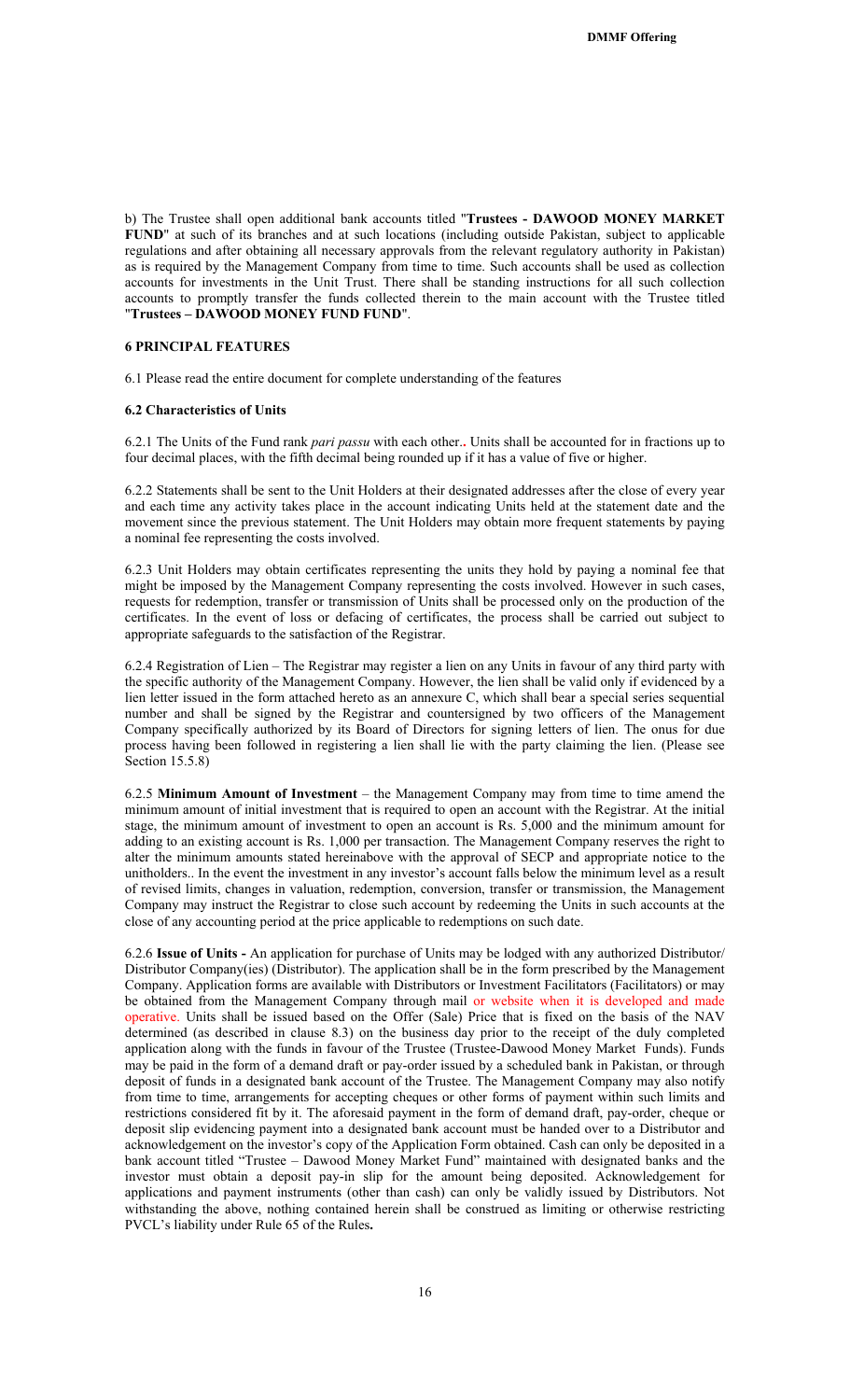b) The Trustee shall open additional bank accounts titled "**Trustees - DAWOOD MONEY MARKET FUND**" at such of its branches and at such locations (including outside Pakistan, subject to applicable regulations and after obtaining all necessary approvals from the relevant regulatory authority in Pakistan) as is required by the Management Company from time to time. Such accounts shall be used as collection accounts for investments in the Unit Trust. There shall be standing instructions for all such collection accounts to promptly transfer the funds collected therein to the main account with the Trustee titled "**Trustees – DAWOOD MONEY FUND FUND**".

#### **6 PRINCIPAL FEATURES**

6.1 Please read the entire document for complete understanding of the features

#### **6.2 Characteristics of Units**

6.2.1 The Units of the Fund rank *pari passu* with each other.**.** Units shall be accounted for in fractions up to four decimal places, with the fifth decimal being rounded up if it has a value of five or higher.

6.2.2 Statements shall be sent to the Unit Holders at their designated addresses after the close of every year and each time any activity takes place in the account indicating Units held at the statement date and the movement since the previous statement. The Unit Holders may obtain more frequent statements by paying a nominal fee representing the costs involved.

6.2.3 Unit Holders may obtain certificates representing the units they hold by paying a nominal fee that might be imposed by the Management Company representing the costs involved. However in such cases, requests for redemption, transfer or transmission of Units shall be processed only on the production of the certificates. In the event of loss or defacing of certificates, the process shall be carried out subject to appropriate safeguards to the satisfaction of the Registrar.

6.2.4 Registration of Lien – The Registrar may register a lien on any Units in favour of any third party with the specific authority of the Management Company. However, the lien shall be valid only if evidenced by a lien letter issued in the form attached hereto as an annexure C, which shall bear a special series sequential number and shall be signed by the Registrar and countersigned by two officers of the Management Company specifically authorized by its Board of Directors for signing letters of lien. The onus for due process having been followed in registering a lien shall lie with the party claiming the lien. (Please see Section 15.5.8)

6.2.5 **Minimum Amount of Investment** – the Management Company may from time to time amend the minimum amount of initial investment that is required to open an account with the Registrar. At the initial stage, the minimum amount of investment to open an account is Rs. 5,000 and the minimum amount for adding to an existing account is Rs. 1,000 per transaction. The Management Company reserves the right to alter the minimum amounts stated hereinabove with the approval of SECP and appropriate notice to the unitholders.. In the event the investment in any investor's account falls below the minimum level as a result of revised limits, changes in valuation, redemption, conversion, transfer or transmission, the Management Company may instruct the Registrar to close such account by redeeming the Units in such accounts at the close of any accounting period at the price applicable to redemptions on such date.

6.2.6 **Issue of Units -** An application for purchase of Units may be lodged with any authorized Distributor/ Distributor Company(ies) (Distributor). The application shall be in the form prescribed by the Management Company. Application forms are available with Distributors or Investment Facilitators (Facilitators) or may be obtained from the Management Company through mail or website when it is developed and made operative. Units shall be issued based on the Offer (Sale) Price that is fixed on the basis of the NAV determined (as described in clause 8.3) on the business day prior to the receipt of the duly completed application along with the funds in favour of the Trustee (Trustee-Dawood Money Market Funds). Funds may be paid in the form of a demand draft or pay-order issued by a scheduled bank in Pakistan, or through deposit of funds in a designated bank account of the Trustee. The Management Company may also notify from time to time, arrangements for accepting cheques or other forms of payment within such limits and restrictions considered fit by it. The aforesaid payment in the form of demand draft, pay-order, cheque or deposit slip evidencing payment into a designated bank account must be handed over to a Distributor and acknowledgement on the investor's copy of the Application Form obtained. Cash can only be deposited in a bank account titled "Trustee – Dawood Money Market Fund" maintained with designated banks and the investor must obtain a deposit pay-in slip for the amount being deposited. Acknowledgement for applications and payment instruments (other than cash) can only be validly issued by Distributors. Not withstanding the above, nothing contained herein shall be construed as limiting or otherwise restricting PVCL's liability under Rule 65 of the Rules**.**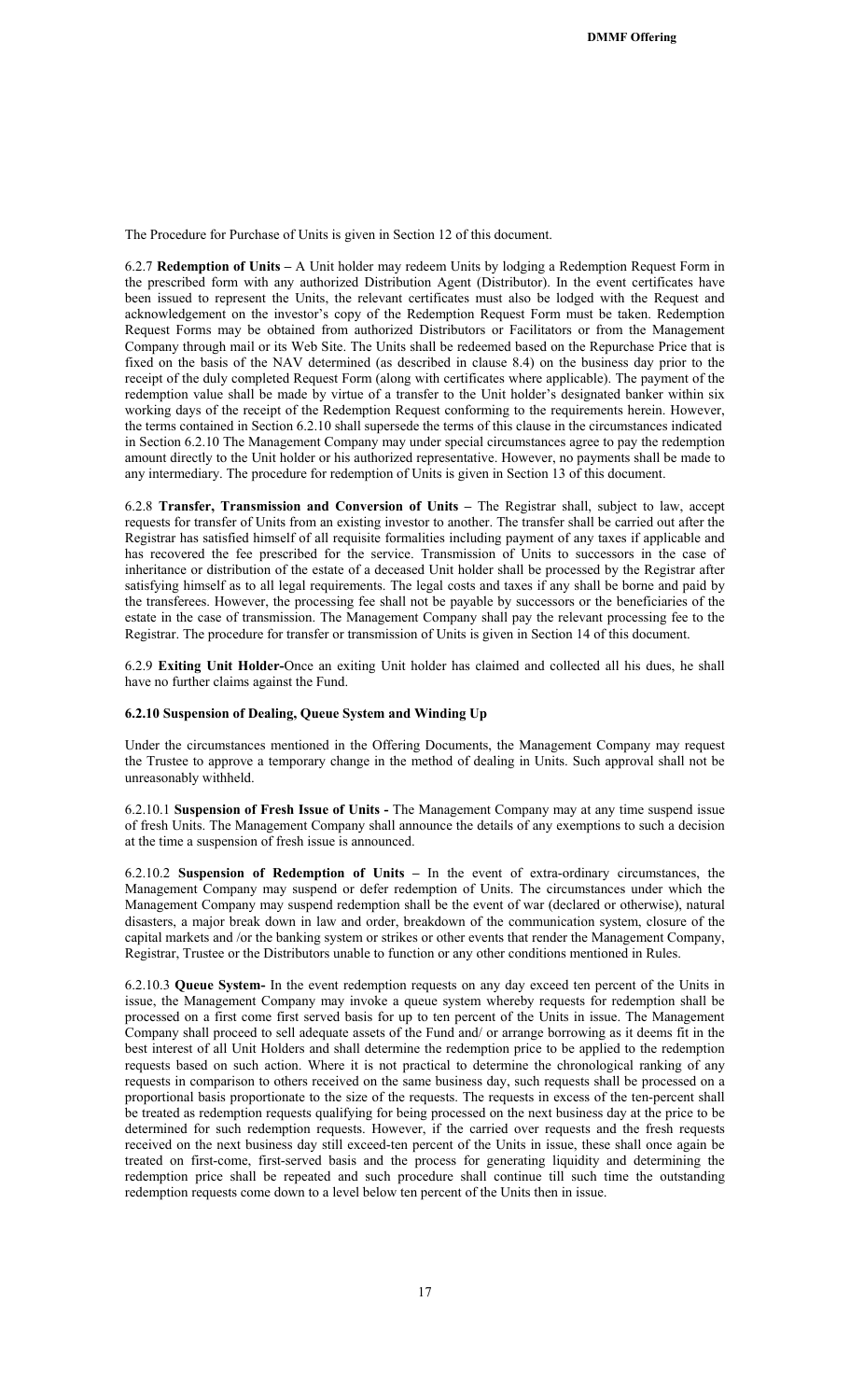The Procedure for Purchase of Units is given in Section 12 of this document.

6.2.7 **Redemption of Units –** A Unit holder may redeem Units by lodging a Redemption Request Form in the prescribed form with any authorized Distribution Agent (Distributor). In the event certificates have been issued to represent the Units, the relevant certificates must also be lodged with the Request and acknowledgement on the investor's copy of the Redemption Request Form must be taken. Redemption Request Forms may be obtained from authorized Distributors or Facilitators or from the Management Company through mail or its Web Site. The Units shall be redeemed based on the Repurchase Price that is fixed on the basis of the NAV determined (as described in clause 8.4) on the business day prior to the receipt of the duly completed Request Form (along with certificates where applicable). The payment of the redemption value shall be made by virtue of a transfer to the Unit holder's designated banker within six working days of the receipt of the Redemption Request conforming to the requirements herein. However, the terms contained in Section 6.2.10 shall supersede the terms of this clause in the circumstances indicated in Section 6.2.10 The Management Company may under special circumstances agree to pay the redemption amount directly to the Unit holder or his authorized representative. However, no payments shall be made to any intermediary. The procedure for redemption of Units is given in Section 13 of this document.

6.2.8 **Transfer, Transmission and Conversion of Units –** The Registrar shall, subject to law, accept requests for transfer of Units from an existing investor to another. The transfer shall be carried out after the Registrar has satisfied himself of all requisite formalities including payment of any taxes if applicable and has recovered the fee prescribed for the service. Transmission of Units to successors in the case of inheritance or distribution of the estate of a deceased Unit holder shall be processed by the Registrar after satisfying himself as to all legal requirements. The legal costs and taxes if any shall be borne and paid by the transferees. However, the processing fee shall not be payable by successors or the beneficiaries of the estate in the case of transmission. The Management Company shall pay the relevant processing fee to the Registrar. The procedure for transfer or transmission of Units is given in Section 14 of this document.

6.2.9 **Exiting Unit Holder-**Once an exiting Unit holder has claimed and collected all his dues, he shall have no further claims against the Fund.

#### **6.2.10 Suspension of Dealing, Queue System and Winding Up**

Under the circumstances mentioned in the Offering Documents, the Management Company may request the Trustee to approve a temporary change in the method of dealing in Units. Such approval shall not be unreasonably withheld.

6.2.10.1 **Suspension of Fresh Issue of Units -** The Management Company may at any time suspend issue of fresh Units. The Management Company shall announce the details of any exemptions to such a decision at the time a suspension of fresh issue is announced.

6.2.10.2 **Suspension of Redemption of Units –** In the event of extra-ordinary circumstances, the Management Company may suspend or defer redemption of Units. The circumstances under which the Management Company may suspend redemption shall be the event of war (declared or otherwise), natural disasters, a major break down in law and order, breakdown of the communication system, closure of the capital markets and /or the banking system or strikes or other events that render the Management Company, Registrar, Trustee or the Distributors unable to function or any other conditions mentioned in Rules.

6.2.10.3 **Queue System-** In the event redemption requests on any day exceed ten percent of the Units in issue, the Management Company may invoke a queue system whereby requests for redemption shall be processed on a first come first served basis for up to ten percent of the Units in issue. The Management Company shall proceed to sell adequate assets of the Fund and/ or arrange borrowing as it deems fit in the best interest of all Unit Holders and shall determine the redemption price to be applied to the redemption requests based on such action. Where it is not practical to determine the chronological ranking of any requests in comparison to others received on the same business day, such requests shall be processed on a proportional basis proportionate to the size of the requests. The requests in excess of the ten-percent shall be treated as redemption requests qualifying for being processed on the next business day at the price to be determined for such redemption requests. However, if the carried over requests and the fresh requests received on the next business day still exceed-ten percent of the Units in issue, these shall once again be treated on first-come, first-served basis and the process for generating liquidity and determining the redemption price shall be repeated and such procedure shall continue till such time the outstanding redemption requests come down to a level below ten percent of the Units then in issue.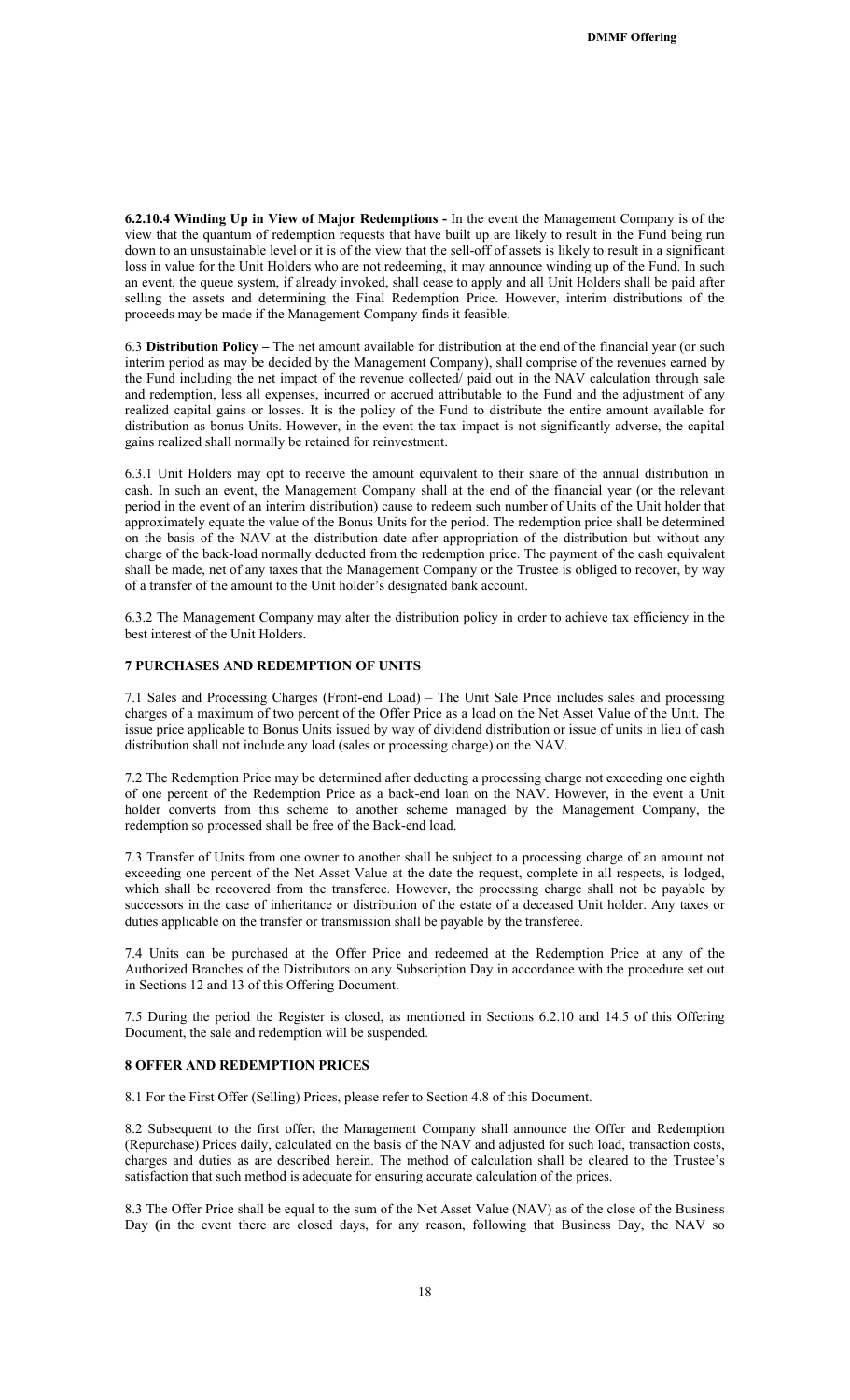**6.2.10.4 Winding Up in View of Major Redemptions -** In the event the Management Company is of the view that the quantum of redemption requests that have built up are likely to result in the Fund being run down to an unsustainable level or it is of the view that the sell-off of assets is likely to result in a significant loss in value for the Unit Holders who are not redeeming, it may announce winding up of the Fund. In such an event, the queue system, if already invoked, shall cease to apply and all Unit Holders shall be paid after selling the assets and determining the Final Redemption Price. However, interim distributions of the proceeds may be made if the Management Company finds it feasible.

6.3 **Distribution Policy –** The net amount available for distribution at the end of the financial year (or such interim period as may be decided by the Management Company), shall comprise of the revenues earned by the Fund including the net impact of the revenue collected/ paid out in the NAV calculation through sale and redemption, less all expenses, incurred or accrued attributable to the Fund and the adjustment of any realized capital gains or losses. It is the policy of the Fund to distribute the entire amount available for distribution as bonus Units. However, in the event the tax impact is not significantly adverse, the capital gains realized shall normally be retained for reinvestment.

6.3.1 Unit Holders may opt to receive the amount equivalent to their share of the annual distribution in cash. In such an event, the Management Company shall at the end of the financial year (or the relevant period in the event of an interim distribution) cause to redeem such number of Units of the Unit holder that approximately equate the value of the Bonus Units for the period. The redemption price shall be determined on the basis of the NAV at the distribution date after appropriation of the distribution but without any charge of the back-load normally deducted from the redemption price. The payment of the cash equivalent shall be made, net of any taxes that the Management Company or the Trustee is obliged to recover, by way of a transfer of the amount to the Unit holder's designated bank account.

6.3.2 The Management Company may alter the distribution policy in order to achieve tax efficiency in the best interest of the Unit Holders.

#### **7 PURCHASES AND REDEMPTION OF UNITS**

7.1 Sales and Processing Charges (Front-end Load) – The Unit Sale Price includes sales and processing charges of a maximum of two percent of the Offer Price as a load on the Net Asset Value of the Unit. The issue price applicable to Bonus Units issued by way of dividend distribution or issue of units in lieu of cash distribution shall not include any load (sales or processing charge) on the NAV.

7.2 The Redemption Price may be determined after deducting a processing charge not exceeding one eighth of one percent of the Redemption Price as a back-end loan on the NAV. However, in the event a Unit holder converts from this scheme to another scheme managed by the Management Company, the redemption so processed shall be free of the Back-end load.

7.3 Transfer of Units from one owner to another shall be subject to a processing charge of an amount not exceeding one percent of the Net Asset Value at the date the request, complete in all respects, is lodged, which shall be recovered from the transferee. However, the processing charge shall not be payable by successors in the case of inheritance or distribution of the estate of a deceased Unit holder. Any taxes or duties applicable on the transfer or transmission shall be payable by the transferee.

7.4 Units can be purchased at the Offer Price and redeemed at the Redemption Price at any of the Authorized Branches of the Distributors on any Subscription Day in accordance with the procedure set out in Sections 12 and 13 of this Offering Document.

7.5 During the period the Register is closed, as mentioned in Sections 6.2.10 and 14.5 of this Offering Document, the sale and redemption will be suspended.

#### **8 OFFER AND REDEMPTION PRICES**

8.1 For the First Offer (Selling) Prices, please refer to Section 4.8 of this Document.

8.2 Subsequent to the first offer**,** the Management Company shall announce the Offer and Redemption (Repurchase) Prices daily, calculated on the basis of the NAV and adjusted for such load, transaction costs, charges and duties as are described herein. The method of calculation shall be cleared to the Trustee's satisfaction that such method is adequate for ensuring accurate calculation of the prices.

8.3 The Offer Price shall be equal to the sum of the Net Asset Value (NAV) as of the close of the Business Day **(**in the event there are closed days, for any reason, following that Business Day, the NAV so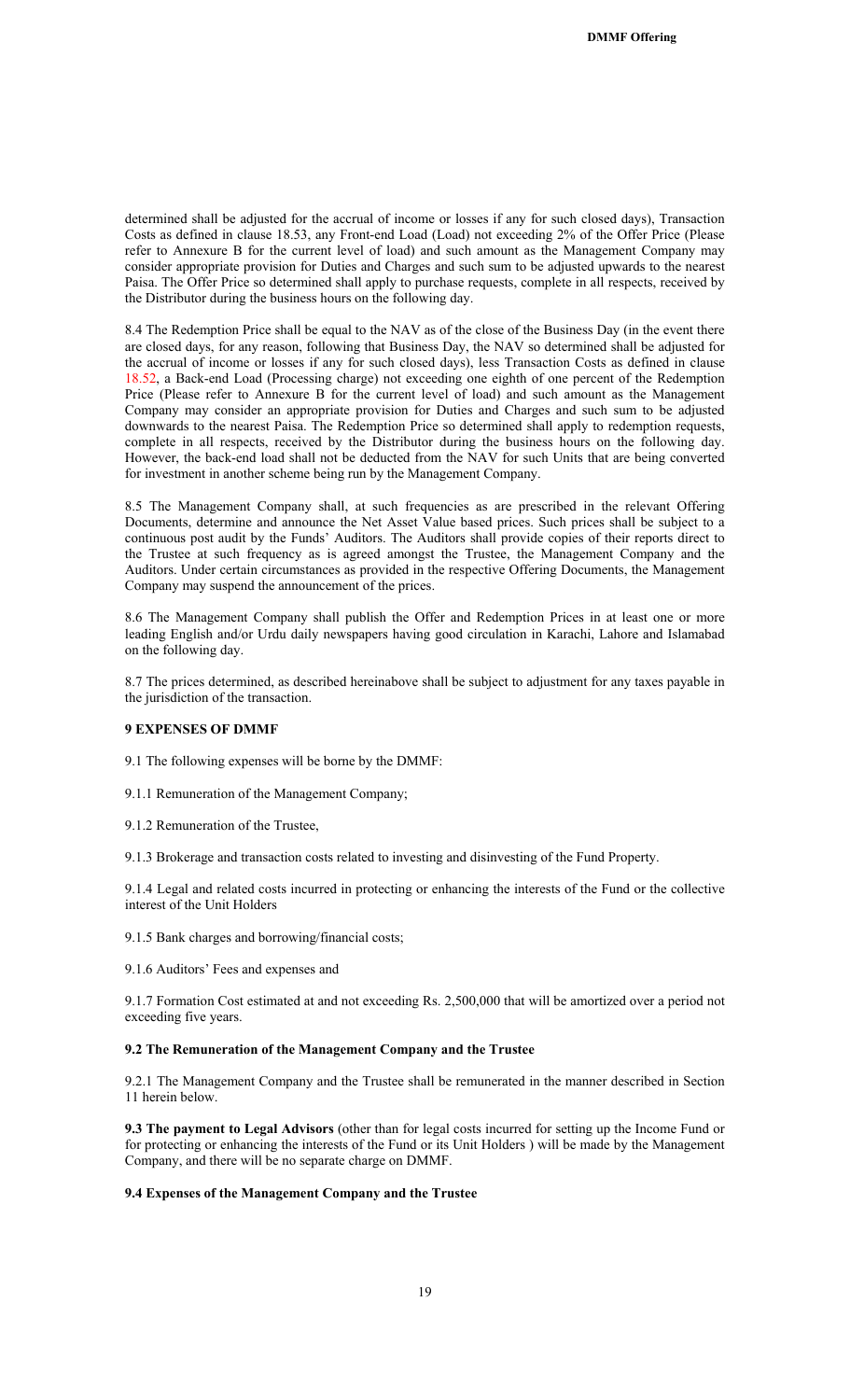determined shall be adjusted for the accrual of income or losses if any for such closed days), Transaction Costs as defined in clause 18.53, any Front-end Load (Load) not exceeding 2% of the Offer Price (Please refer to Annexure B for the current level of load) and such amount as the Management Company may consider appropriate provision for Duties and Charges and such sum to be adjusted upwards to the nearest Paisa. The Offer Price so determined shall apply to purchase requests, complete in all respects, received by the Distributor during the business hours on the following day.

8.4 The Redemption Price shall be equal to the NAV as of the close of the Business Day (in the event there are closed days, for any reason, following that Business Day, the NAV so determined shall be adjusted for the accrual of income or losses if any for such closed days), less Transaction Costs as defined in clause 18.52, a Back-end Load (Processing charge) not exceeding one eighth of one percent of the Redemption Price (Please refer to Annexure B for the current level of load) and such amount as the Management Company may consider an appropriate provision for Duties and Charges and such sum to be adjusted downwards to the nearest Paisa. The Redemption Price so determined shall apply to redemption requests, complete in all respects, received by the Distributor during the business hours on the following day. However, the back-end load shall not be deducted from the NAV for such Units that are being converted for investment in another scheme being run by the Management Company.

8.5 The Management Company shall, at such frequencies as are prescribed in the relevant Offering Documents, determine and announce the Net Asset Value based prices. Such prices shall be subject to a continuous post audit by the Funds' Auditors. The Auditors shall provide copies of their reports direct to the Trustee at such frequency as is agreed amongst the Trustee, the Management Company and the Auditors. Under certain circumstances as provided in the respective Offering Documents, the Management Company may suspend the announcement of the prices.

8.6 The Management Company shall publish the Offer and Redemption Prices in at least one or more leading English and/or Urdu daily newspapers having good circulation in Karachi, Lahore and Islamabad on the following day.

8.7 The prices determined, as described hereinabove shall be subject to adjustment for any taxes payable in the jurisdiction of the transaction.

#### **9 EXPENSES OF DMMF**

9.1 The following expenses will be borne by the DMMF:

9.1.1 Remuneration of the Management Company;

9.1.2 Remuneration of the Trustee,

9.1.3 Brokerage and transaction costs related to investing and disinvesting of the Fund Property.

9.1.4 Legal and related costs incurred in protecting or enhancing the interests of the Fund or the collective interest of the Unit Holders

9.1.5 Bank charges and borrowing/financial costs;

9.1.6 Auditors' Fees and expenses and

9.1.7 Formation Cost estimated at and not exceeding Rs. 2,500,000 that will be amortized over a period not exceeding five years.

#### **9.2 The Remuneration of the Management Company and the Trustee**

9.2.1 The Management Company and the Trustee shall be remunerated in the manner described in Section 11 herein below.

**9.3 The payment to Legal Advisors** (other than for legal costs incurred for setting up the Income Fund or for protecting or enhancing the interests of the Fund or its Unit Holders ) will be made by the Management Company, and there will be no separate charge on DMMF.

#### **9.4 Expenses of the Management Company and the Trustee**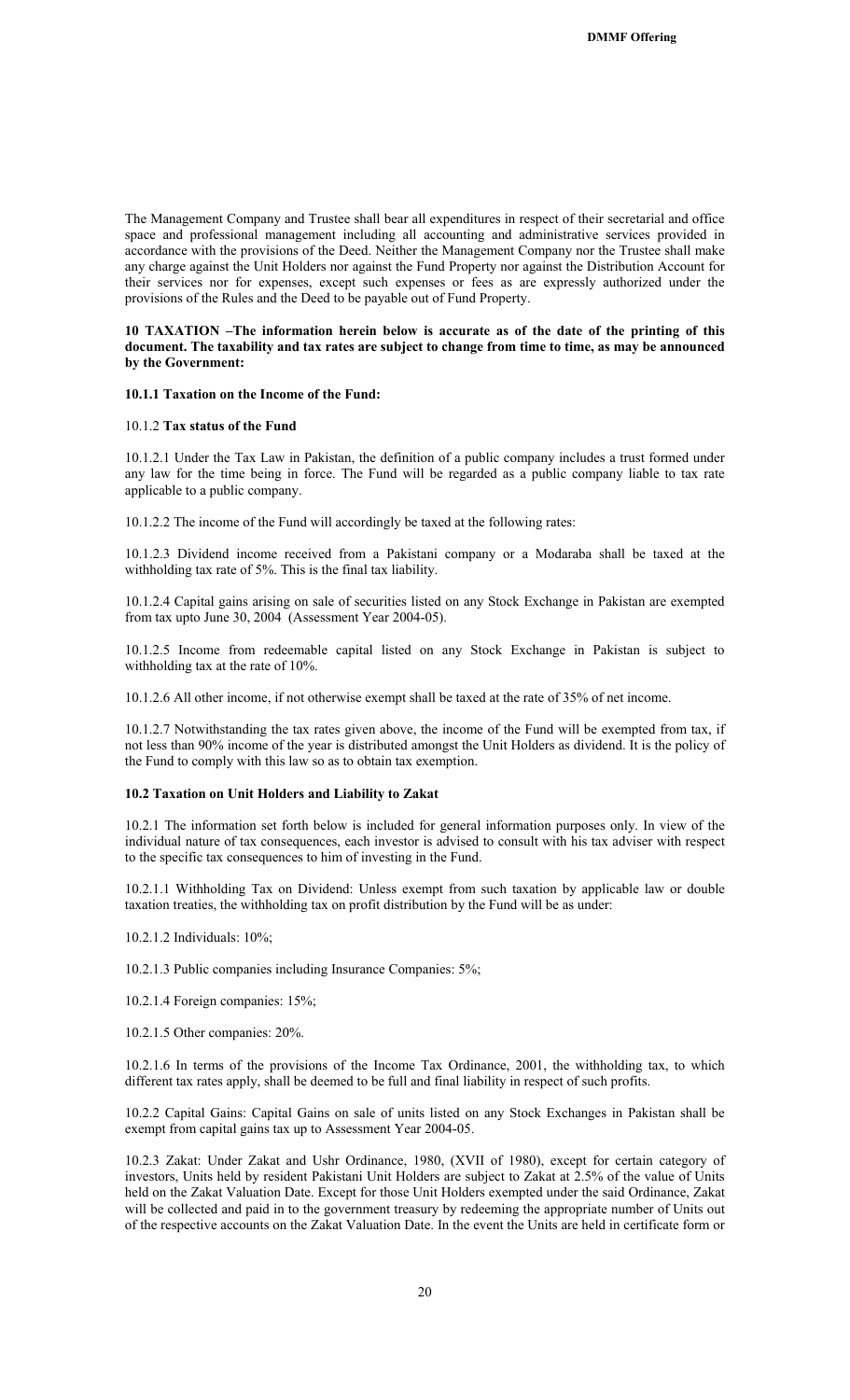The Management Company and Trustee shall bear all expenditures in respect of their secretarial and office space and professional management including all accounting and administrative services provided in accordance with the provisions of the Deed. Neither the Management Company nor the Trustee shall make any charge against the Unit Holders nor against the Fund Property nor against the Distribution Account for their services nor for expenses, except such expenses or fees as are expressly authorized under the provisions of the Rules and the Deed to be payable out of Fund Property.

#### **10 TAXATION –The information herein below is accurate as of the date of the printing of this document. The taxability and tax rates are subject to change from time to time, as may be announced by the Government:**

#### **10.1.1 Taxation on the Income of the Fund:**

#### 10.1.2 **Tax status of the Fund**

10.1.2.1 Under the Tax Law in Pakistan, the definition of a public company includes a trust formed under any law for the time being in force. The Fund will be regarded as a public company liable to tax rate applicable to a public company.

10.1.2.2 The income of the Fund will accordingly be taxed at the following rates:

10.1.2.3 Dividend income received from a Pakistani company or a Modaraba shall be taxed at the withholding tax rate of 5%. This is the final tax liability.

10.1.2.4 Capital gains arising on sale of securities listed on any Stock Exchange in Pakistan are exempted from tax upto June 30, 2004 (Assessment Year 2004-05).

10.1.2.5 Income from redeemable capital listed on any Stock Exchange in Pakistan is subject to withholding tax at the rate of 10%.

10.1.2.6 All other income, if not otherwise exempt shall be taxed at the rate of 35% of net income.

10.1.2.7 Notwithstanding the tax rates given above, the income of the Fund will be exempted from tax, if not less than 90% income of the year is distributed amongst the Unit Holders as dividend. It is the policy of the Fund to comply with this law so as to obtain tax exemption.

#### **10.2 Taxation on Unit Holders and Liability to Zakat**

10.2.1 The information set forth below is included for general information purposes only. In view of the individual nature of tax consequences, each investor is advised to consult with his tax adviser with respect to the specific tax consequences to him of investing in the Fund.

10.2.1.1 Withholding Tax on Dividend: Unless exempt from such taxation by applicable law or double taxation treaties, the withholding tax on profit distribution by the Fund will be as under:

10.2.1.2 Individuals: 10%;

10.2.1.3 Public companies including Insurance Companies: 5%;

10.2.1.4 Foreign companies: 15%;

10.2.1.5 Other companies: 20%.

10.2.1.6 In terms of the provisions of the Income Tax Ordinance, 2001, the withholding tax, to which different tax rates apply, shall be deemed to be full and final liability in respect of such profits.

10.2.2 Capital Gains: Capital Gains on sale of units listed on any Stock Exchanges in Pakistan shall be exempt from capital gains tax up to Assessment Year 2004-05.

10.2.3 Zakat: Under Zakat and Ushr Ordinance, 1980, (XVII of 1980), except for certain category of investors, Units held by resident Pakistani Unit Holders are subject to Zakat at 2.5% of the value of Units held on the Zakat Valuation Date. Except for those Unit Holders exempted under the said Ordinance, Zakat will be collected and paid in to the government treasury by redeeming the appropriate number of Units out of the respective accounts on the Zakat Valuation Date. In the event the Units are held in certificate form or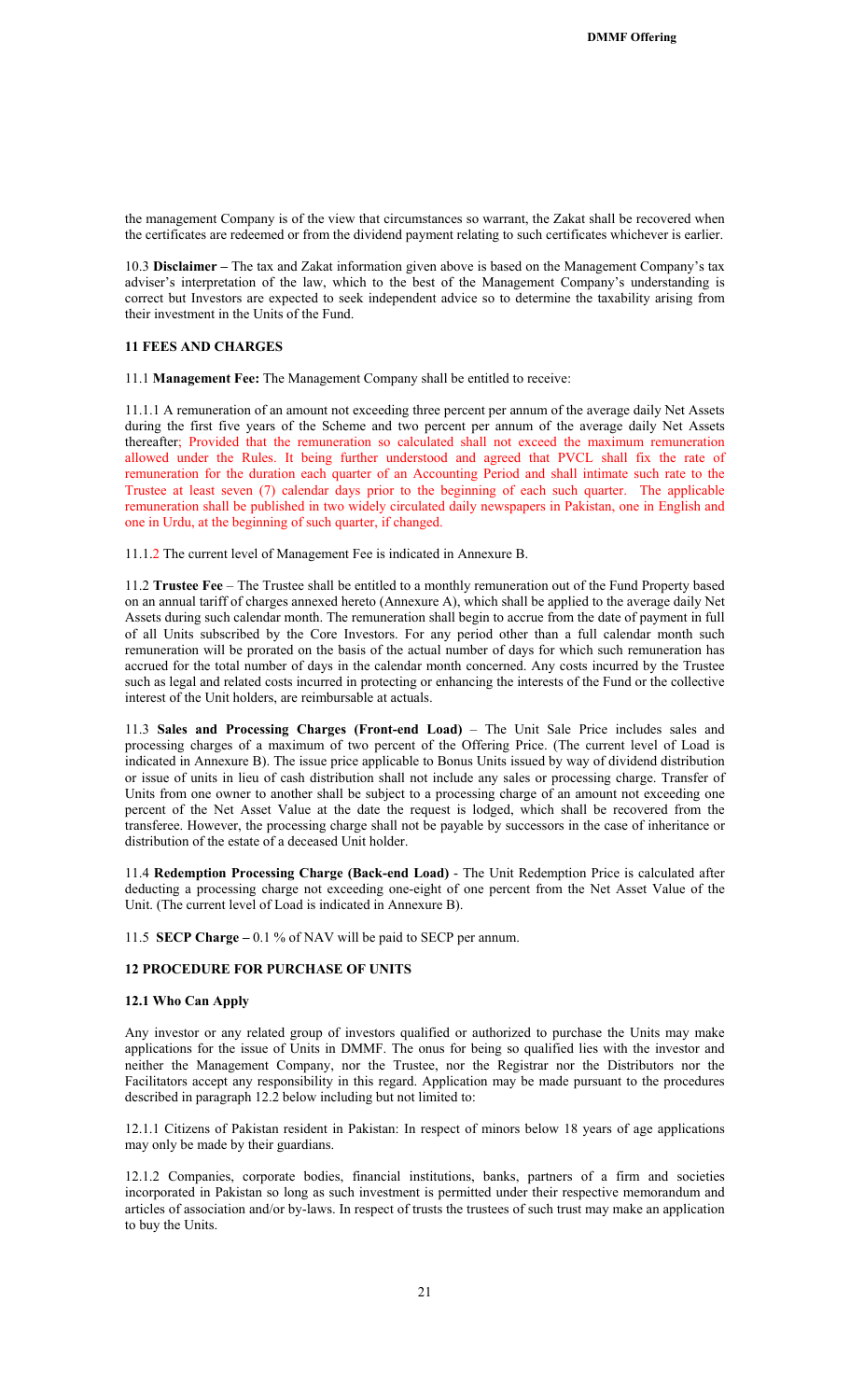the management Company is of the view that circumstances so warrant, the Zakat shall be recovered when the certificates are redeemed or from the dividend payment relating to such certificates whichever is earlier.

10.3 **Disclaimer –** The tax and Zakat information given above is based on the Management Company's tax adviser's interpretation of the law, which to the best of the Management Company's understanding is correct but Investors are expected to seek independent advice so to determine the taxability arising from their investment in the Units of the Fund.

#### **11 FEES AND CHARGES**

11.1 **Management Fee:** The Management Company shall be entitled to receive:

11.1.1 A remuneration of an amount not exceeding three percent per annum of the average daily Net Assets during the first five years of the Scheme and two percent per annum of the average daily Net Assets thereafter; Provided that the remuneration so calculated shall not exceed the maximum remuneration allowed under the Rules. It being further understood and agreed that PVCL shall fix the rate of remuneration for the duration each quarter of an Accounting Period and shall intimate such rate to the Trustee at least seven (7) calendar days prior to the beginning of each such quarter. The applicable remuneration shall be published in two widely circulated daily newspapers in Pakistan, one in English and one in Urdu, at the beginning of such quarter, if changed.

11.1.2 The current level of Management Fee is indicated in Annexure B.

11.2 **Trustee Fee** – The Trustee shall be entitled to a monthly remuneration out of the Fund Property based on an annual tariff of charges annexed hereto (Annexure A), which shall be applied to the average daily Net Assets during such calendar month. The remuneration shall begin to accrue from the date of payment in full of all Units subscribed by the Core Investors. For any period other than a full calendar month such remuneration will be prorated on the basis of the actual number of days for which such remuneration has accrued for the total number of days in the calendar month concerned. Any costs incurred by the Trustee such as legal and related costs incurred in protecting or enhancing the interests of the Fund or the collective interest of the Unit holders, are reimbursable at actuals.

11.3 **Sales and Processing Charges (Front-end Load)** – The Unit Sale Price includes sales and processing charges of a maximum of two percent of the Offering Price. (The current level of Load is indicated in Annexure B). The issue price applicable to Bonus Units issued by way of dividend distribution or issue of units in lieu of cash distribution shall not include any sales or processing charge. Transfer of Units from one owner to another shall be subject to a processing charge of an amount not exceeding one percent of the Net Asset Value at the date the request is lodged, which shall be recovered from the transferee. However, the processing charge shall not be payable by successors in the case of inheritance or distribution of the estate of a deceased Unit holder.

11.4 **Redemption Processing Charge (Back-end Load)** - The Unit Redemption Price is calculated after deducting a processing charge not exceeding one-eight of one percent from the Net Asset Value of the Unit. (The current level of Load is indicated in Annexure B).

11.5 **SECP Charge –** 0.1 % of NAV will be paid to SECP per annum.

#### **12 PROCEDURE FOR PURCHASE OF UNITS**

#### **12.1 Who Can Apply**

Any investor or any related group of investors qualified or authorized to purchase the Units may make applications for the issue of Units in DMMF. The onus for being so qualified lies with the investor and neither the Management Company, nor the Trustee, nor the Registrar nor the Distributors nor the Facilitators accept any responsibility in this regard. Application may be made pursuant to the procedures described in paragraph 12.2 below including but not limited to:

12.1.1 Citizens of Pakistan resident in Pakistan: In respect of minors below 18 years of age applications may only be made by their guardians.

12.1.2 Companies, corporate bodies, financial institutions, banks, partners of a firm and societies incorporated in Pakistan so long as such investment is permitted under their respective memorandum and articles of association and/or by-laws. In respect of trusts the trustees of such trust may make an application to buy the Units.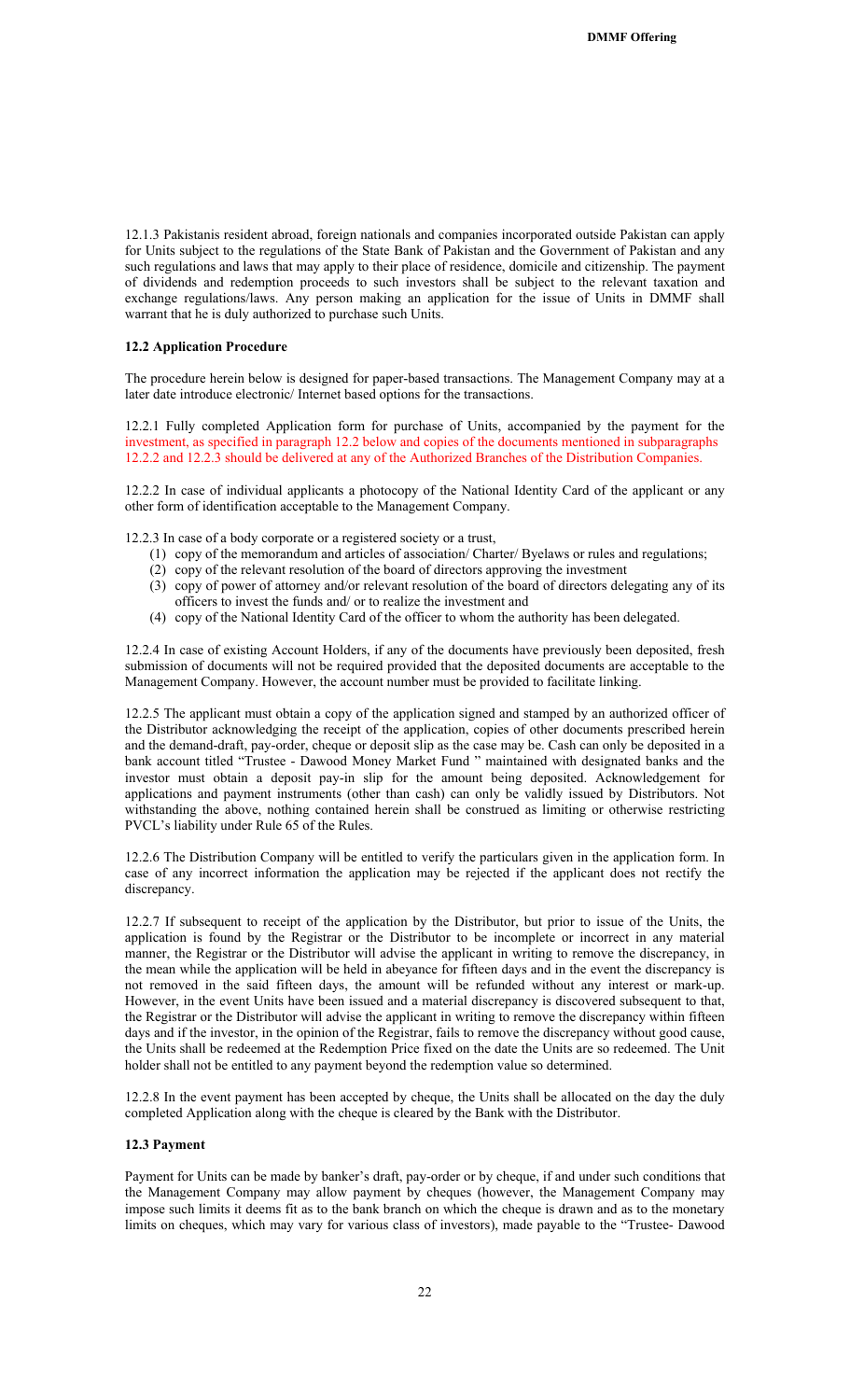12.1.3 Pakistanis resident abroad, foreign nationals and companies incorporated outside Pakistan can apply for Units subject to the regulations of the State Bank of Pakistan and the Government of Pakistan and any such regulations and laws that may apply to their place of residence, domicile and citizenship. The payment of dividends and redemption proceeds to such investors shall be subject to the relevant taxation and exchange regulations/laws. Any person making an application for the issue of Units in DMMF shall warrant that he is duly authorized to purchase such Units.

#### **12.2 Application Procedure**

The procedure herein below is designed for paper-based transactions. The Management Company may at a later date introduce electronic/ Internet based options for the transactions.

12.2.1 Fully completed Application form for purchase of Units, accompanied by the payment for the investment, as specified in paragraph 12.2 below and copies of the documents mentioned in subparagraphs 12.2.2 and 12.2.3 should be delivered at any of the Authorized Branches of the Distribution Companies.

12.2.2 In case of individual applicants a photocopy of the National Identity Card of the applicant or any other form of identification acceptable to the Management Company.

12.2.3 In case of a body corporate or a registered society or a trust,

- (1) copy of the memorandum and articles of association/ Charter/ Byelaws or rules and regulations;
- (2) copy of the relevant resolution of the board of directors approving the investment
- (3) copy of power of attorney and/or relevant resolution of the board of directors delegating any of its officers to invest the funds and/ or to realize the investment and
- (4) copy of the National Identity Card of the officer to whom the authority has been delegated.

12.2.4 In case of existing Account Holders, if any of the documents have previously been deposited, fresh submission of documents will not be required provided that the deposited documents are acceptable to the Management Company. However, the account number must be provided to facilitate linking.

12.2.5 The applicant must obtain a copy of the application signed and stamped by an authorized officer of the Distributor acknowledging the receipt of the application, copies of other documents prescribed herein and the demand-draft, pay-order, cheque or deposit slip as the case may be. Cash can only be deposited in a bank account titled "Trustee - Dawood Money Market Fund " maintained with designated banks and the investor must obtain a deposit pay-in slip for the amount being deposited. Acknowledgement for applications and payment instruments (other than cash) can only be validly issued by Distributors. Not withstanding the above, nothing contained herein shall be construed as limiting or otherwise restricting PVCL's liability under Rule 65 of the Rules.

12.2.6 The Distribution Company will be entitled to verify the particulars given in the application form. In case of any incorrect information the application may be rejected if the applicant does not rectify the discrepancy.

12.2.7 If subsequent to receipt of the application by the Distributor, but prior to issue of the Units, the application is found by the Registrar or the Distributor to be incomplete or incorrect in any material manner, the Registrar or the Distributor will advise the applicant in writing to remove the discrepancy, in the mean while the application will be held in abeyance for fifteen days and in the event the discrepancy is not removed in the said fifteen days, the amount will be refunded without any interest or mark-up. However, in the event Units have been issued and a material discrepancy is discovered subsequent to that, the Registrar or the Distributor will advise the applicant in writing to remove the discrepancy within fifteen days and if the investor, in the opinion of the Registrar, fails to remove the discrepancy without good cause, the Units shall be redeemed at the Redemption Price fixed on the date the Units are so redeemed. The Unit holder shall not be entitled to any payment beyond the redemption value so determined.

12.2.8 In the event payment has been accepted by cheque, the Units shall be allocated on the day the duly completed Application along with the cheque is cleared by the Bank with the Distributor.

#### **12.3 Payment**

Payment for Units can be made by banker's draft, pay-order or by cheque, if and under such conditions that the Management Company may allow payment by cheques (however, the Management Company may impose such limits it deems fit as to the bank branch on which the cheque is drawn and as to the monetary limits on cheques, which may vary for various class of investors), made payable to the "Trustee- Dawood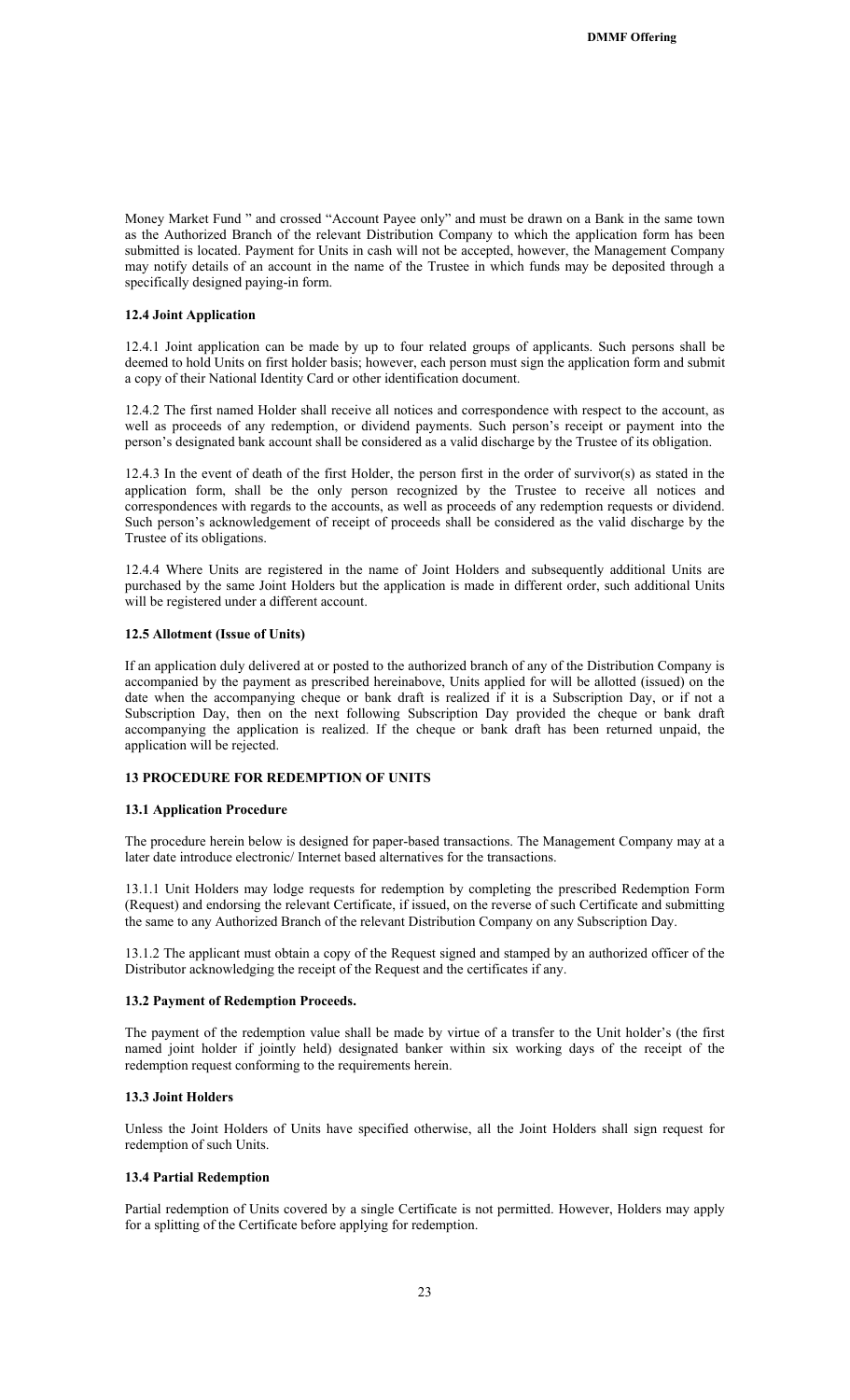Money Market Fund " and crossed "Account Payee only" and must be drawn on a Bank in the same town as the Authorized Branch of the relevant Distribution Company to which the application form has been submitted is located. Payment for Units in cash will not be accepted, however, the Management Company may notify details of an account in the name of the Trustee in which funds may be deposited through a specifically designed paying-in form.

#### **12.4 Joint Application**

12.4.1 Joint application can be made by up to four related groups of applicants. Such persons shall be deemed to hold Units on first holder basis; however, each person must sign the application form and submit a copy of their National Identity Card or other identification document.

12.4.2 The first named Holder shall receive all notices and correspondence with respect to the account, as well as proceeds of any redemption, or dividend payments. Such person's receipt or payment into the person's designated bank account shall be considered as a valid discharge by the Trustee of its obligation.

12.4.3 In the event of death of the first Holder, the person first in the order of survivor(s) as stated in the application form, shall be the only person recognized by the Trustee to receive all notices and correspondences with regards to the accounts, as well as proceeds of any redemption requests or dividend. Such person's acknowledgement of receipt of proceeds shall be considered as the valid discharge by the Trustee of its obligations.

12.4.4 Where Units are registered in the name of Joint Holders and subsequently additional Units are purchased by the same Joint Holders but the application is made in different order, such additional Units will be registered under a different account.

#### **12.5 Allotment (Issue of Units)**

If an application duly delivered at or posted to the authorized branch of any of the Distribution Company is accompanied by the payment as prescribed hereinabove, Units applied for will be allotted (issued) on the date when the accompanying cheque or bank draft is realized if it is a Subscription Day, or if not a Subscription Day, then on the next following Subscription Day provided the cheque or bank draft accompanying the application is realized. If the cheque or bank draft has been returned unpaid, the application will be rejected.

#### **13 PROCEDURE FOR REDEMPTION OF UNITS**

#### **13.1 Application Procedure**

The procedure herein below is designed for paper-based transactions. The Management Company may at a later date introduce electronic/ Internet based alternatives for the transactions.

13.1.1 Unit Holders may lodge requests for redemption by completing the prescribed Redemption Form (Request) and endorsing the relevant Certificate, if issued, on the reverse of such Certificate and submitting the same to any Authorized Branch of the relevant Distribution Company on any Subscription Day.

13.1.2 The applicant must obtain a copy of the Request signed and stamped by an authorized officer of the Distributor acknowledging the receipt of the Request and the certificates if any.

#### **13.2 Payment of Redemption Proceeds.**

The payment of the redemption value shall be made by virtue of a transfer to the Unit holder's (the first named joint holder if jointly held) designated banker within six working days of the receipt of the redemption request conforming to the requirements herein.

#### **13.3 Joint Holders**

Unless the Joint Holders of Units have specified otherwise, all the Joint Holders shall sign request for redemption of such Units.

#### **13.4 Partial Redemption**

Partial redemption of Units covered by a single Certificate is not permitted. However, Holders may apply for a splitting of the Certificate before applying for redemption.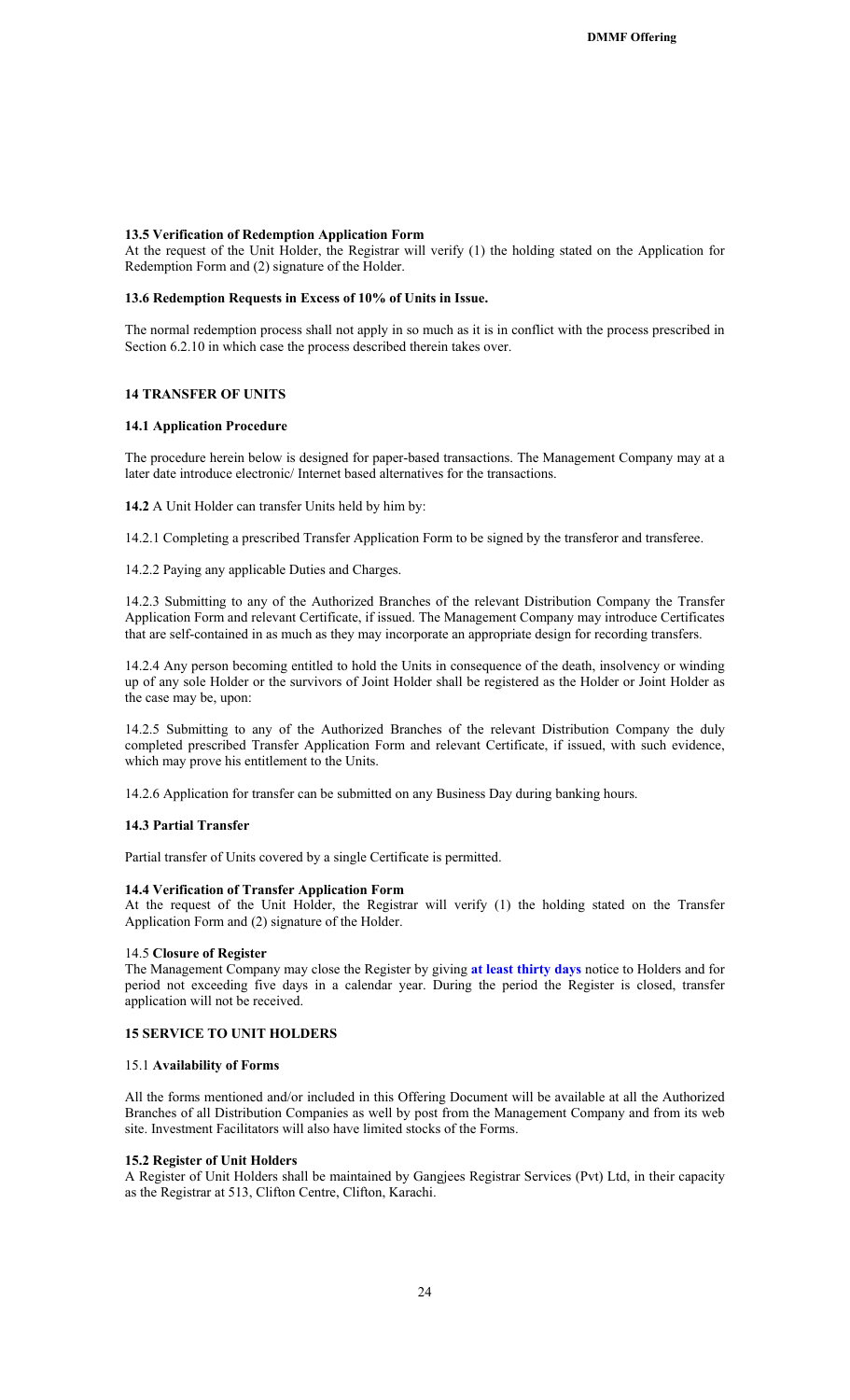#### **13.5 Verification of Redemption Application Form**

At the request of the Unit Holder, the Registrar will verify (1) the holding stated on the Application for Redemption Form and (2) signature of the Holder.

#### **13.6 Redemption Requests in Excess of 10% of Units in Issue.**

The normal redemption process shall not apply in so much as it is in conflict with the process prescribed in Section 6.2.10 in which case the process described therein takes over.

## **14 TRANSFER OF UNITS**

#### **14.1 Application Procedure**

The procedure herein below is designed for paper-based transactions. The Management Company may at a later date introduce electronic/ Internet based alternatives for the transactions.

**14.2** A Unit Holder can transfer Units held by him by:

14.2.1 Completing a prescribed Transfer Application Form to be signed by the transferor and transferee.

14.2.2 Paying any applicable Duties and Charges.

14.2.3 Submitting to any of the Authorized Branches of the relevant Distribution Company the Transfer Application Form and relevant Certificate, if issued. The Management Company may introduce Certificates that are self-contained in as much as they may incorporate an appropriate design for recording transfers.

14.2.4 Any person becoming entitled to hold the Units in consequence of the death, insolvency or winding up of any sole Holder or the survivors of Joint Holder shall be registered as the Holder or Joint Holder as the case may be, upon:

14.2.5 Submitting to any of the Authorized Branches of the relevant Distribution Company the duly completed prescribed Transfer Application Form and relevant Certificate, if issued, with such evidence, which may prove his entitlement to the Units.

14.2.6 Application for transfer can be submitted on any Business Day during banking hours.

#### **14.3 Partial Transfer**

Partial transfer of Units covered by a single Certificate is permitted.

#### **14.4 Verification of Transfer Application Form**

At the request of the Unit Holder, the Registrar will verify (1) the holding stated on the Transfer Application Form and (2) signature of the Holder.

#### 14.5 **Closure of Register**

The Management Company may close the Register by giving **at least thirty days** notice to Holders and for period not exceeding five days in a calendar year. During the period the Register is closed, transfer application will not be received.

#### **15 SERVICE TO UNIT HOLDERS**

#### 15.1 **Availability of Forms**

All the forms mentioned and/or included in this Offering Document will be available at all the Authorized Branches of all Distribution Companies as well by post from the Management Company and from its web site. Investment Facilitators will also have limited stocks of the Forms.

#### **15.2 Register of Unit Holders**

A Register of Unit Holders shall be maintained by Gangjees Registrar Services (Pvt) Ltd, in their capacity as the Registrar at 513, Clifton Centre, Clifton, Karachi.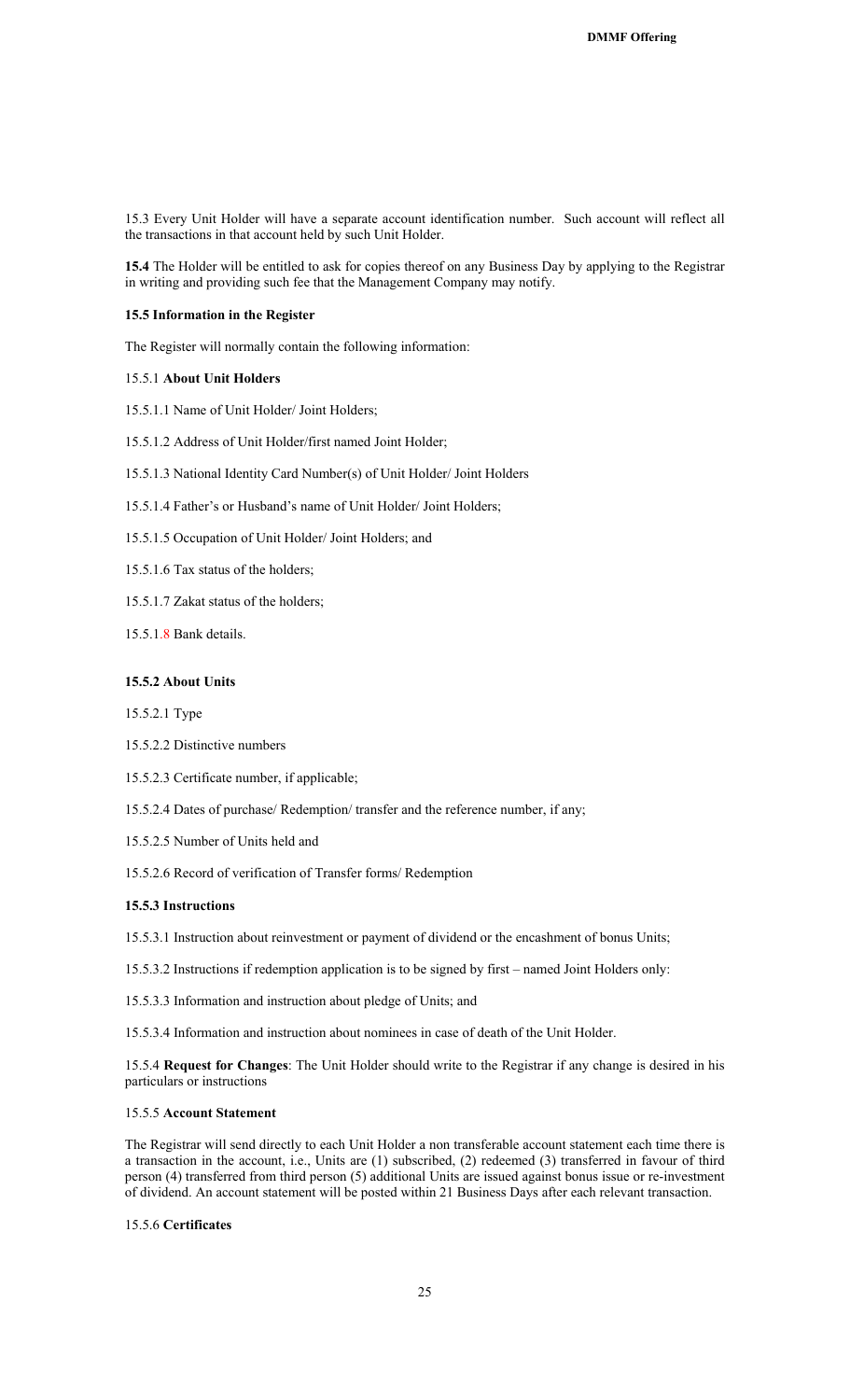15.3 Every Unit Holder will have a separate account identification number. Such account will reflect all the transactions in that account held by such Unit Holder.

**15.4** The Holder will be entitled to ask for copies thereof on any Business Day by applying to the Registrar in writing and providing such fee that the Management Company may notify.

#### **15.5 Information in the Register**

The Register will normally contain the following information:

#### 15.5.1 **About Unit Holders**

15.5.1.1 Name of Unit Holder/ Joint Holders;

15.5.1.2 Address of Unit Holder/first named Joint Holder;

15.5.1.3 National Identity Card Number(s) of Unit Holder/ Joint Holders

15.5.1.4 Father's or Husband's name of Unit Holder/ Joint Holders;

15.5.1.5 Occupation of Unit Holder/ Joint Holders; and

15.5.1.6 Tax status of the holders;

15.5.1.7 Zakat status of the holders;

15.5.1.8 Bank details.

#### **15.5.2 About Units**

15.5.2.1 Type

15.5.2.2 Distinctive numbers

15.5.2.3 Certificate number, if applicable;

15.5.2.4 Dates of purchase/ Redemption/ transfer and the reference number, if any;

15.5.2.5 Number of Units held and

15.5.2.6 Record of verification of Transfer forms/ Redemption

#### **15.5.3 Instructions**

15.5.3.1 Instruction about reinvestment or payment of dividend or the encashment of bonus Units;

15.5.3.2 Instructions if redemption application is to be signed by first – named Joint Holders only:

15.5.3.3 Information and instruction about pledge of Units; and

15.5.3.4 Information and instruction about nominees in case of death of the Unit Holder.

15.5.4 **Request for Changes**: The Unit Holder should write to the Registrar if any change is desired in his particulars or instructions

#### 15.5.5 **Account Statement**

The Registrar will send directly to each Unit Holder a non transferable account statement each time there is a transaction in the account, i.e., Units are (1) subscribed, (2) redeemed (3) transferred in favour of third person (4) transferred from third person (5) additional Units are issued against bonus issue or re-investment of dividend. An account statement will be posted within 21 Business Days after each relevant transaction.

#### 15.5.6 **Certificates**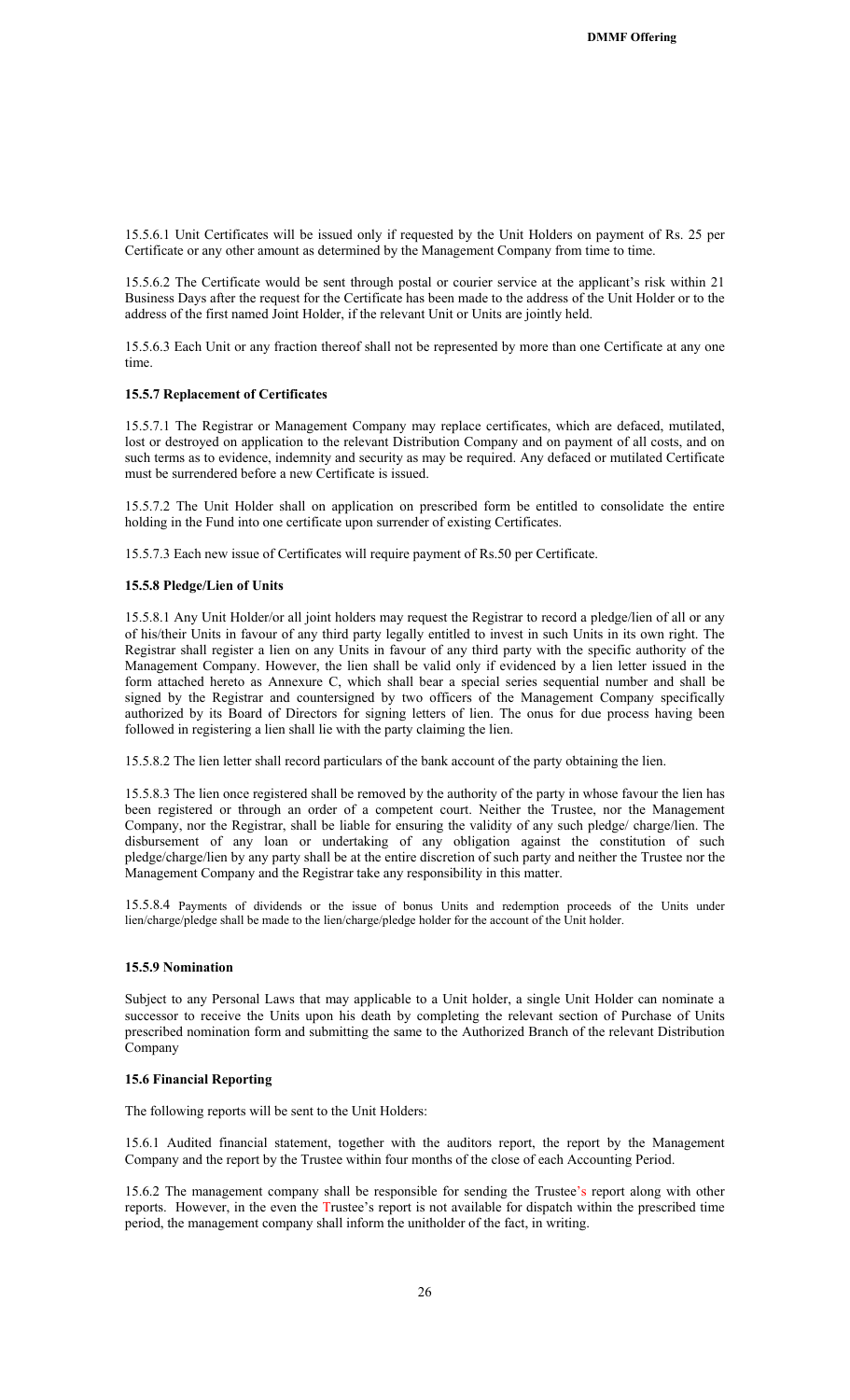15.5.6.1 Unit Certificates will be issued only if requested by the Unit Holders on payment of Rs. 25 per Certificate or any other amount as determined by the Management Company from time to time.

15.5.6.2 The Certificate would be sent through postal or courier service at the applicant's risk within 21 Business Days after the request for the Certificate has been made to the address of the Unit Holder or to the address of the first named Joint Holder, if the relevant Unit or Units are jointly held.

15.5.6.3 Each Unit or any fraction thereof shall not be represented by more than one Certificate at any one time.

#### **15.5.7 Replacement of Certificates**

15.5.7.1 The Registrar or Management Company may replace certificates, which are defaced, mutilated, lost or destroyed on application to the relevant Distribution Company and on payment of all costs, and on such terms as to evidence, indemnity and security as may be required. Any defaced or mutilated Certificate must be surrendered before a new Certificate is issued.

15.5.7.2 The Unit Holder shall on application on prescribed form be entitled to consolidate the entire holding in the Fund into one certificate upon surrender of existing Certificates.

15.5.7.3 Each new issue of Certificates will require payment of Rs.50 per Certificate.

#### **15.5.8 Pledge/Lien of Units**

15.5.8.1 Any Unit Holder/or all joint holders may request the Registrar to record a pledge/lien of all or any of his/their Units in favour of any third party legally entitled to invest in such Units in its own right. The Registrar shall register a lien on any Units in favour of any third party with the specific authority of the Management Company. However, the lien shall be valid only if evidenced by a lien letter issued in the form attached hereto as Annexure C, which shall bear a special series sequential number and shall be signed by the Registrar and countersigned by two officers of the Management Company specifically authorized by its Board of Directors for signing letters of lien. The onus for due process having been followed in registering a lien shall lie with the party claiming the lien.

15.5.8.2 The lien letter shall record particulars of the bank account of the party obtaining the lien.

15.5.8.3 The lien once registered shall be removed by the authority of the party in whose favour the lien has been registered or through an order of a competent court. Neither the Trustee, nor the Management Company, nor the Registrar, shall be liable for ensuring the validity of any such pledge/ charge/lien. The disbursement of any loan or undertaking of any obligation against the constitution of such pledge/charge/lien by any party shall be at the entire discretion of such party and neither the Trustee nor the Management Company and the Registrar take any responsibility in this matter.

15.5.8.4 Payments of dividends or the issue of bonus Units and redemption proceeds of the Units under lien/charge/pledge shall be made to the lien/charge/pledge holder for the account of the Unit holder.

#### **15.5.9 Nomination**

Subject to any Personal Laws that may applicable to a Unit holder, a single Unit Holder can nominate a successor to receive the Units upon his death by completing the relevant section of Purchase of Units prescribed nomination form and submitting the same to the Authorized Branch of the relevant Distribution Company

#### **15.6 Financial Reporting**

The following reports will be sent to the Unit Holders:

15.6.1 Audited financial statement, together with the auditors report, the report by the Management Company and the report by the Trustee within four months of the close of each Accounting Period.

15.6.2 The management company shall be responsible for sending the Trustee's report along with other reports. However, in the even the Trustee's report is not available for dispatch within the prescribed time period, the management company shall inform the unitholder of the fact, in writing.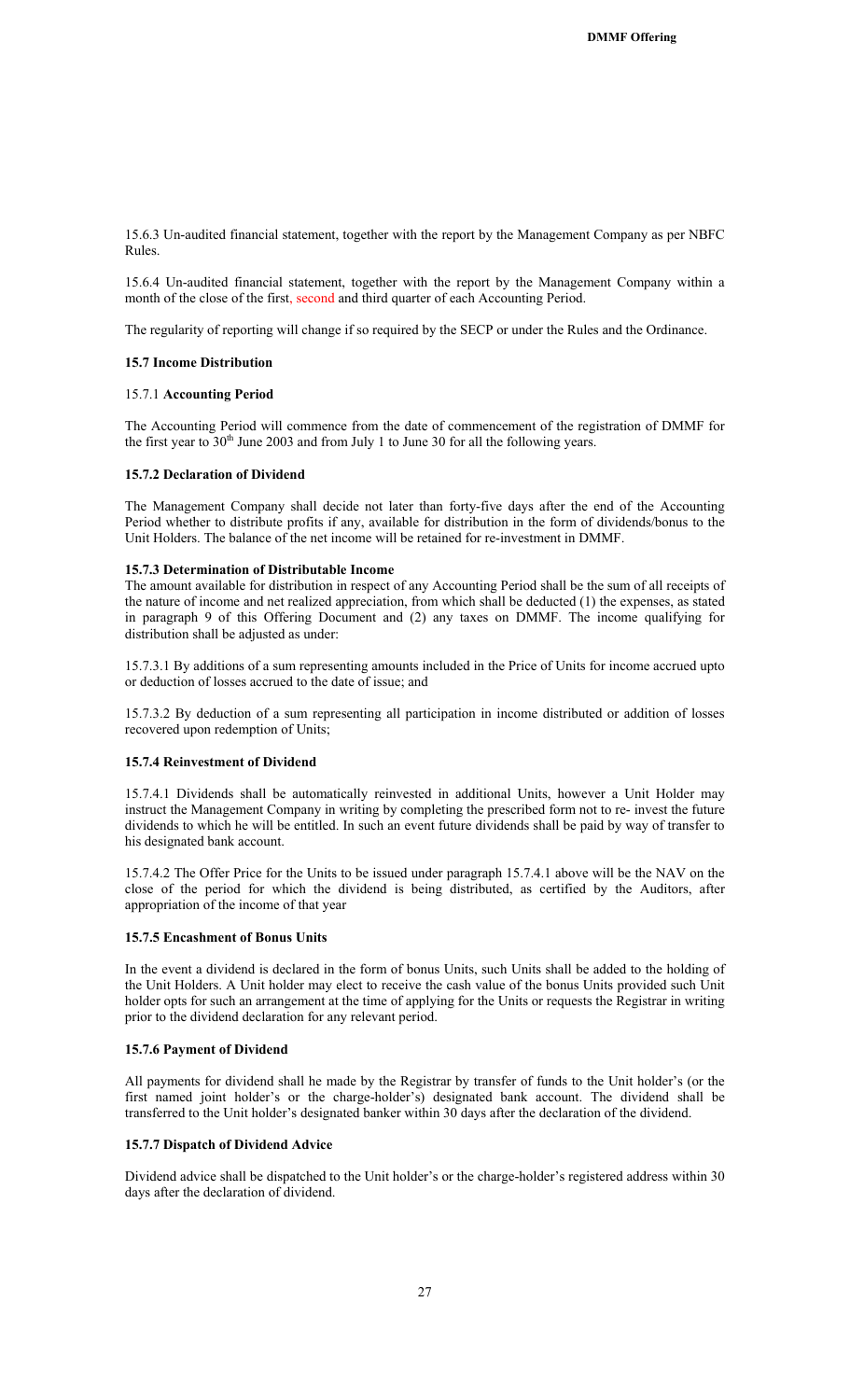15.6.3 Un-audited financial statement, together with the report by the Management Company as per NBFC Rules.

15.6.4 Un-audited financial statement, together with the report by the Management Company within a month of the close of the first, second and third quarter of each Accounting Period.

The regularity of reporting will change if so required by the SECP or under the Rules and the Ordinance.

#### **15.7 Income Distribution**

#### 15.7.1 **Accounting Period**

The Accounting Period will commence from the date of commencement of the registration of DMMF for the first year to  $30<sup>th</sup>$  June 2003 and from July 1 to June 30 for all the following years.

#### **15.7.2 Declaration of Dividend**

The Management Company shall decide not later than forty-five days after the end of the Accounting Period whether to distribute profits if any, available for distribution in the form of dividends/bonus to the Unit Holders. The balance of the net income will be retained for re-investment in DMMF.

#### **15.7.3 Determination of Distributable Income**

The amount available for distribution in respect of any Accounting Period shall be the sum of all receipts of the nature of income and net realized appreciation, from which shall be deducted (1) the expenses, as stated in paragraph 9 of this Offering Document and (2) any taxes on DMMF. The income qualifying for distribution shall be adjusted as under:

15.7.3.1 By additions of a sum representing amounts included in the Price of Units for income accrued upto or deduction of losses accrued to the date of issue; and

15.7.3.2 By deduction of a sum representing all participation in income distributed or addition of losses recovered upon redemption of Units;

#### **15.7.4 Reinvestment of Dividend**

15.7.4.1 Dividends shall be automatically reinvested in additional Units, however a Unit Holder may instruct the Management Company in writing by completing the prescribed form not to re- invest the future dividends to which he will be entitled. In such an event future dividends shall be paid by way of transfer to his designated bank account.

15.7.4.2 The Offer Price for the Units to be issued under paragraph 15.7.4.1 above will be the NAV on the close of the period for which the dividend is being distributed, as certified by the Auditors, after appropriation of the income of that year

#### **15.7.5 Encashment of Bonus Units**

In the event a dividend is declared in the form of bonus Units, such Units shall be added to the holding of the Unit Holders. A Unit holder may elect to receive the cash value of the bonus Units provided such Unit holder opts for such an arrangement at the time of applying for the Units or requests the Registrar in writing prior to the dividend declaration for any relevant period.

#### **15.7.6 Payment of Dividend**

All payments for dividend shall he made by the Registrar by transfer of funds to the Unit holder's (or the first named joint holder's or the charge-holder's) designated bank account. The dividend shall be transferred to the Unit holder's designated banker within 30 days after the declaration of the dividend.

#### **15.7.7 Dispatch of Dividend Advice**

Dividend advice shall be dispatched to the Unit holder's or the charge-holder's registered address within 30 days after the declaration of dividend.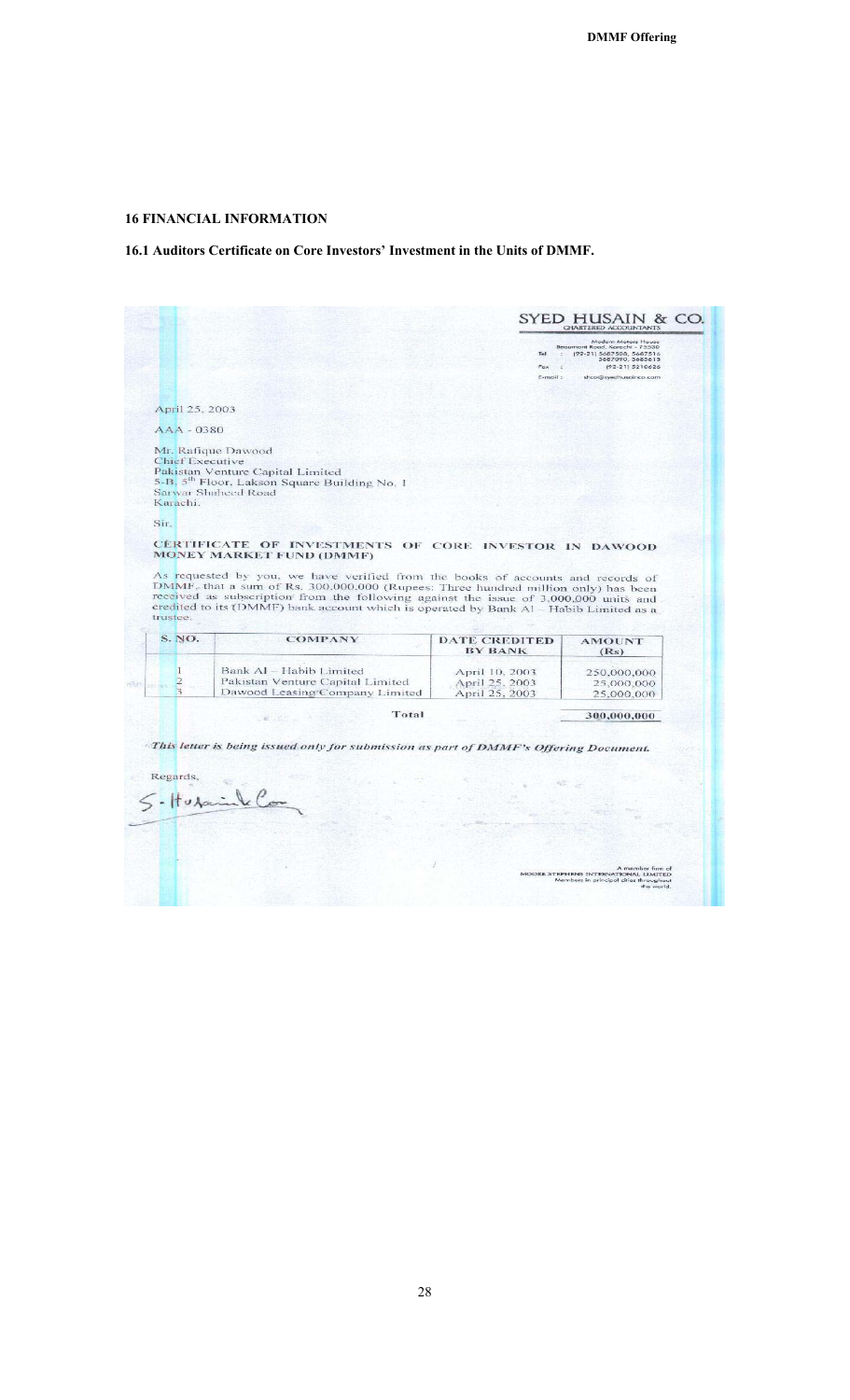# **16 FINANCIAL INFORMATION**

# **16.1 Auditors Certificate on Core Investors' Investment in the Units of DMMF.**

|                         |                        |                                                                                                                                            |                                        | SYED HUSAIN & CO.<br>CHARTERED ACCOUNTANTS                                                                                                          |
|-------------------------|------------------------|--------------------------------------------------------------------------------------------------------------------------------------------|----------------------------------------|-----------------------------------------------------------------------------------------------------------------------------------------------------|
|                         |                        |                                                                                                                                            | Tel<br>Fax<br>$E$ -moil:               | Modern Motors House<br>Beaumont Road, Karachi - 75530<br>(92-21) 5687508, 5687516<br>5687090, 5685615<br>$(92-21)$ 5210626<br>shco@syedhusainco.com |
|                         | April 25, 2003         |                                                                                                                                            |                                        |                                                                                                                                                     |
|                         | $AAA - 0380$           |                                                                                                                                            |                                        |                                                                                                                                                     |
| Karachi.                | <b>Chief Executive</b> | Mr. Rafique Dawood.<br>Pakistan Venture Capital Limited<br>5-B, 5 <sup>th</sup> Floor, Lakson Square Building No. 1<br>Sarwar Shaheed Road |                                        |                                                                                                                                                     |
| Sir.                    |                        |                                                                                                                                            |                                        |                                                                                                                                                     |
|                         |                        | CERTIFICATE OF INVESTMENTS OF CORE INVESTOR IN DAWOOD<br><b>MONEY MARKET FUND (DMMF)</b>                                                   |                                        |                                                                                                                                                     |
| S. NO.                  |                        | <b>COMPANY</b>                                                                                                                             | <b>DATE CREDITED</b><br><b>BY BANK</b> | <b>AMOUNT</b><br>(Rs)                                                                                                                               |
| 1<br>$\overline{2}$     |                        | Bank Al - Habib Limited<br>Pakistan Venture Capital Limited                                                                                | April 10, 2003<br>April 25, 2003       | 250,000,000<br>25,000,000                                                                                                                           |
| $\overline{\mathbf{3}}$ |                        | Dawood Leasing Company Limited                                                                                                             | April 25, 2003                         | 25,000,000                                                                                                                                          |
| 233 Hz % 3              |                        | Total<br><b>CARD AND</b>                                                                                                                   |                                        | 300,000,000                                                                                                                                         |
| Regards,                |                        | "This letter is being issued only for submission as part of DMMF's Offering Document.<br>5. Hutaink Com                                    |                                        |                                                                                                                                                     |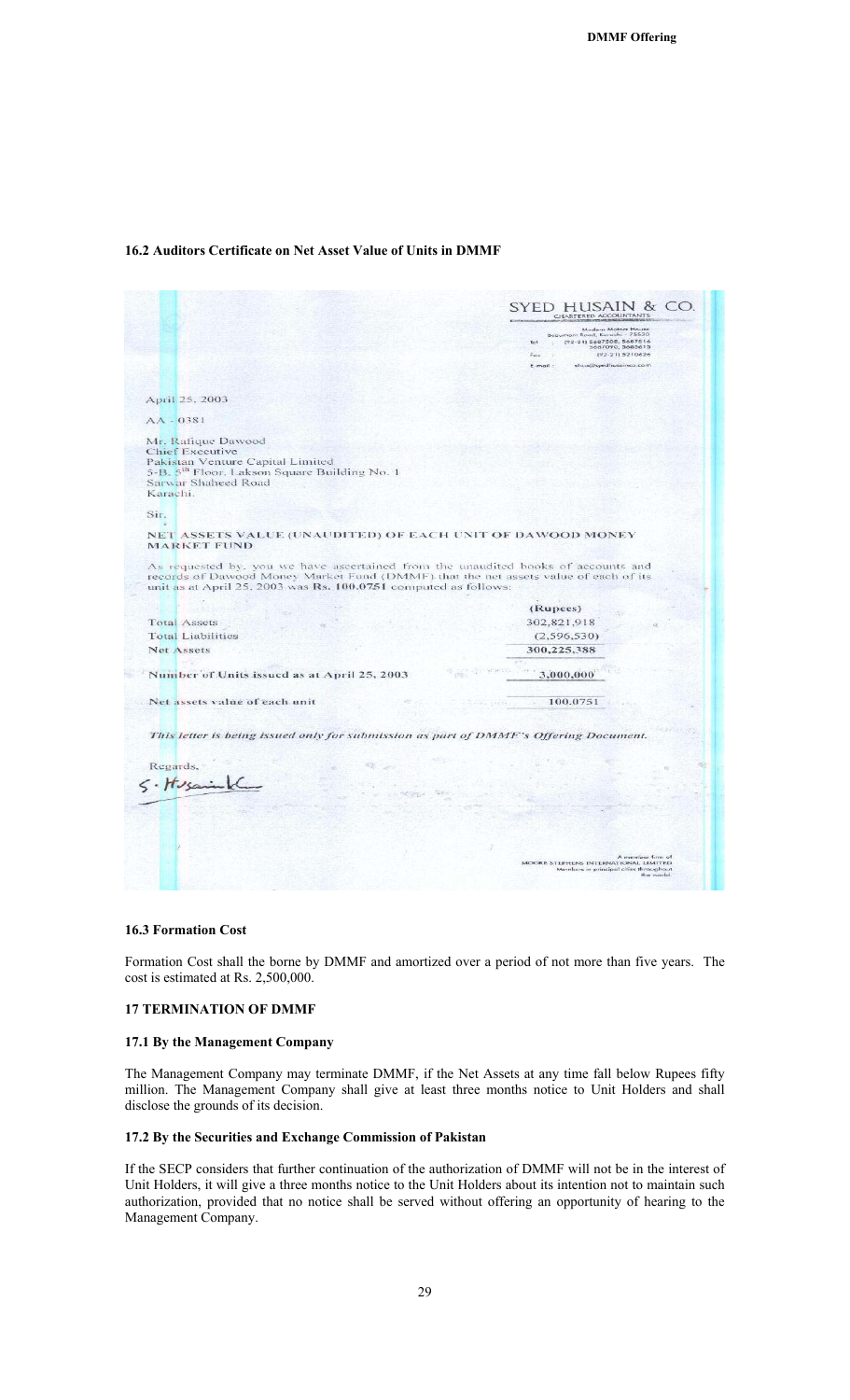#### **16.2 Auditors Certificate on Net Asset Value of Units in DMMF**

|                                                                                                                                                                                                                                               | SYED HUSAIN & CO<br>CHARTERED ACCOUNTANTS                                                                                                                                                   |  |
|-----------------------------------------------------------------------------------------------------------------------------------------------------------------------------------------------------------------------------------------------|---------------------------------------------------------------------------------------------------------------------------------------------------------------------------------------------|--|
|                                                                                                                                                                                                                                               | <b>Madern Motors House</b><br>Begumant Road, Karachi - 75530<br>[92-21] 5687508, 5687516<br>5687090, 5685615<br>$T-1$<br>(92-21) 5210626<br>$F_{CK}$<br>shux@syedhusainca.com<br>$E$ -mail: |  |
| April 25, 2003                                                                                                                                                                                                                                |                                                                                                                                                                                             |  |
| $AA - 0381$                                                                                                                                                                                                                                   |                                                                                                                                                                                             |  |
| Mr. Rafique Dawood<br><b>Chief Executive</b><br>Pakistan Venture Capital Limited<br>5-B. 5 <sup>th</sup> Floor, Lakson Square Building No. 1<br>Sarwar Shaheed Road<br>Karachi.                                                               |                                                                                                                                                                                             |  |
| Sir.                                                                                                                                                                                                                                          |                                                                                                                                                                                             |  |
| NET ASSETS VALUE (UNAUDITED) OF EACH UNIT OF DAWOOD MONEY<br><b>MARKET FUND</b>                                                                                                                                                               |                                                                                                                                                                                             |  |
| As requested by, you we have ascertained from the unaudited books of accounts and<br>records of Dawood Money Market Fund (DMMF) that the net assets value of each of its<br>unit as at April 25, 2003 was Rs. $100.0751$ computed as follows: |                                                                                                                                                                                             |  |
|                                                                                                                                                                                                                                               | (Rupees)                                                                                                                                                                                    |  |
| <b>Total Assets</b>                                                                                                                                                                                                                           | 302,821,918                                                                                                                                                                                 |  |
| <b>Total Liabilities</b>                                                                                                                                                                                                                      | (2,596,530)                                                                                                                                                                                 |  |
| Net Assets                                                                                                                                                                                                                                    | 300,225,388                                                                                                                                                                                 |  |
| Number of Units issued as at April 25, 2003                                                                                                                                                                                                   | 3,000,000                                                                                                                                                                                   |  |
| Net assets value of each unit                                                                                                                                                                                                                 | 100.0751                                                                                                                                                                                    |  |
| This letter is being issued only for submission as part of DMMF's Offering Document.                                                                                                                                                          |                                                                                                                                                                                             |  |
| 426                                                                                                                                                                                                                                           |                                                                                                                                                                                             |  |
| Regards.                                                                                                                                                                                                                                      |                                                                                                                                                                                             |  |
| <b>SCIENT</b>                                                                                                                                                                                                                                 |                                                                                                                                                                                             |  |
|                                                                                                                                                                                                                                               |                                                                                                                                                                                             |  |
|                                                                                                                                                                                                                                               |                                                                                                                                                                                             |  |
|                                                                                                                                                                                                                                               | A member firm of<br>MOORE STEPHENS INTERNATIONAL LIMITED.<br>Members in principal cities throughout<br>the world.                                                                           |  |

#### **16.3 Formation Cost**

Formation Cost shall the borne by DMMF and amortized over a period of not more than five years. The cost is estimated at Rs. 2,500,000.

#### **17 TERMINATION OF DMMF**

### **17.1 By the Management Company**

The Management Company may terminate DMMF, if the Net Assets at any time fall below Rupees fifty million. The Management Company shall give at least three months notice to Unit Holders and shall disclose the grounds of its decision.

#### **17.2 By the Securities and Exchange Commission of Pakistan**

If the SECP considers that further continuation of the authorization of DMMF will not be in the interest of Unit Holders, it will give a three months notice to the Unit Holders about its intention not to maintain such authorization, provided that no notice shall be served without offering an opportunity of hearing to the Management Company.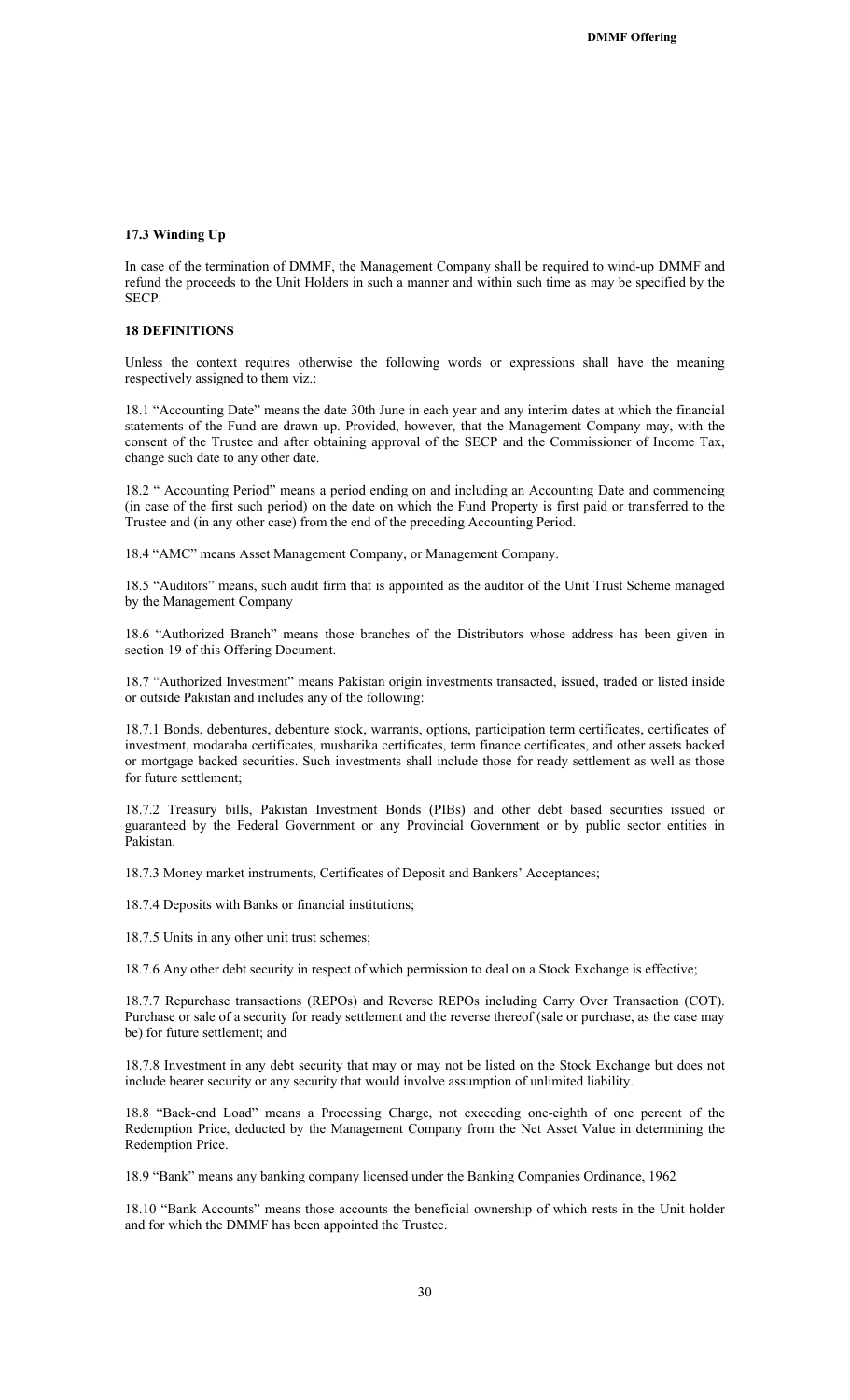#### **17.3 Winding Up**

In case of the termination of DMMF, the Management Company shall be required to wind-up DMMF and refund the proceeds to the Unit Holders in such a manner and within such time as may be specified by the SECP.

#### **18 DEFINITIONS**

Unless the context requires otherwise the following words or expressions shall have the meaning respectively assigned to them viz.:

18.1 "Accounting Date" means the date 30th June in each year and any interim dates at which the financial statements of the Fund are drawn up. Provided, however, that the Management Company may, with the consent of the Trustee and after obtaining approval of the SECP and the Commissioner of Income Tax, change such date to any other date.

18.2 " Accounting Period" means a period ending on and including an Accounting Date and commencing (in case of the first such period) on the date on which the Fund Property is first paid or transferred to the Trustee and (in any other case) from the end of the preceding Accounting Period.

18.4 "AMC" means Asset Management Company, or Management Company.

18.5 "Auditors" means, such audit firm that is appointed as the auditor of the Unit Trust Scheme managed by the Management Company

18.6 "Authorized Branch" means those branches of the Distributors whose address has been given in section 19 of this Offering Document.

18.7 "Authorized Investment" means Pakistan origin investments transacted, issued, traded or listed inside or outside Pakistan and includes any of the following:

18.7.1 Bonds, debentures, debenture stock, warrants, options, participation term certificates, certificates of investment, modaraba certificates, musharika certificates, term finance certificates, and other assets backed or mortgage backed securities. Such investments shall include those for ready settlement as well as those for future settlement;

18.7.2 Treasury bills, Pakistan Investment Bonds (PIBs) and other debt based securities issued or guaranteed by the Federal Government or any Provincial Government or by public sector entities in Pakistan.

18.7.3 Money market instruments, Certificates of Deposit and Bankers' Acceptances;

18.7.4 Deposits with Banks or financial institutions;

18.7.5 Units in any other unit trust schemes;

18.7.6 Any other debt security in respect of which permission to deal on a Stock Exchange is effective;

18.7.7 Repurchase transactions (REPOs) and Reverse REPOs including Carry Over Transaction (COT). Purchase or sale of a security for ready settlement and the reverse thereof (sale or purchase, as the case may be) for future settlement; and

18.7.8 Investment in any debt security that may or may not be listed on the Stock Exchange but does not include bearer security or any security that would involve assumption of unlimited liability.

18.8 "Back-end Load" means a Processing Charge, not exceeding one-eighth of one percent of the Redemption Price, deducted by the Management Company from the Net Asset Value in determining the Redemption Price.

18.9 "Bank" means any banking company licensed under the Banking Companies Ordinance, 1962

18.10 "Bank Accounts" means those accounts the beneficial ownership of which rests in the Unit holder and for which the DMMF has been appointed the Trustee.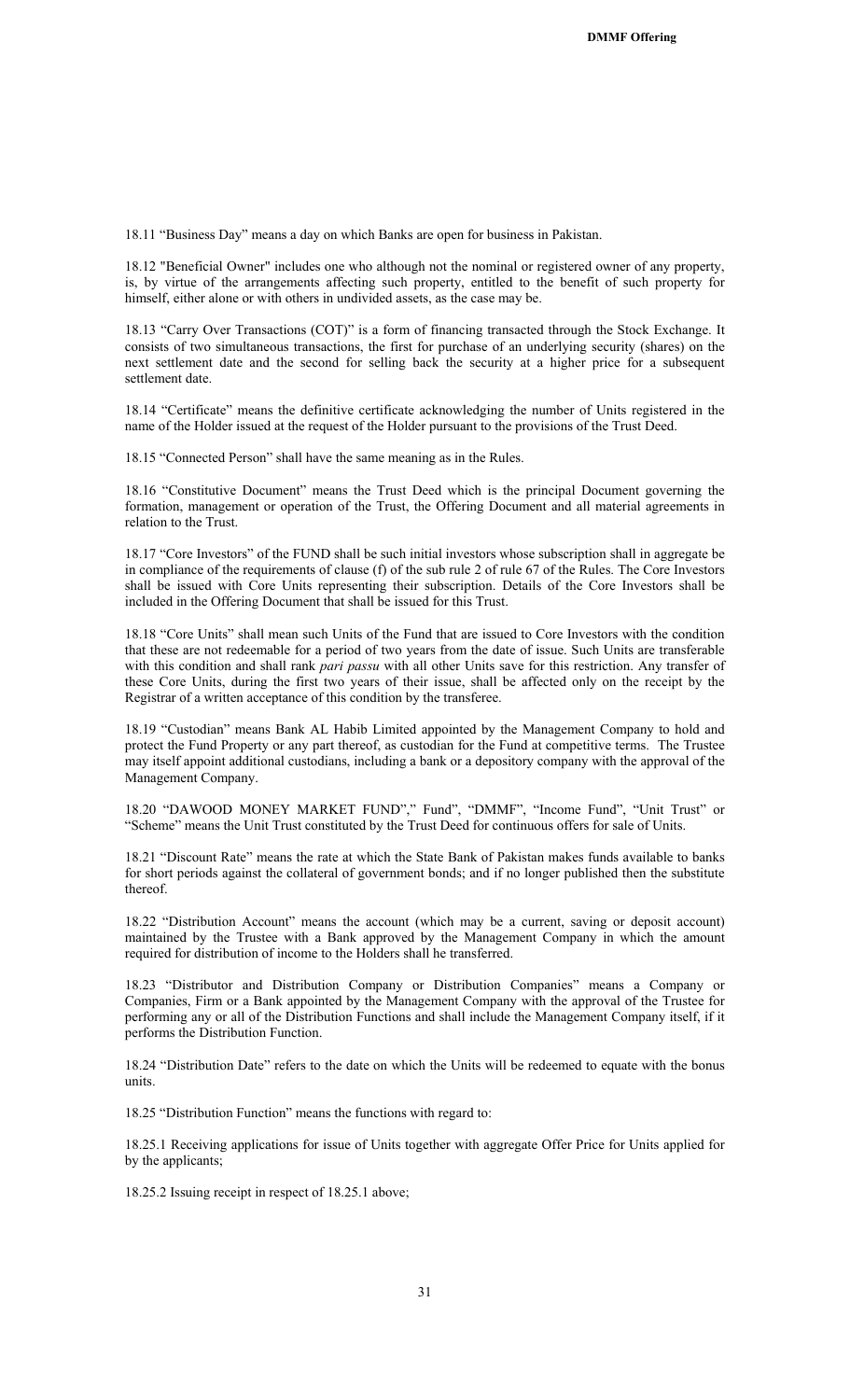18.11 "Business Day" means a day on which Banks are open for business in Pakistan.

18.12 "Beneficial Owner" includes one who although not the nominal or registered owner of any property, is, by virtue of the arrangements affecting such property, entitled to the benefit of such property for himself, either alone or with others in undivided assets, as the case may be.

18.13 "Carry Over Transactions (COT)" is a form of financing transacted through the Stock Exchange. It consists of two simultaneous transactions, the first for purchase of an underlying security (shares) on the next settlement date and the second for selling back the security at a higher price for a subsequent settlement date.

18.14 "Certificate" means the definitive certificate acknowledging the number of Units registered in the name of the Holder issued at the request of the Holder pursuant to the provisions of the Trust Deed.

18.15 "Connected Person" shall have the same meaning as in the Rules.

18.16 "Constitutive Document" means the Trust Deed which is the principal Document governing the formation, management or operation of the Trust, the Offering Document and all material agreements in relation to the Trust.

18.17 "Core Investors" of the FUND shall be such initial investors whose subscription shall in aggregate be in compliance of the requirements of clause (f) of the sub rule 2 of rule 67 of the Rules. The Core Investors shall be issued with Core Units representing their subscription. Details of the Core Investors shall be included in the Offering Document that shall be issued for this Trust.

18.18 "Core Units" shall mean such Units of the Fund that are issued to Core Investors with the condition that these are not redeemable for a period of two years from the date of issue. Such Units are transferable with this condition and shall rank *pari passu* with all other Units save for this restriction. Any transfer of these Core Units, during the first two years of their issue, shall be affected only on the receipt by the Registrar of a written acceptance of this condition by the transferee.

18.19 "Custodian" means Bank AL Habib Limited appointed by the Management Company to hold and protect the Fund Property or any part thereof, as custodian for the Fund at competitive terms. The Trustee may itself appoint additional custodians, including a bank or a depository company with the approval of the Management Company.

18.20 "DAWOOD MONEY MARKET FUND"," Fund", "DMMF", "Income Fund", "Unit Trust" or "Scheme" means the Unit Trust constituted by the Trust Deed for continuous offers for sale of Units.

18.21 "Discount Rate" means the rate at which the State Bank of Pakistan makes funds available to banks for short periods against the collateral of government bonds; and if no longer published then the substitute thereof.

18.22 "Distribution Account" means the account (which may be a current, saving or deposit account) maintained by the Trustee with a Bank approved by the Management Company in which the amount required for distribution of income to the Holders shall he transferred.

18.23 "Distributor and Distribution Company or Distribution Companies" means a Company or Companies, Firm or a Bank appointed by the Management Company with the approval of the Trustee for performing any or all of the Distribution Functions and shall include the Management Company itself, if it performs the Distribution Function.

18.24 "Distribution Date" refers to the date on which the Units will be redeemed to equate with the bonus units.

18.25 "Distribution Function" means the functions with regard to:

18.25.1 Receiving applications for issue of Units together with aggregate Offer Price for Units applied for by the applicants;

18.25.2 Issuing receipt in respect of 18.25.1 above;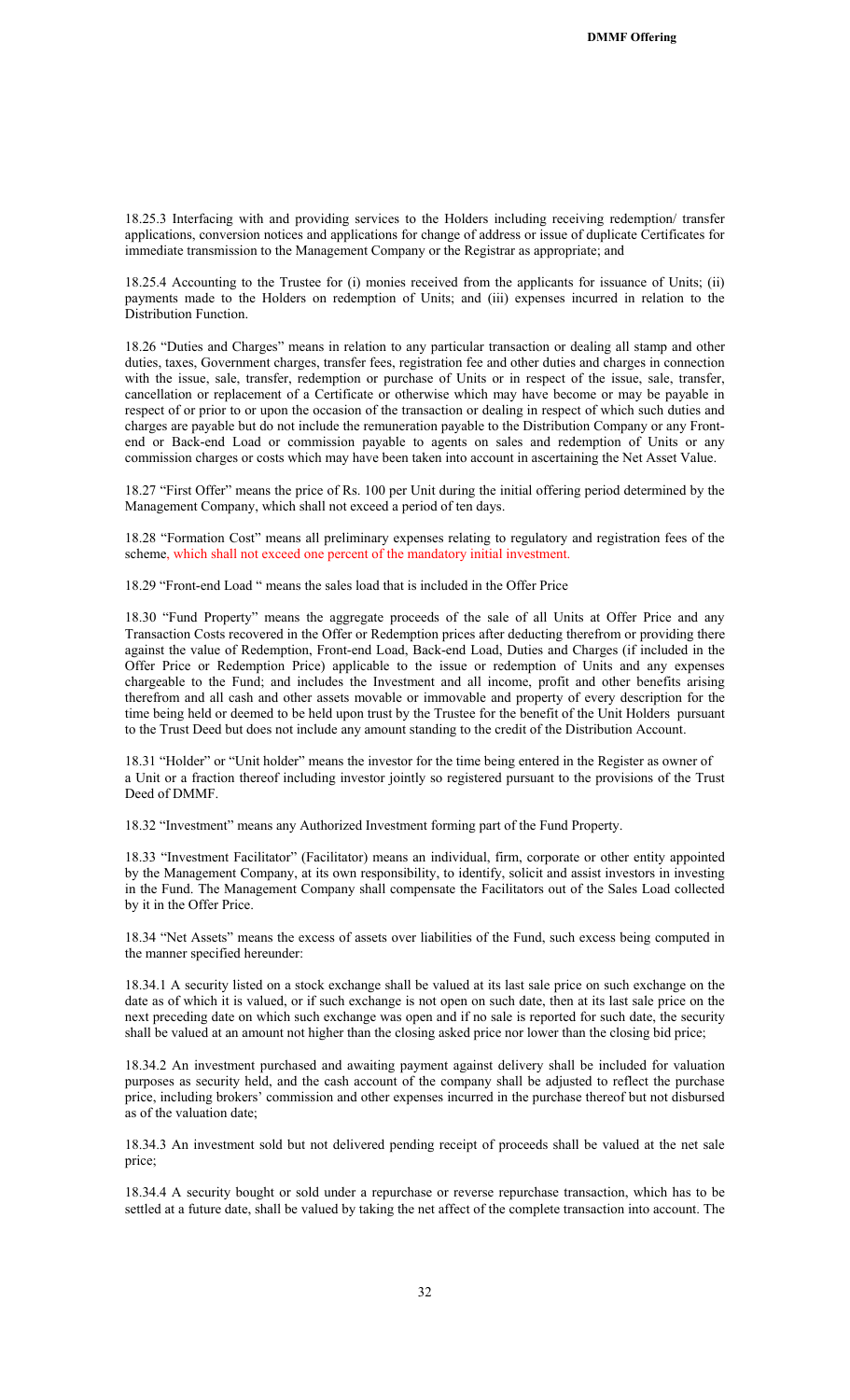18.25.3 Interfacing with and providing services to the Holders including receiving redemption/ transfer applications, conversion notices and applications for change of address or issue of duplicate Certificates for immediate transmission to the Management Company or the Registrar as appropriate; and

18.25.4 Accounting to the Trustee for (i) monies received from the applicants for issuance of Units; (ii) payments made to the Holders on redemption of Units; and (iii) expenses incurred in relation to the Distribution Function.

18.26 "Duties and Charges" means in relation to any particular transaction or dealing all stamp and other duties, taxes, Government charges, transfer fees, registration fee and other duties and charges in connection with the issue, sale, transfer, redemption or purchase of Units or in respect of the issue, sale, transfer, cancellation or replacement of a Certificate or otherwise which may have become or may be payable in respect of or prior to or upon the occasion of the transaction or dealing in respect of which such duties and charges are payable but do not include the remuneration payable to the Distribution Company or any Frontend or Back-end Load or commission payable to agents on sales and redemption of Units or any commission charges or costs which may have been taken into account in ascertaining the Net Asset Value.

18.27 "First Offer" means the price of Rs. 100 per Unit during the initial offering period determined by the Management Company, which shall not exceed a period of ten days.

18.28 "Formation Cost" means all preliminary expenses relating to regulatory and registration fees of the scheme, which shall not exceed one percent of the mandatory initial investment.

18.29 "Front-end Load " means the sales load that is included in the Offer Price

18.30 "Fund Property" means the aggregate proceeds of the sale of all Units at Offer Price and any Transaction Costs recovered in the Offer or Redemption prices after deducting therefrom or providing there against the value of Redemption, Front-end Load, Back-end Load, Duties and Charges (if included in the Offer Price or Redemption Price) applicable to the issue or redemption of Units and any expenses chargeable to the Fund; and includes the Investment and all income, profit and other benefits arising therefrom and all cash and other assets movable or immovable and property of every description for the time being held or deemed to be held upon trust by the Trustee for the benefit of the Unit Holders pursuant to the Trust Deed but does not include any amount standing to the credit of the Distribution Account.

18.31 "Holder" or "Unit holder" means the investor for the time being entered in the Register as owner of a Unit or a fraction thereof including investor jointly so registered pursuant to the provisions of the Trust Deed of DMMF.

18.32 "Investment" means any Authorized Investment forming part of the Fund Property.

18.33 "Investment Facilitator" (Facilitator) means an individual, firm, corporate or other entity appointed by the Management Company, at its own responsibility, to identify, solicit and assist investors in investing in the Fund. The Management Company shall compensate the Facilitators out of the Sales Load collected by it in the Offer Price.

18.34 "Net Assets" means the excess of assets over liabilities of the Fund, such excess being computed in the manner specified hereunder:

18.34.1 A security listed on a stock exchange shall be valued at its last sale price on such exchange on the date as of which it is valued, or if such exchange is not open on such date, then at its last sale price on the next preceding date on which such exchange was open and if no sale is reported for such date, the security shall be valued at an amount not higher than the closing asked price nor lower than the closing bid price;

18.34.2 An investment purchased and awaiting payment against delivery shall be included for valuation purposes as security held, and the cash account of the company shall be adjusted to reflect the purchase price, including brokers' commission and other expenses incurred in the purchase thereof but not disbursed as of the valuation date;

18.34.3 An investment sold but not delivered pending receipt of proceeds shall be valued at the net sale price;

18.34.4 A security bought or sold under a repurchase or reverse repurchase transaction, which has to be settled at a future date, shall be valued by taking the net affect of the complete transaction into account. The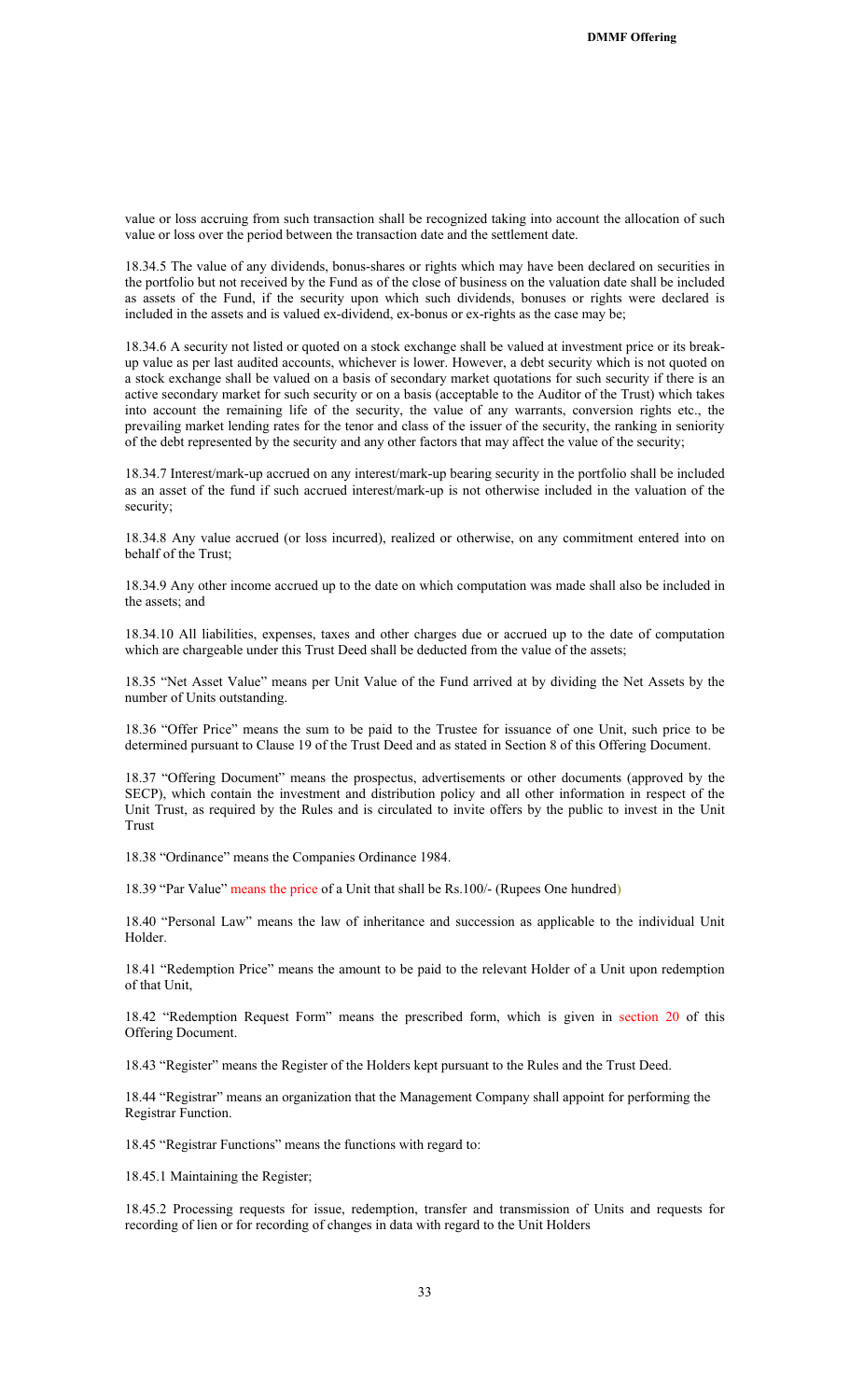value or loss accruing from such transaction shall be recognized taking into account the allocation of such value or loss over the period between the transaction date and the settlement date.

18.34.5 The value of any dividends, bonus-shares or rights which may have been declared on securities in the portfolio but not received by the Fund as of the close of business on the valuation date shall be included as assets of the Fund, if the security upon which such dividends, bonuses or rights were declared is included in the assets and is valued ex-dividend, ex-bonus or ex-rights as the case may be;

18.34.6 A security not listed or quoted on a stock exchange shall be valued at investment price or its breakup value as per last audited accounts, whichever is lower. However, a debt security which is not quoted on a stock exchange shall be valued on a basis of secondary market quotations for such security if there is an active secondary market for such security or on a basis (acceptable to the Auditor of the Trust) which takes into account the remaining life of the security, the value of any warrants, conversion rights etc., the prevailing market lending rates for the tenor and class of the issuer of the security, the ranking in seniority of the debt represented by the security and any other factors that may affect the value of the security;

18.34.7 Interest/mark-up accrued on any interest/mark-up bearing security in the portfolio shall be included as an asset of the fund if such accrued interest/mark-up is not otherwise included in the valuation of the security;

18.34.8 Any value accrued (or loss incurred), realized or otherwise, on any commitment entered into on behalf of the Trust;

18.34.9 Any other income accrued up to the date on which computation was made shall also be included in the assets; and

18.34.10 All liabilities, expenses, taxes and other charges due or accrued up to the date of computation which are chargeable under this Trust Deed shall be deducted from the value of the assets;

18.35 "Net Asset Value" means per Unit Value of the Fund arrived at by dividing the Net Assets by the number of Units outstanding.

18.36 "Offer Price" means the sum to be paid to the Trustee for issuance of one Unit, such price to be determined pursuant to Clause 19 of the Trust Deed and as stated in Section 8 of this Offering Document.

18.37 "Offering Document" means the prospectus, advertisements or other documents (approved by the SECP), which contain the investment and distribution policy and all other information in respect of the Unit Trust, as required by the Rules and is circulated to invite offers by the public to invest in the Unit Trust

18.38 "Ordinance" means the Companies Ordinance 1984.

18.39 "Par Value" means the price of a Unit that shall be Rs.100/- (Rupees One hundred)

18.40 "Personal Law" means the law of inheritance and succession as applicable to the individual Unit Holder.

18.41 "Redemption Price" means the amount to be paid to the relevant Holder of a Unit upon redemption of that Unit,

18.42 "Redemption Request Form" means the prescribed form, which is given in section 20 of this Offering Document.

18.43 "Register" means the Register of the Holders kept pursuant to the Rules and the Trust Deed.

18.44 "Registrar" means an organization that the Management Company shall appoint for performing the Registrar Function.

18.45 "Registrar Functions" means the functions with regard to:

18.45.1 Maintaining the Register;

18.45.2 Processing requests for issue, redemption, transfer and transmission of Units and requests for recording of lien or for recording of changes in data with regard to the Unit Holders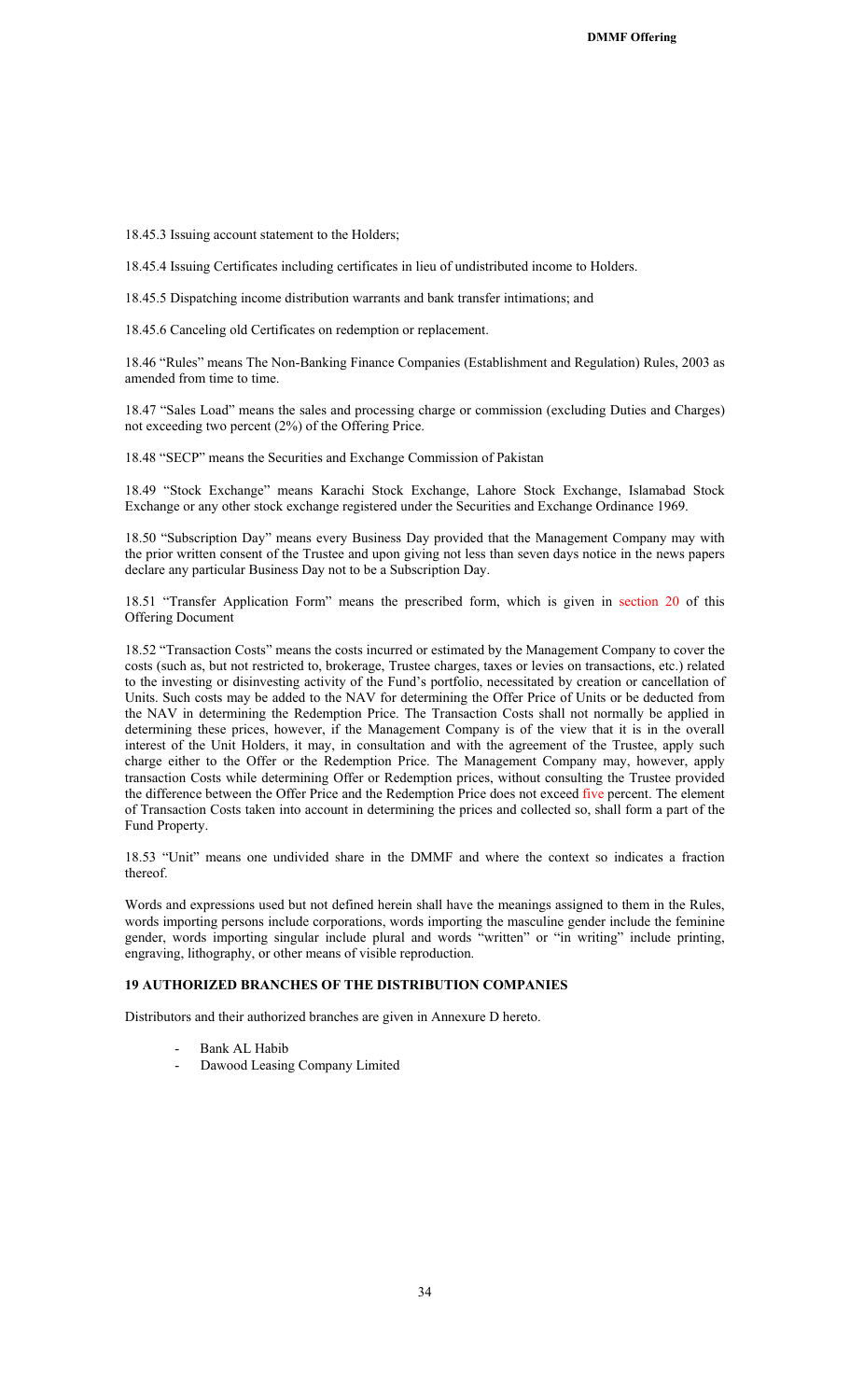18.45.3 Issuing account statement to the Holders;

18.45.4 Issuing Certificates including certificates in lieu of undistributed income to Holders.

18.45.5 Dispatching income distribution warrants and bank transfer intimations; and

18.45.6 Canceling old Certificates on redemption or replacement.

18.46 "Rules" means The Non-Banking Finance Companies (Establishment and Regulation) Rules, 2003 as amended from time to time.

18.47 "Sales Load" means the sales and processing charge or commission (excluding Duties and Charges) not exceeding two percent (2%) of the Offering Price.

18.48 "SECP" means the Securities and Exchange Commission of Pakistan

18.49 "Stock Exchange" means Karachi Stock Exchange, Lahore Stock Exchange, Islamabad Stock Exchange or any other stock exchange registered under the Securities and Exchange Ordinance 1969.

18.50 "Subscription Day" means every Business Day provided that the Management Company may with the prior written consent of the Trustee and upon giving not less than seven days notice in the news papers declare any particular Business Day not to be a Subscription Day.

18.51 "Transfer Application Form" means the prescribed form, which is given in section 20 of this Offering Document

18.52 "Transaction Costs" means the costs incurred or estimated by the Management Company to cover the costs (such as, but not restricted to, brokerage, Trustee charges, taxes or levies on transactions, etc.) related to the investing or disinvesting activity of the Fund's portfolio, necessitated by creation or cancellation of Units. Such costs may be added to the NAV for determining the Offer Price of Units or be deducted from the NAV in determining the Redemption Price. The Transaction Costs shall not normally be applied in determining these prices, however, if the Management Company is of the view that it is in the overall interest of the Unit Holders, it may, in consultation and with the agreement of the Trustee, apply such charge either to the Offer or the Redemption Price. The Management Company may, however, apply transaction Costs while determining Offer or Redemption prices, without consulting the Trustee provided the difference between the Offer Price and the Redemption Price does not exceed five percent. The element of Transaction Costs taken into account in determining the prices and collected so, shall form a part of the Fund Property.

18.53 "Unit" means one undivided share in the DMMF and where the context so indicates a fraction thereof.

Words and expressions used but not defined herein shall have the meanings assigned to them in the Rules, words importing persons include corporations, words importing the masculine gender include the feminine gender, words importing singular include plural and words "written" or "in writing" include printing, engraving, lithography, or other means of visible reproduction.

#### **19 AUTHORIZED BRANCHES OF THE DISTRIBUTION COMPANIES**

Distributors and their authorized branches are given in Annexure D hereto.

- Bank AL Habib
- Dawood Leasing Company Limited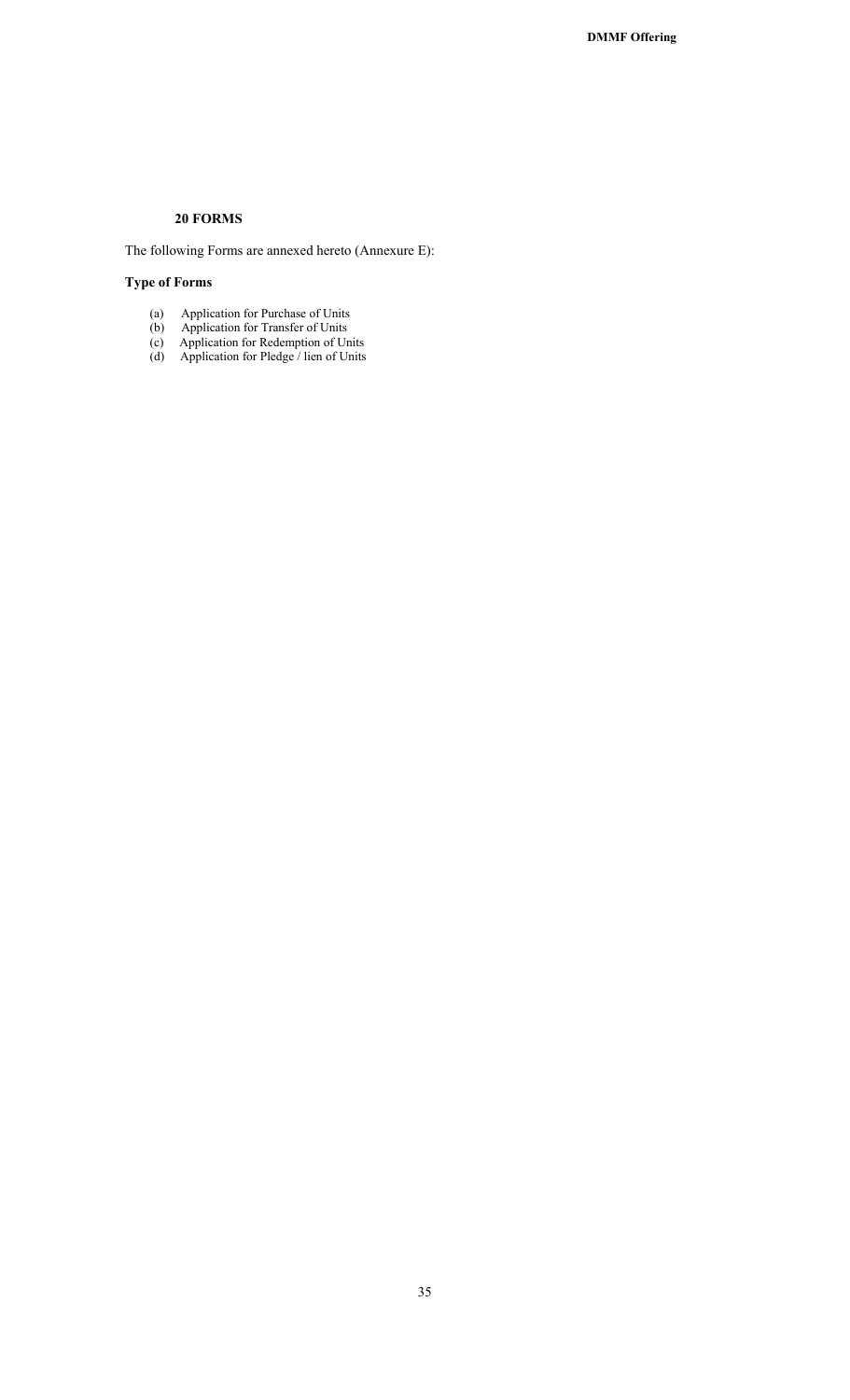# **20 FORMS**

The following Forms are annexed hereto (Annexure E):

# **Type of Forms**

- (a) Application for Purchase of Units
- (b) Application for Transfer of Units
- (c) Application for Redemption of Units (d) Application for Pledge / lien of Units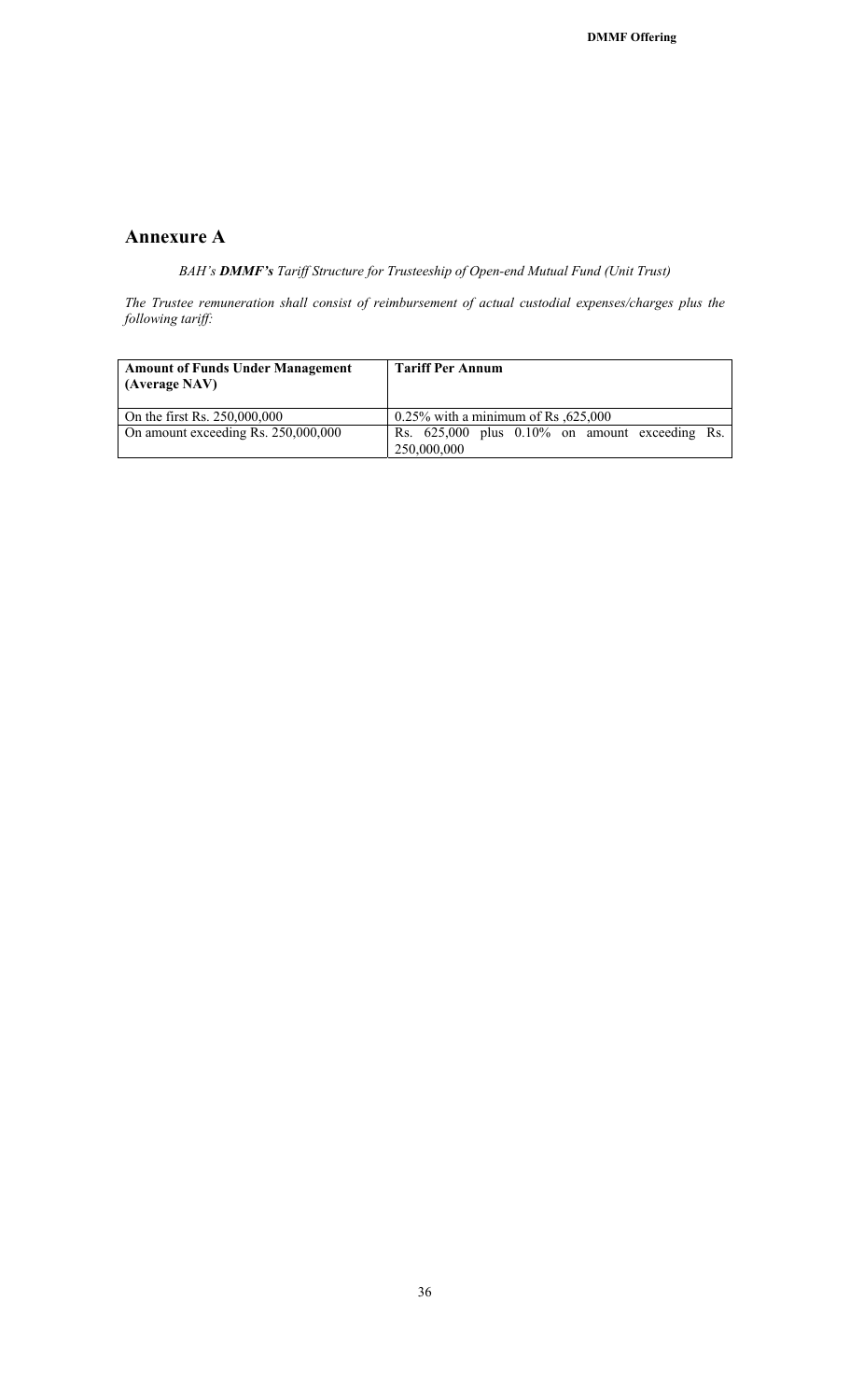# **Annexure A**

*BAH's DMMF's Tariff Structure for Trusteeship of Open-end Mutual Fund (Unit Trust)* 

*The Trustee remuneration shall consist of reimbursement of actual custodial expenses/charges plus the following tariff:* 

| <b>Amount of Funds Under Management</b><br>(Average NAV) | <b>Tariff Per Annum</b>                                            |
|----------------------------------------------------------|--------------------------------------------------------------------|
| On the first Rs. 250,000,000                             | 0.25% with a minimum of Rs $0.625,000$                             |
| On amount exceeding Rs. 250,000,000                      | Rs. $625,000$ plus $0.10\%$ on amount exceeding Rs.<br>250,000,000 |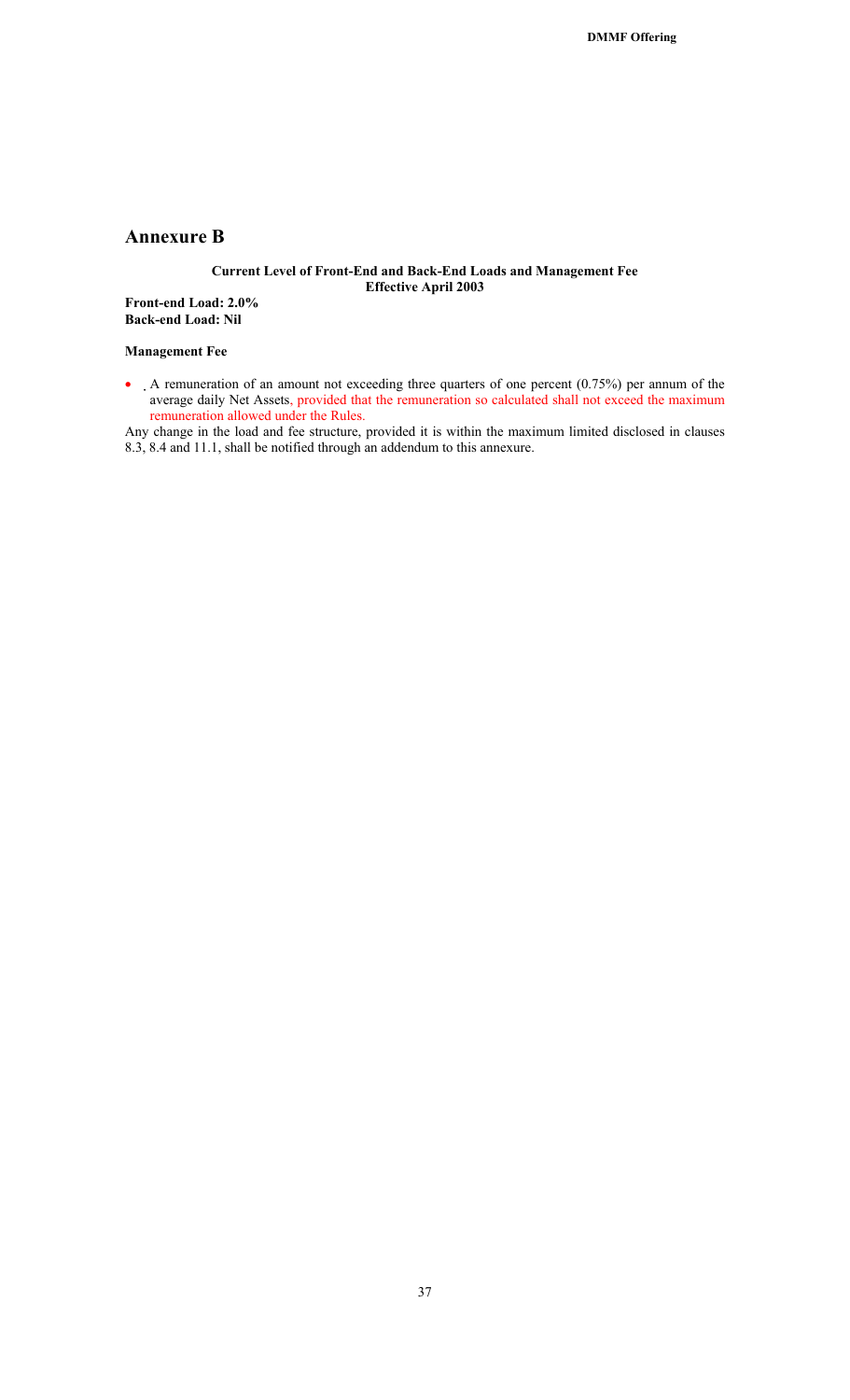# **Annexure B**

#### **Current Level of Front-End and Back-End Loads and Management Fee Effective April 2003**

**Front-end Load: 2.0% Back-end Load: Nil** 

### **Management Fee**

• A remuneration of an amount not exceeding three quarters of one percent (0.75%) per annum of the average daily Net Assets, provided that the remuneration so calculated shall not exceed the maximum remuneration allowed under the Rules.

Any change in the load and fee structure, provided it is within the maximum limited disclosed in clauses 8.3, 8.4 and 11.1, shall be notified through an addendum to this annexure.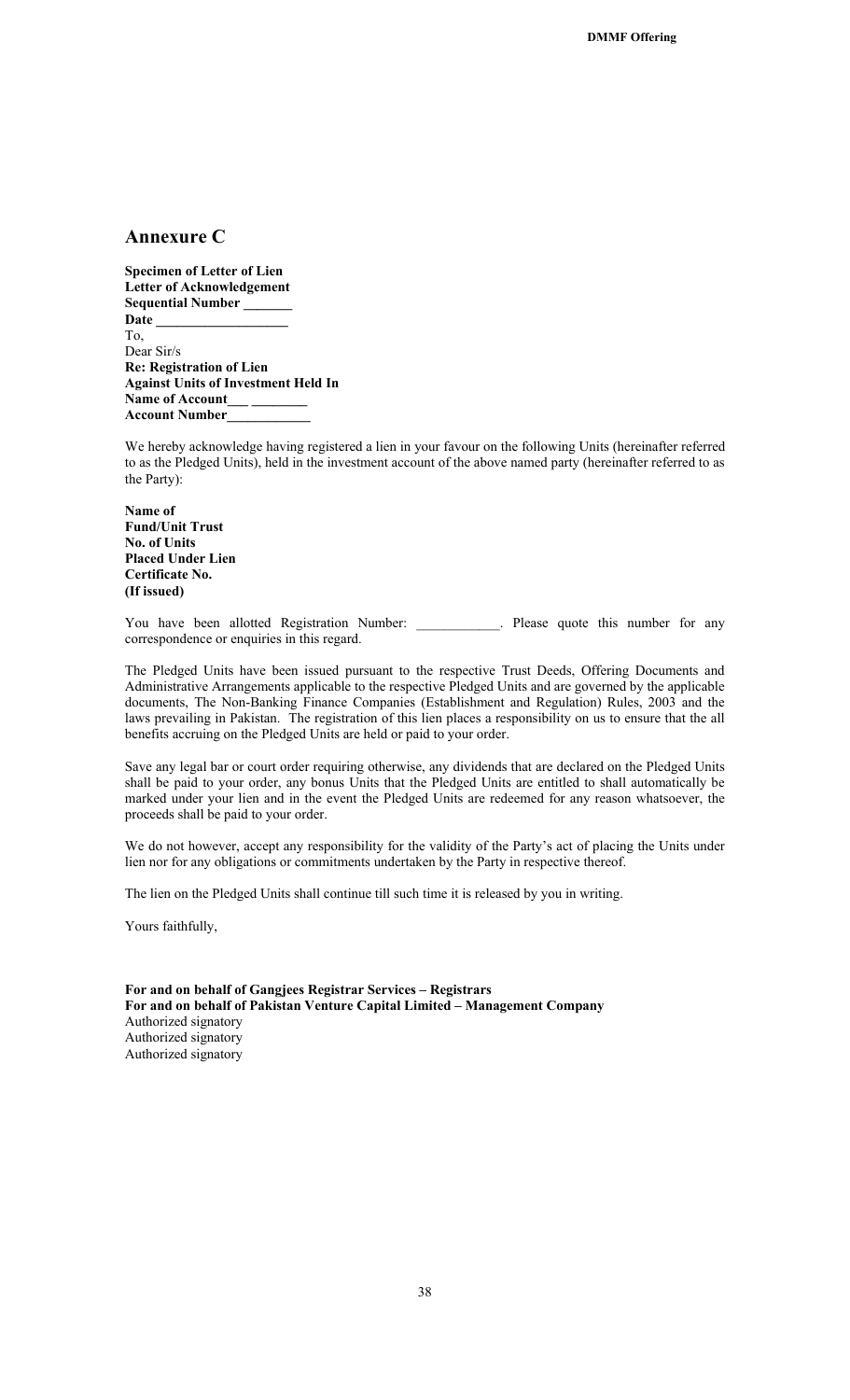## **Annexure C**

**Specimen of Letter of Lien Letter of Acknowledgement Sequential Number \_\_\_\_\_\_\_ Date \_\_\_\_\_\_\_\_\_\_\_\_\_\_\_\_\_\_\_**  To, Dear Sir/s **Re: Registration of Lien Against Units of Investment Held In Name of Account\_\_\_ \_\_\_\_\_\_\_\_ Account Number\_\_\_\_\_\_\_\_\_\_\_\_** 

We hereby acknowledge having registered a lien in your favour on the following Units (hereinafter referred to as the Pledged Units), held in the investment account of the above named party (hereinafter referred to as the Party):

**Name of Fund/Unit Trust No. of Units Placed Under Lien Certificate No. (If issued)** 

You have been allotted Registration Number: \_\_\_\_\_\_\_\_\_\_\_. Please quote this number for any correspondence or enquiries in this regard.

The Pledged Units have been issued pursuant to the respective Trust Deeds, Offering Documents and Administrative Arrangements applicable to the respective Pledged Units and are governed by the applicable documents, The Non-Banking Finance Companies (Establishment and Regulation) Rules, 2003 and the laws prevailing in Pakistan. The registration of this lien places a responsibility on us to ensure that the all benefits accruing on the Pledged Units are held or paid to your order.

Save any legal bar or court order requiring otherwise, any dividends that are declared on the Pledged Units shall be paid to your order, any bonus Units that the Pledged Units are entitled to shall automatically be marked under your lien and in the event the Pledged Units are redeemed for any reason whatsoever, the proceeds shall be paid to your order.

We do not however, accept any responsibility for the validity of the Party's act of placing the Units under lien nor for any obligations or commitments undertaken by the Party in respective thereof.

The lien on the Pledged Units shall continue till such time it is released by you in writing.

Yours faithfully,

**For and on behalf of Gangjees Registrar Services – Registrars For and on behalf of Pakistan Venture Capital Limited – Management Company**  Authorized signatory Authorized signatory Authorized signatory